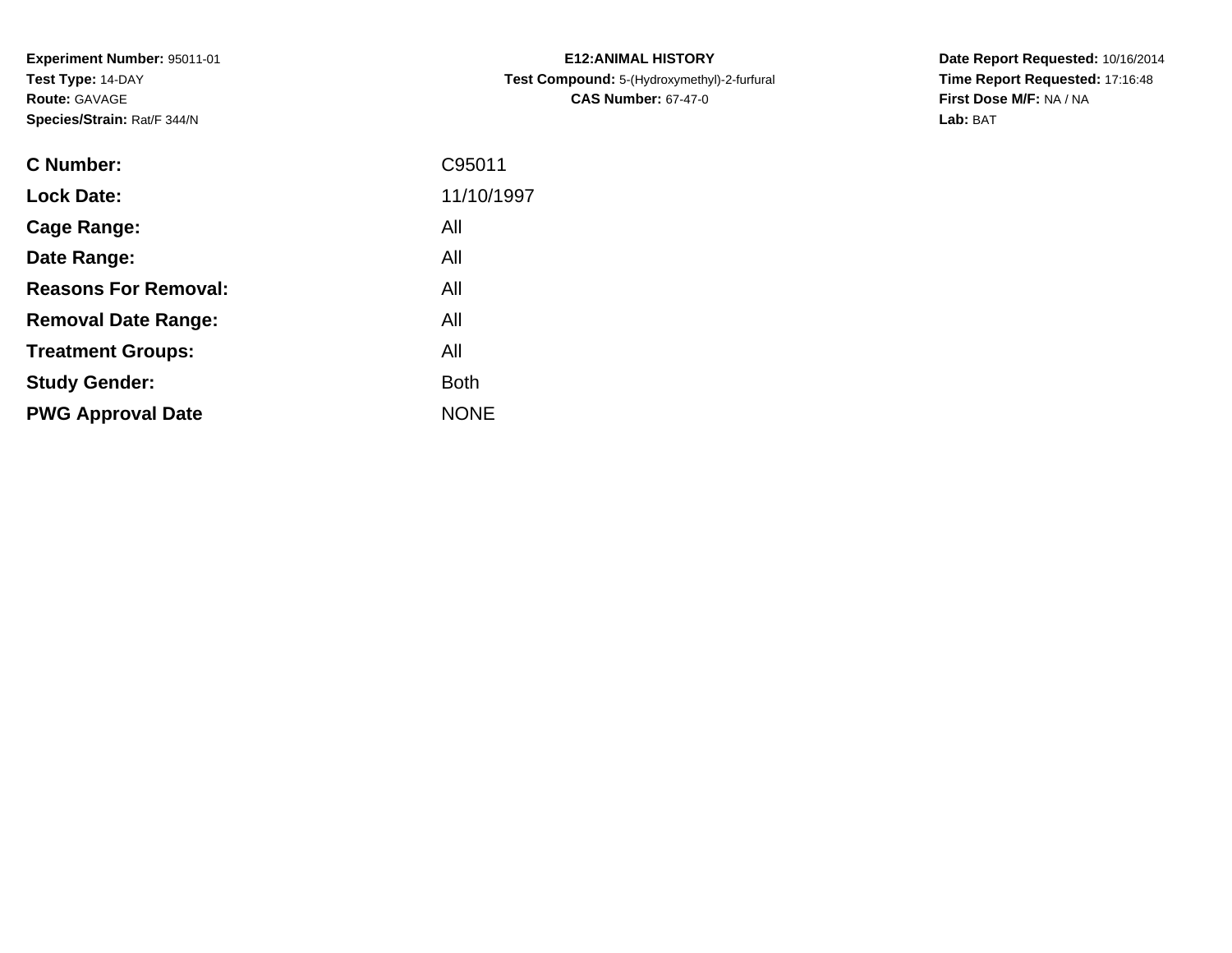**Experiment Number:** 95011-01**Test Type:** 14-DAY**Route:** GAVAGE**Species/Strain:** Rat/F 344/N

| <b>C Number:</b>            | C95011      |
|-----------------------------|-------------|
| <b>Lock Date:</b>           | 11/10/1997  |
| <b>Cage Range:</b>          | All         |
| Date Range:                 | All         |
| <b>Reasons For Removal:</b> | All         |
| <b>Removal Date Range:</b>  | All         |
| <b>Treatment Groups:</b>    | All         |
| <b>Study Gender:</b>        | <b>Both</b> |
| <b>PWG Approval Date</b>    | <b>NONE</b> |
|                             |             |

**E12:ANIMAL HISTORY Test Compound:** 5-(Hydroxymethyl)-2-furfural **CAS Number:** 67-47-0

**Date Report Requested:** 10/16/2014 **Time Report Requested:** 17:16:48**First Dose M/F:** NA / NA**Lab:** BAT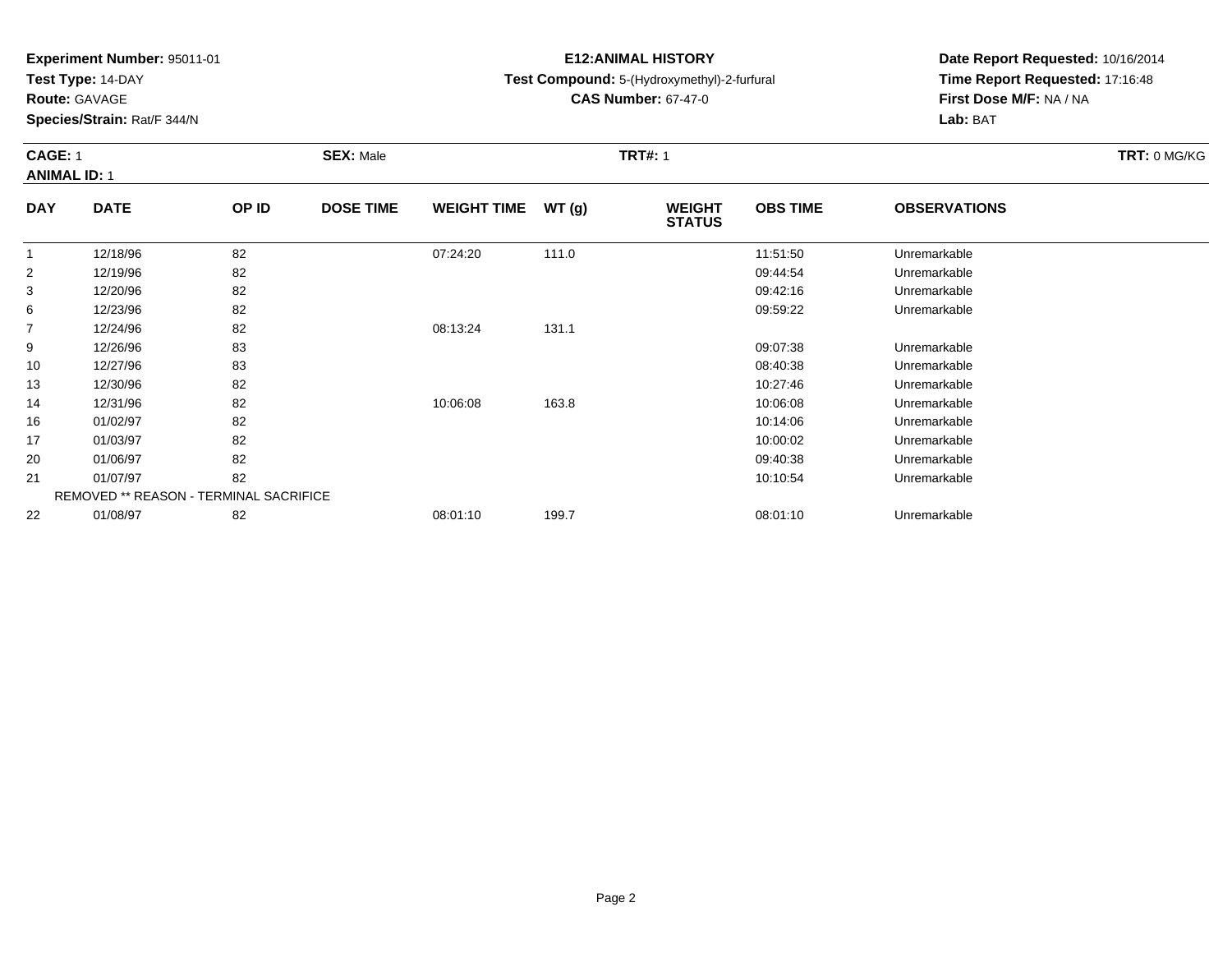**Test Type:** 14-DAY

**Route:** GAVAGE

**Species/Strain:** Rat/F 344/N

# **E12:ANIMAL HISTORY**

# **Test Compound:** 5-(Hydroxymethyl)-2-furfural

**CAS Number:** 67-47-0

**Date Report Requested:** 10/16/2014 **Time Report Requested:** 17:16:48**First Dose M/F:** NA / NA**Lab:** BAT

# **CAGE:** 1 **SEX:** Male **TRT#:** <sup>1</sup> **TRT:** 0 MG/KG**ANIMAL ID:** 1

| <b>DAY</b> | <b>DATE</b>                                   | OP ID | <b>DOSE TIME</b> | WEIGHT TIME $WT(g)$ |       | <b>WEIGHT</b><br><b>STATUS</b> | <b>OBS TIME</b> | <b>OBSERVATIONS</b> |  |
|------------|-----------------------------------------------|-------|------------------|---------------------|-------|--------------------------------|-----------------|---------------------|--|
|            | 12/18/96                                      | 82    |                  | 07:24:20            | 111.0 |                                | 11:51:50        | Unremarkable        |  |
| 2          | 12/19/96                                      | 82    |                  |                     |       |                                | 09:44:54        | Unremarkable        |  |
| 3          | 12/20/96                                      | 82    |                  |                     |       |                                | 09:42:16        | Unremarkable        |  |
| 6          | 12/23/96                                      | 82    |                  |                     |       |                                | 09:59:22        | Unremarkable        |  |
| 7          | 12/24/96                                      | 82    |                  | 08:13:24            | 131.1 |                                |                 |                     |  |
| 9          | 12/26/96                                      | 83    |                  |                     |       |                                | 09:07:38        | Unremarkable        |  |
| 10         | 12/27/96                                      | 83    |                  |                     |       |                                | 08:40:38        | Unremarkable        |  |
| 13         | 12/30/96                                      | 82    |                  |                     |       |                                | 10:27:46        | Unremarkable        |  |
| 14         | 12/31/96                                      | 82    |                  | 10:06:08            | 163.8 |                                | 10:06:08        | Unremarkable        |  |
| 16         | 01/02/97                                      | 82    |                  |                     |       |                                | 10:14:06        | Unremarkable        |  |
| 17         | 01/03/97                                      | 82    |                  |                     |       |                                | 10:00:02        | Unremarkable        |  |
| 20         | 01/06/97                                      | 82    |                  |                     |       |                                | 09:40:38        | Unremarkable        |  |
| 21         | 01/07/97                                      | 82    |                  |                     |       |                                | 10:10:54        | Unremarkable        |  |
|            | <b>REMOVED ** REASON - TERMINAL SACRIFICE</b> |       |                  |                     |       |                                |                 |                     |  |
| 22         | 01/08/97                                      | 82    |                  | 08:01:10            | 199.7 |                                | 08:01:10        | Unremarkable        |  |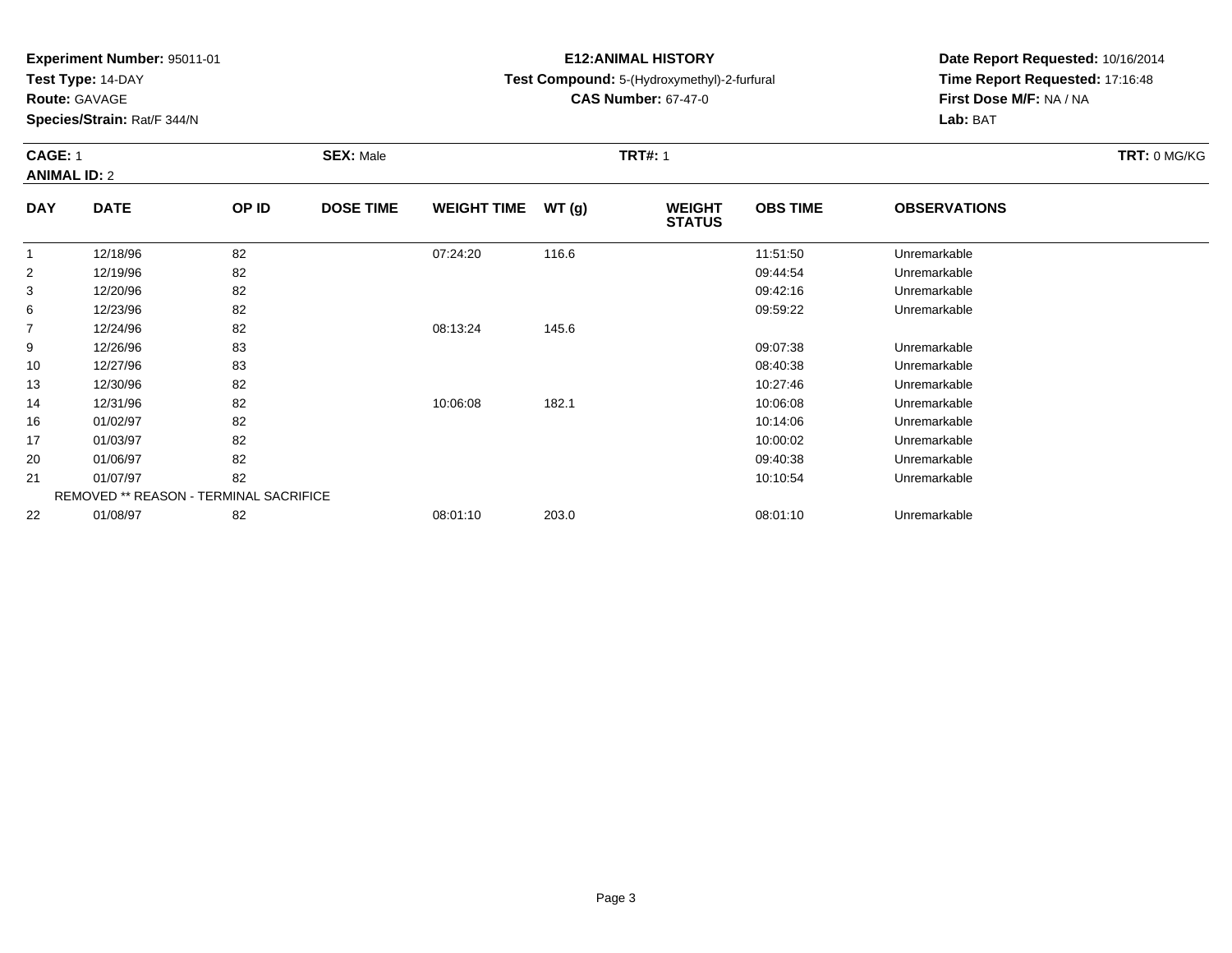**Test Type:** 14-DAY

**Route:** GAVAGE

**Species/Strain:** Rat/F 344/N

# **E12:ANIMAL HISTORY**

# **Test Compound:** 5-(Hydroxymethyl)-2-furfural

**CAS Number:** 67-47-0

**Date Report Requested:** 10/16/2014 **Time Report Requested:** 17:16:48**First Dose M/F:** NA / NA**Lab:** BAT

## **CAGE:** 1 **SEX:** Male **TRT#:** <sup>1</sup> **TRT:** 0 MG/KG**ANIMAL ID:** 2**DAY**

| <b>DAY</b>     | <b>DATE</b>                                   | OP ID | <b>DOSE TIME</b> | <b>WEIGHT TIME</b> | WT(g) | <b>WEIGHT</b><br><b>STATUS</b> | <b>OBS TIME</b> | <b>OBSERVATIONS</b> |  |
|----------------|-----------------------------------------------|-------|------------------|--------------------|-------|--------------------------------|-----------------|---------------------|--|
| 1              | 12/18/96                                      | 82    |                  | 07:24:20           | 116.6 |                                | 11:51:50        | Unremarkable        |  |
| 2              | 12/19/96                                      | 82    |                  |                    |       |                                | 09:44:54        | Unremarkable        |  |
| 3              | 12/20/96                                      | 82    |                  |                    |       |                                | 09:42:16        | Unremarkable        |  |
| 6              | 12/23/96                                      | 82    |                  |                    |       |                                | 09:59:22        | Unremarkable        |  |
| $\overline{7}$ | 12/24/96                                      | 82    |                  | 08:13:24           | 145.6 |                                |                 |                     |  |
| 9              | 12/26/96                                      | 83    |                  |                    |       |                                | 09:07:38        | Unremarkable        |  |
| 10             | 12/27/96                                      | 83    |                  |                    |       |                                | 08:40:38        | Unremarkable        |  |
| 13             | 12/30/96                                      | 82    |                  |                    |       |                                | 10:27:46        | Unremarkable        |  |
| 14             | 12/31/96                                      | 82    |                  | 10:06:08           | 182.1 |                                | 10:06:08        | Unremarkable        |  |
| 16             | 01/02/97                                      | 82    |                  |                    |       |                                | 10:14:06        | Unremarkable        |  |
| 17             | 01/03/97                                      | 82    |                  |                    |       |                                | 10:00:02        | Unremarkable        |  |
| 20             | 01/06/97                                      | 82    |                  |                    |       |                                | 09:40:38        | Unremarkable        |  |
| 21             | 01/07/97                                      | 82    |                  |                    |       |                                | 10:10:54        | Unremarkable        |  |
|                | <b>REMOVED ** REASON - TERMINAL SACRIFICE</b> |       |                  |                    |       |                                |                 |                     |  |
| 22             | 01/08/97                                      | 82    |                  | 08:01:10           | 203.0 |                                | 08:01:10        | Unremarkable        |  |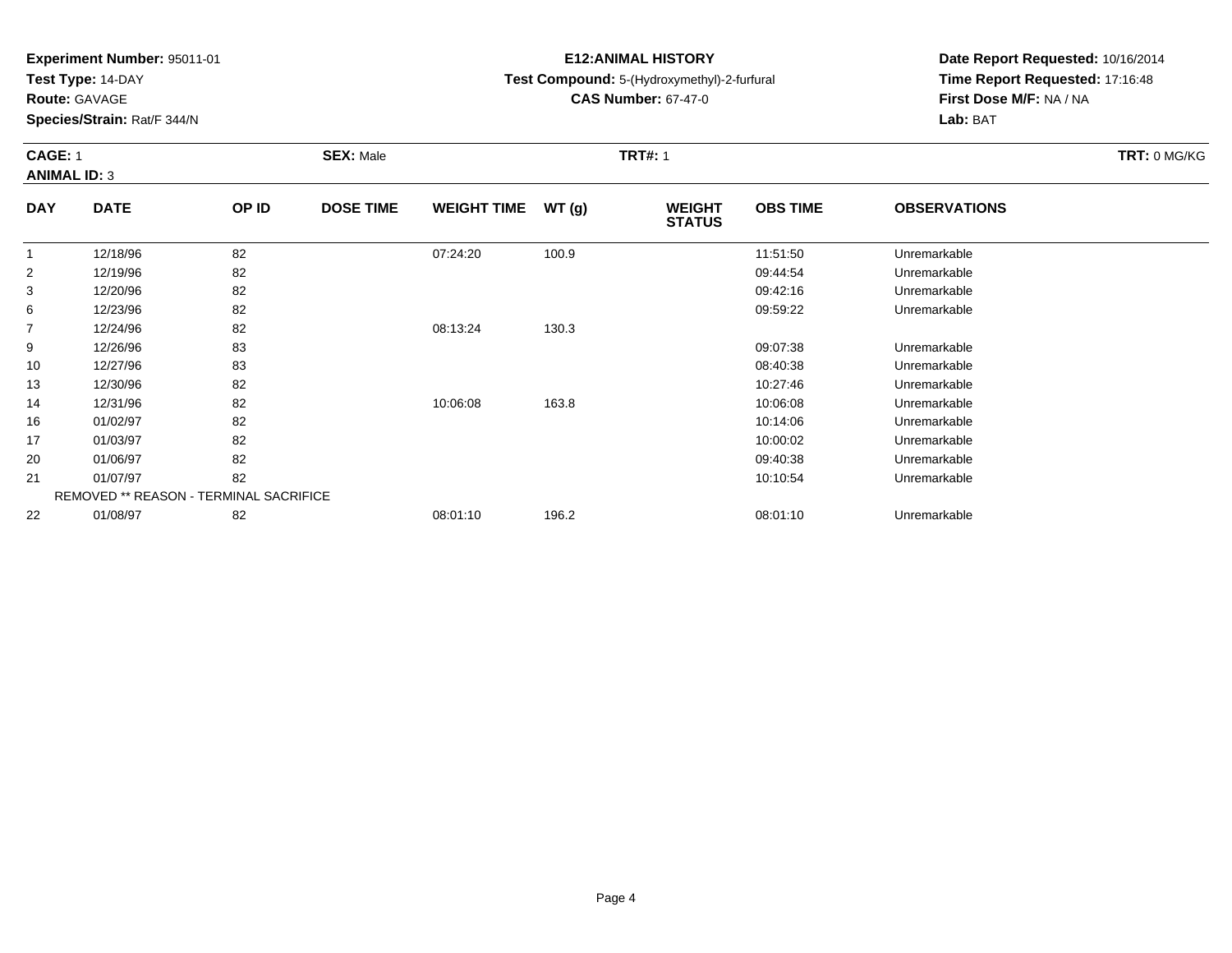**Test Type:** 14-DAY

**Route:** GAVAGE

**Species/Strain:** Rat/F 344/N

# **E12:ANIMAL HISTORY**

**Test Compound:** 5-(Hydroxymethyl)-2-furfural

**CAS Number:** 67-47-0

**Date Report Requested:** 10/16/2014**Time Report Requested:** 17:16:48**First Dose M/F:** NA / NA**Lab:** BAT

### **CAGE:** 1 **SEX:** Male **TRT#:** <sup>1</sup> **TRT:** 0 MG/KG**ANIMAL ID:** 3**DAYOBS TIMEOBSERVATIONS**

| <b>DAY</b>     | <b>DATE</b>                                   | OP ID | <b>DOSE TIME</b> | WEIGHT TIME $WT(g)$ |       | <b>WEIGHT</b><br><b>STATUS</b> | <b>OBS TIME</b> | <b>OBSERVATIONS</b> |  |
|----------------|-----------------------------------------------|-------|------------------|---------------------|-------|--------------------------------|-----------------|---------------------|--|
|                | 12/18/96                                      | 82    |                  | 07:24:20            | 100.9 |                                | 11:51:50        | Unremarkable        |  |
| $\overline{2}$ | 12/19/96                                      | 82    |                  |                     |       |                                | 09:44:54        | Unremarkable        |  |
| 3              | 12/20/96                                      | 82    |                  |                     |       |                                | 09:42:16        | Unremarkable        |  |
| 6              | 12/23/96                                      | 82    |                  |                     |       |                                | 09:59:22        | Unremarkable        |  |
| 7              | 12/24/96                                      | 82    |                  | 08:13:24            | 130.3 |                                |                 |                     |  |
| 9              | 12/26/96                                      | 83    |                  |                     |       |                                | 09:07:38        | Unremarkable        |  |
| 10             | 12/27/96                                      | 83    |                  |                     |       |                                | 08:40:38        | Unremarkable        |  |
| 13             | 12/30/96                                      | 82    |                  |                     |       |                                | 10:27:46        | Unremarkable        |  |
| 14             | 12/31/96                                      | 82    |                  | 10:06:08            | 163.8 |                                | 10:06:08        | Unremarkable        |  |
| 16             | 01/02/97                                      | 82    |                  |                     |       |                                | 10:14:06        | Unremarkable        |  |
| 17             | 01/03/97                                      | 82    |                  |                     |       |                                | 10:00:02        | Unremarkable        |  |
| 20             | 01/06/97                                      | 82    |                  |                     |       |                                | 09:40:38        | Unremarkable        |  |
| 21             | 01/07/97                                      | 82    |                  |                     |       |                                | 10:10:54        | Unremarkable        |  |
|                | <b>REMOVED ** REASON - TERMINAL SACRIFICE</b> |       |                  |                     |       |                                |                 |                     |  |
| 22             | 01/08/97                                      | 82    |                  | 08:01:10            | 196.2 |                                | 08:01:10        | Unremarkable        |  |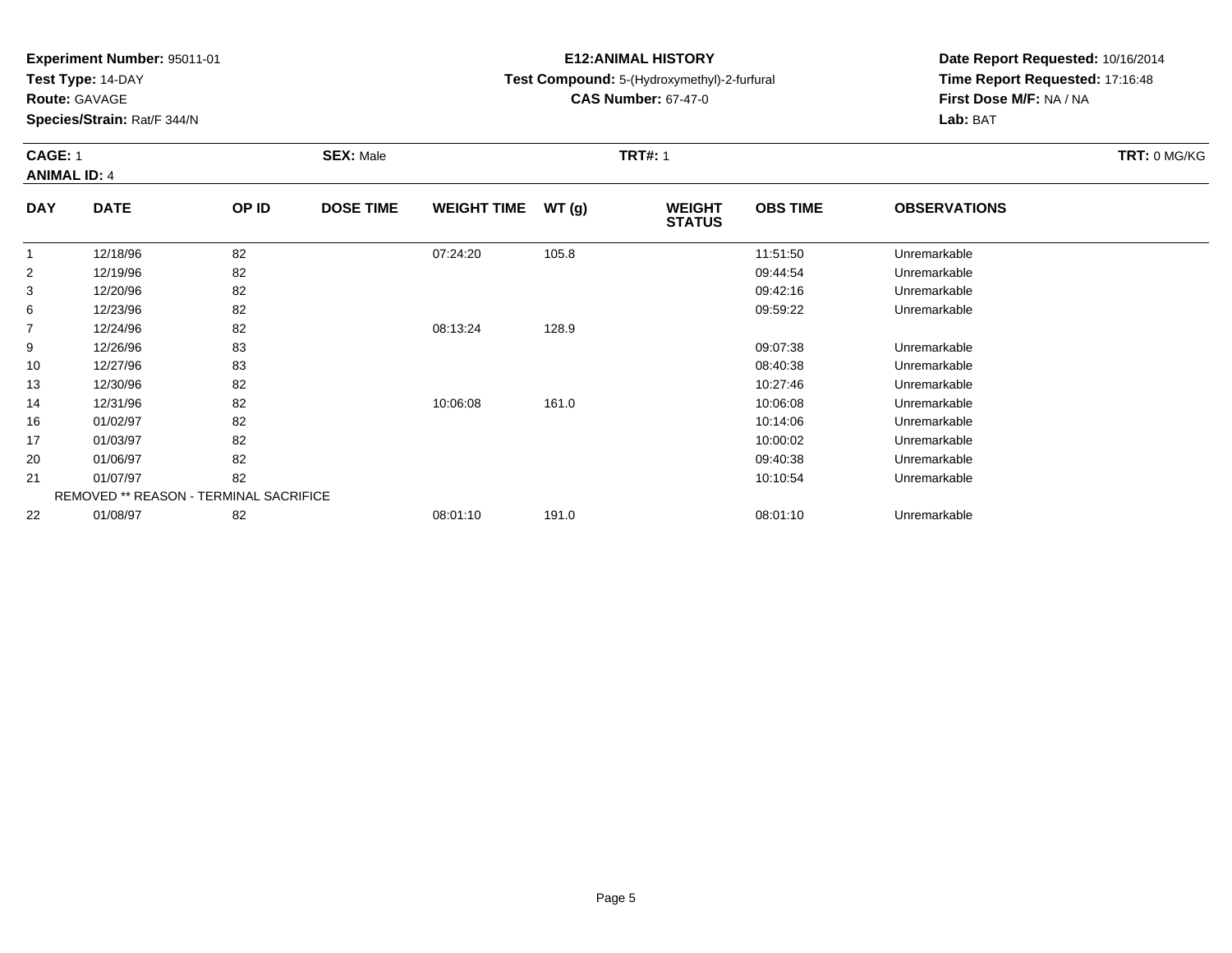**Test Type:** 14-DAY

**Route:** GAVAGE

**Species/Strain:** Rat/F 344/N

# **E12:ANIMAL HISTORY**

**Test Compound:** 5-(Hydroxymethyl)-2-furfural

**CAS Number:** 67-47-0

**Date Report Requested:** 10/16/2014 **Time Report Requested:** 17:16:48**First Dose M/F:** NA / NA**Lab:** BAT

### **CAGE:** 1 **SEX:** Male **TRT#:** <sup>1</sup> **TRT:** 0 MG/KG**ANIMAL ID:** 4**DAYOBS TIMEOBSERVATIONS**

| <b>DAY</b>     | <b>DATE</b>                                   | OP ID | <b>DOSE TIME</b> | WEIGHT TIME $WT(g)$ |       | <b>WEIGHT</b><br><b>STATUS</b> | <b>OBS TIME</b> | <b>OBSERVATIONS</b> |  |
|----------------|-----------------------------------------------|-------|------------------|---------------------|-------|--------------------------------|-----------------|---------------------|--|
|                | 12/18/96                                      | 82    |                  | 07:24:20            | 105.8 |                                | 11:51:50        | Unremarkable        |  |
| $\overline{2}$ | 12/19/96                                      | 82    |                  |                     |       |                                | 09:44:54        | Unremarkable        |  |
| 3              | 12/20/96                                      | 82    |                  |                     |       |                                | 09:42:16        | Unremarkable        |  |
| 6              | 12/23/96                                      | 82    |                  |                     |       |                                | 09:59:22        | Unremarkable        |  |
| $\overline{7}$ | 12/24/96                                      | 82    |                  | 08:13:24            | 128.9 |                                |                 |                     |  |
| 9              | 12/26/96                                      | 83    |                  |                     |       |                                | 09:07:38        | Unremarkable        |  |
| 10             | 12/27/96                                      | 83    |                  |                     |       |                                | 08:40:38        | Unremarkable        |  |
| 13             | 12/30/96                                      | 82    |                  |                     |       |                                | 10:27:46        | Unremarkable        |  |
| 14             | 12/31/96                                      | 82    |                  | 10:06:08            | 161.0 |                                | 10:06:08        | Unremarkable        |  |
| 16             | 01/02/97                                      | 82    |                  |                     |       |                                | 10:14:06        | Unremarkable        |  |
| 17             | 01/03/97                                      | 82    |                  |                     |       |                                | 10:00:02        | Unremarkable        |  |
| 20             | 01/06/97                                      | 82    |                  |                     |       |                                | 09:40:38        | Unremarkable        |  |
| 21             | 01/07/97                                      | 82    |                  |                     |       |                                | 10:10:54        | Unremarkable        |  |
|                | <b>REMOVED ** REASON - TERMINAL SACRIFICE</b> |       |                  |                     |       |                                |                 |                     |  |
| 22             | 01/08/97                                      | 82    |                  | 08:01:10            | 191.0 |                                | 08:01:10        | Unremarkable        |  |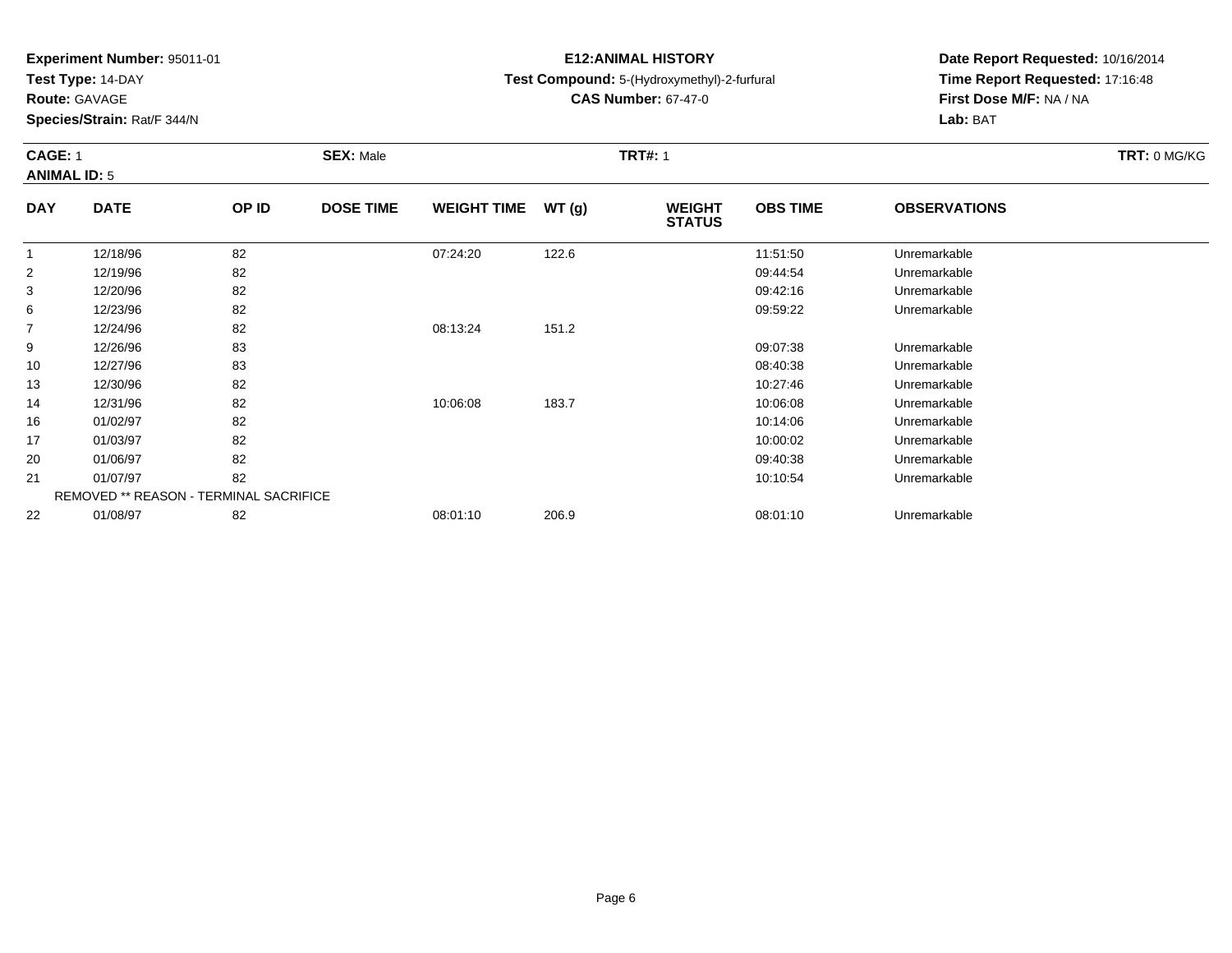**Test Type:** 14-DAY

**Route:** GAVAGE

**Species/Strain:** Rat/F 344/N

# **E12:ANIMAL HISTORY**

**Test Compound:** 5-(Hydroxymethyl)-2-furfural

**CAS Number:** 67-47-0

**Date Report Requested:** 10/16/2014 **Time Report Requested:** 17:16:48**First Dose M/F:** NA / NA**Lab:** BAT

### **CAGE:** 1 **SEX:** Male **TRT#:** <sup>1</sup> **TRT:** 0 MG/KG**ANIMAL ID:** 5**DAYOBS TIMEOBSERVATIONS**

| <b>DATE</b> | <b>OP ID</b> | <b>DOSE TIME</b> |                                               |       | <b>WEIGHT</b><br><b>STATUS</b> | <b>OBS TIME</b> | <b>OBSERVATIONS</b> |  |
|-------------|--------------|------------------|-----------------------------------------------|-------|--------------------------------|-----------------|---------------------|--|
| 12/18/96    | 82           |                  | 07:24:20                                      | 122.6 |                                | 11:51:50        | Unremarkable        |  |
| 12/19/96    | 82           |                  |                                               |       |                                | 09:44:54        | Unremarkable        |  |
| 12/20/96    | 82           |                  |                                               |       |                                | 09:42:16        | Unremarkable        |  |
| 12/23/96    | 82           |                  |                                               |       |                                | 09:59:22        | Unremarkable        |  |
| 12/24/96    | 82           |                  | 08:13:24                                      | 151.2 |                                |                 |                     |  |
| 12/26/96    | 83           |                  |                                               |       |                                | 09:07:38        | Unremarkable        |  |
| 12/27/96    | 83           |                  |                                               |       |                                | 08:40:38        | Unremarkable        |  |
| 12/30/96    | 82           |                  |                                               |       |                                | 10:27:46        | Unremarkable        |  |
| 12/31/96    | 82           |                  | 10:06:08                                      | 183.7 |                                | 10:06:08        | Unremarkable        |  |
| 01/02/97    | 82           |                  |                                               |       |                                | 10:14:06        | Unremarkable        |  |
| 01/03/97    | 82           |                  |                                               |       |                                | 10:00:02        | Unremarkable        |  |
| 01/06/97    | 82           |                  |                                               |       |                                | 09:40:38        | Unremarkable        |  |
| 01/07/97    | 82           |                  |                                               |       |                                | 10:10:54        | Unremarkable        |  |
|             |              |                  |                                               |       |                                |                 |                     |  |
| 01/08/97    | 82           |                  | 08:01:10                                      | 206.9 |                                | 08:01:10        | Unremarkable        |  |
|             |              |                  | <b>REMOVED ** REASON - TERMINAL SACRIFICE</b> |       | WEIGHT TIME $WT(g)$            |                 |                     |  |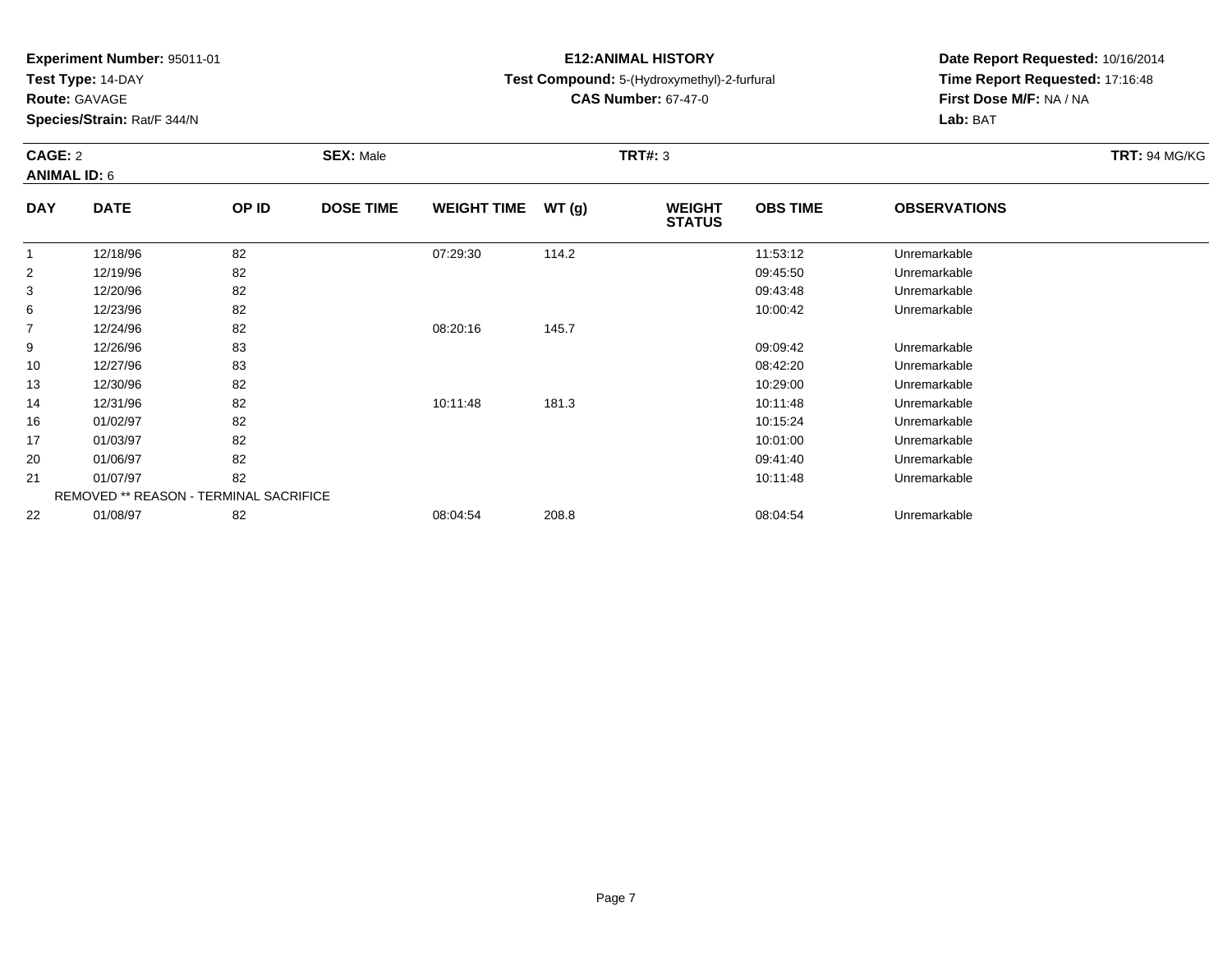**Test Type:** 14-DAY

**Route:** GAVAGE

**Species/Strain:** Rat/F 344/N

# **E12:ANIMAL HISTORY**

## **Test Compound:** 5-(Hydroxymethyl)-2-furfural

**CAS Number:** 67-47-0

**Date Report Requested:** 10/16/2014 **Time Report Requested:** 17:16:48**First Dose M/F:** NA / NA**Lab:** BAT

### **CAGE:** 2 **SEX:** Male **TRT#:** <sup>3</sup> **TRT:** 94 MG/KG**ANIMAL ID:** 6**DAYOBS TIMEOBSERVATIONS**

| <b>DAY</b> | <b>DATE</b>                                   | OP ID | <b>DOSE TIME</b> | <b>WEIGHT TIME</b> | WT(g) | <b>WEIGHT</b><br><b>STATUS</b> | <b>OBS TIME</b> | <b>OBSERVATIONS</b> |  |
|------------|-----------------------------------------------|-------|------------------|--------------------|-------|--------------------------------|-----------------|---------------------|--|
|            | 12/18/96                                      | 82    |                  | 07:29:30           | 114.2 |                                | 11:53:12        | Unremarkable        |  |
| 2          | 12/19/96                                      | 82    |                  |                    |       |                                | 09:45:50        | Unremarkable        |  |
| 3          | 12/20/96                                      | 82    |                  |                    |       |                                | 09:43:48        | Unremarkable        |  |
| 6          | 12/23/96                                      | 82    |                  |                    |       |                                | 10:00:42        | Unremarkable        |  |
| 7          | 12/24/96                                      | 82    |                  | 08:20:16           | 145.7 |                                |                 |                     |  |
| 9          | 12/26/96                                      | 83    |                  |                    |       |                                | 09:09:42        | Unremarkable        |  |
| 10         | 12/27/96                                      | 83    |                  |                    |       |                                | 08:42:20        | Unremarkable        |  |
| 13         | 12/30/96                                      | 82    |                  |                    |       |                                | 10:29:00        | Unremarkable        |  |
| 14         | 12/31/96                                      | 82    |                  | 10:11:48           | 181.3 |                                | 10:11:48        | Unremarkable        |  |
| 16         | 01/02/97                                      | 82    |                  |                    |       |                                | 10:15:24        | Unremarkable        |  |
| 17         | 01/03/97                                      | 82    |                  |                    |       |                                | 10:01:00        | Unremarkable        |  |
| 20         | 01/06/97                                      | 82    |                  |                    |       |                                | 09:41:40        | Unremarkable        |  |
| 21         | 01/07/97                                      | 82    |                  |                    |       |                                | 10:11:48        | Unremarkable        |  |
|            | <b>REMOVED ** REASON - TERMINAL SACRIFICE</b> |       |                  |                    |       |                                |                 |                     |  |
| 22         | 01/08/97                                      | 82    |                  | 08:04:54           | 208.8 |                                | 08:04:54        | Unremarkable        |  |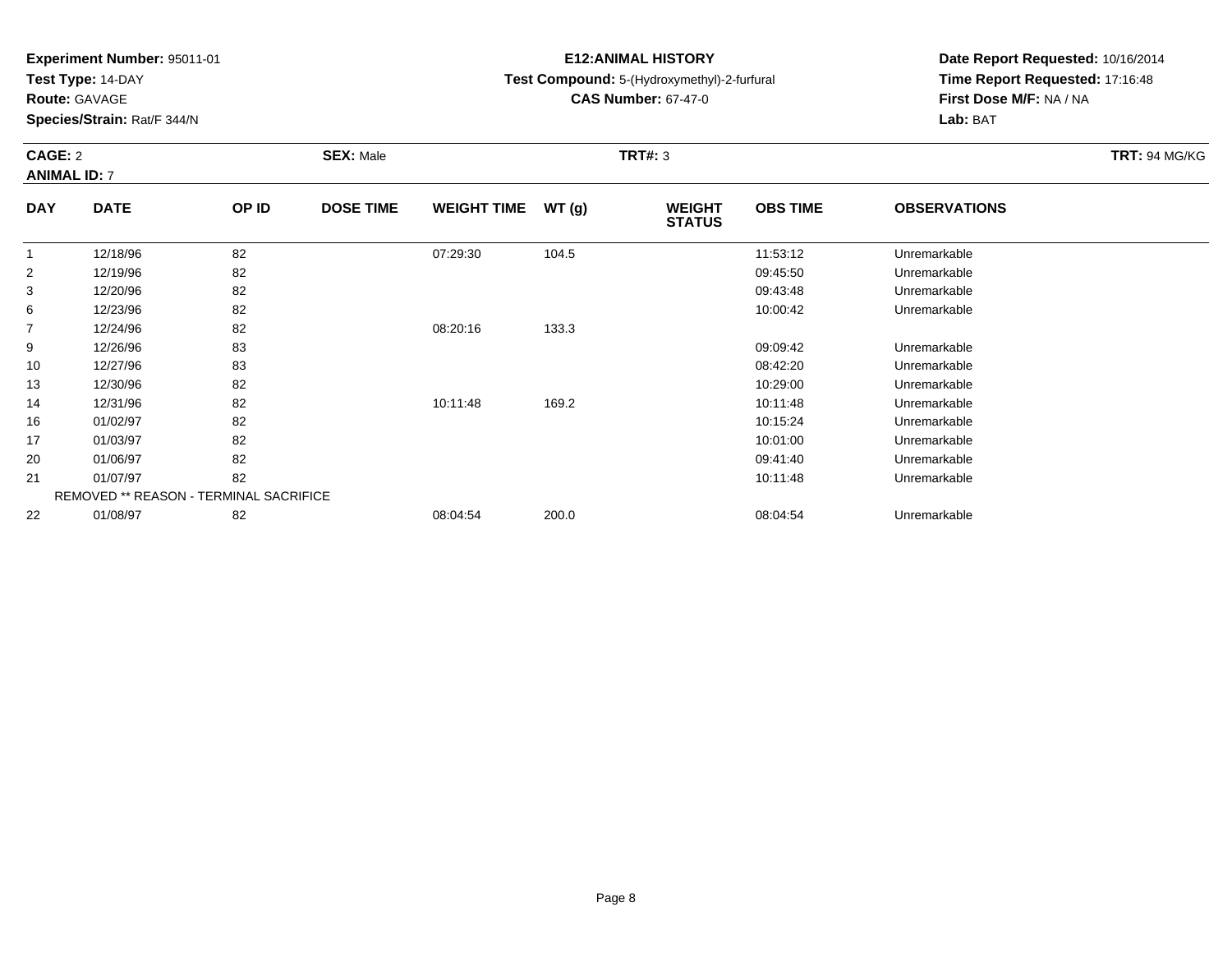**Test Type:** 14-DAY

**Route:** GAVAGE

**Species/Strain:** Rat/F 344/N

# **E12:ANIMAL HISTORY**

## **Test Compound:** 5-(Hydroxymethyl)-2-furfural

**CAS Number:** 67-47-0

**Date Report Requested:** 10/16/2014 **Time Report Requested:** 17:16:48**First Dose M/F:** NA / NA**Lab:** BAT

# **CAGE:** 2 **SEX:** Male **TRT#:** <sup>3</sup> **TRT:** 94 MG/KG**ANIMAL ID:** 7

| <b>DAY</b>     | <b>DATE</b>                                   | OP ID | <b>DOSE TIME</b> | <b>WEIGHT TIME</b> | WT(g) | <b>WEIGHT</b><br><b>STATUS</b> | <b>OBS TIME</b> | <b>OBSERVATIONS</b> |  |
|----------------|-----------------------------------------------|-------|------------------|--------------------|-------|--------------------------------|-----------------|---------------------|--|
|                | 12/18/96                                      | 82    |                  | 07:29:30           | 104.5 |                                | 11:53:12        | Unremarkable        |  |
| $\overline{2}$ | 12/19/96                                      | 82    |                  |                    |       |                                | 09:45:50        | Unremarkable        |  |
| 3              | 12/20/96                                      | 82    |                  |                    |       |                                | 09:43:48        | Unremarkable        |  |
| 6              | 12/23/96                                      | 82    |                  |                    |       |                                | 10:00:42        | Unremarkable        |  |
| $\overline{7}$ | 12/24/96                                      | 82    |                  | 08:20:16           | 133.3 |                                |                 |                     |  |
| 9              | 12/26/96                                      | 83    |                  |                    |       |                                | 09:09:42        | Unremarkable        |  |
| 10             | 12/27/96                                      | 83    |                  |                    |       |                                | 08:42:20        | Unremarkable        |  |
| 13             | 12/30/96                                      | 82    |                  |                    |       |                                | 10:29:00        | Unremarkable        |  |
| 14             | 12/31/96                                      | 82    |                  | 10:11:48           | 169.2 |                                | 10:11:48        | Unremarkable        |  |
| 16             | 01/02/97                                      | 82    |                  |                    |       |                                | 10:15:24        | Unremarkable        |  |
| 17             | 01/03/97                                      | 82    |                  |                    |       |                                | 10:01:00        | Unremarkable        |  |
| 20             | 01/06/97                                      | 82    |                  |                    |       |                                | 09:41:40        | Unremarkable        |  |
| 21             | 01/07/97                                      | 82    |                  |                    |       |                                | 10:11:48        | Unremarkable        |  |
|                | <b>REMOVED ** REASON - TERMINAL SACRIFICE</b> |       |                  |                    |       |                                |                 |                     |  |
| 22             | 01/08/97                                      | 82    |                  | 08:04:54           | 200.0 |                                | 08:04:54        | Unremarkable        |  |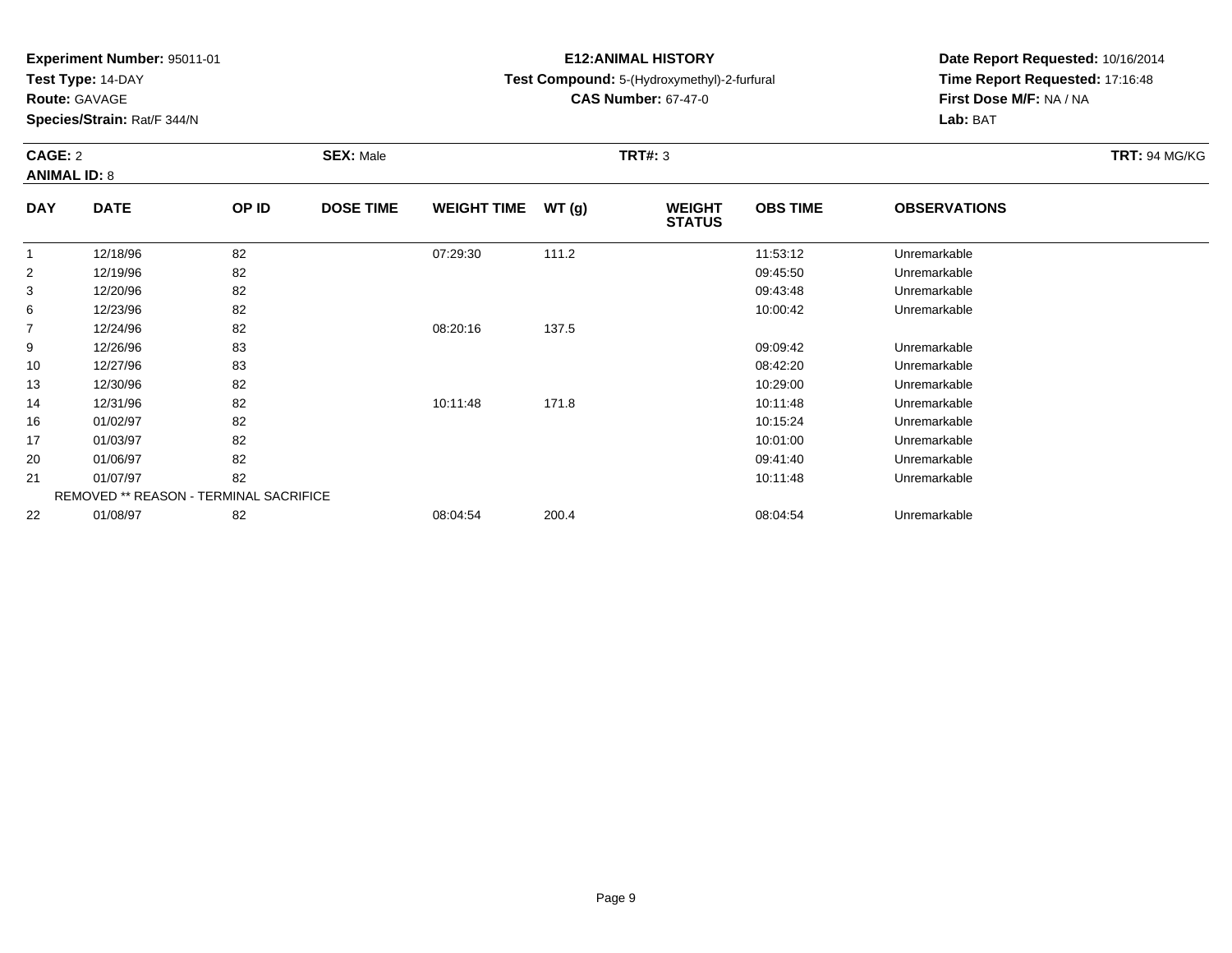**Test Type:** 14-DAY

**Route:** GAVAGE

**Species/Strain:** Rat/F 344/N

# **E12:ANIMAL HISTORY**

## **Test Compound:** 5-(Hydroxymethyl)-2-furfural

**CAS Number:** 67-47-0

**Date Report Requested:** 10/16/2014 **Time Report Requested:** 17:16:48**First Dose M/F:** NA / NA**Lab:** BAT

### **CAGE:** 2 **SEX:** Male **TRT#:** <sup>3</sup> **TRT:** 94 MG/KG**ANIMAL ID:** 8**DAYOBS TIMEOBSERVATIONS**

| <b>DATE</b> | <b>OP ID</b> | <b>DOSE TIME</b> |                                               |       | <b>WEIGHT</b><br><b>STATUS</b> | <b>OBS TIME</b> | <b>OBSERVATIONS</b> |  |
|-------------|--------------|------------------|-----------------------------------------------|-------|--------------------------------|-----------------|---------------------|--|
| 12/18/96    | 82           |                  | 07:29:30                                      | 111.2 |                                | 11:53:12        | Unremarkable        |  |
| 12/19/96    | 82           |                  |                                               |       |                                | 09:45:50        | Unremarkable        |  |
| 12/20/96    | 82           |                  |                                               |       |                                | 09:43:48        | Unremarkable        |  |
| 12/23/96    | 82           |                  |                                               |       |                                | 10:00:42        | Unremarkable        |  |
| 12/24/96    | 82           |                  | 08:20:16                                      | 137.5 |                                |                 |                     |  |
| 12/26/96    | 83           |                  |                                               |       |                                | 09:09:42        | Unremarkable        |  |
| 12/27/96    | 83           |                  |                                               |       |                                | 08:42:20        | Unremarkable        |  |
| 12/30/96    | 82           |                  |                                               |       |                                | 10:29:00        | Unremarkable        |  |
| 12/31/96    | 82           |                  | 10:11:48                                      | 171.8 |                                | 10:11:48        | Unremarkable        |  |
| 01/02/97    | 82           |                  |                                               |       |                                | 10:15:24        | Unremarkable        |  |
| 01/03/97    | 82           |                  |                                               |       |                                | 10:01:00        | Unremarkable        |  |
| 01/06/97    | 82           |                  |                                               |       |                                | 09:41:40        | Unremarkable        |  |
| 01/07/97    | 82           |                  |                                               |       |                                | 10:11:48        | Unremarkable        |  |
|             |              |                  |                                               |       |                                |                 |                     |  |
| 01/08/97    | 82           |                  | 08:04:54                                      | 200.4 |                                | 08:04:54        | Unremarkable        |  |
|             |              |                  | <b>REMOVED ** REASON - TERMINAL SACRIFICE</b> |       | WEIGHT TIME $WT(g)$            |                 |                     |  |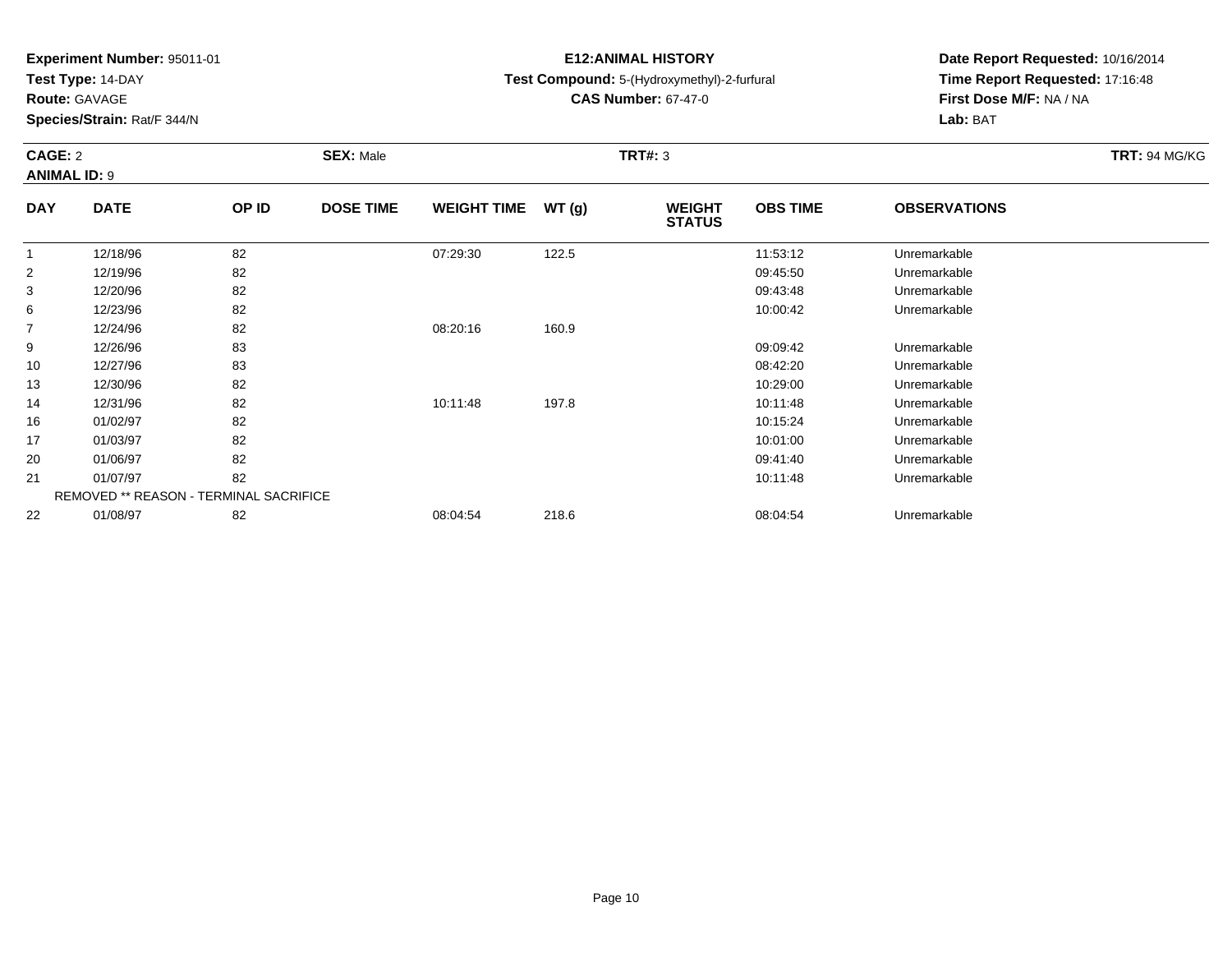**Test Type:** 14-DAY

**Route:** GAVAGE

**Species/Strain:** Rat/F 344/N

# **E12:ANIMAL HISTORY**

**Test Compound:** 5-(Hydroxymethyl)-2-furfural

**CAS Number:** 67-47-0

**Date Report Requested:** 10/16/2014 **Time Report Requested:** 17:16:48**First Dose M/F:** NA / NA**Lab:** BAT

### **CAGE:** 2 **SEX:** Male **TRT#:** <sup>3</sup> **TRT:** 94 MG/KG**ANIMAL ID:** 9**DAY DATE OP IDDOSE TIME WEIGHT TIME WT** (g) **STATUSOBS TIME OBSERVATIONS**  $\overline{1}$ 12/18/96 <sup>82</sup> 07:29:30 122.5 11:53:12 Unremarkable

|                | 12/10/90 | 0Z.                                    | ∪ປ.∠ອ.ບບ | 122.J | 11.00.12 | UITEITIAINAUIE |  |
|----------------|----------|----------------------------------------|----------|-------|----------|----------------|--|
| 2              | 12/19/96 | 82                                     |          |       | 09:45:50 | Unremarkable   |  |
| 3              | 12/20/96 | 82                                     |          |       | 09:43:48 | Unremarkable   |  |
| 6              | 12/23/96 | 82                                     |          |       | 10:00:42 | Unremarkable   |  |
| $\overline{7}$ | 12/24/96 | 82                                     | 08:20:16 | 160.9 |          |                |  |
| 9              | 12/26/96 | 83                                     |          |       | 09:09:42 | Unremarkable   |  |
| 10             | 12/27/96 | 83                                     |          |       | 08:42:20 | Unremarkable   |  |
| 13             | 12/30/96 | 82                                     |          |       | 10:29:00 | Unremarkable   |  |
| 14             | 12/31/96 | 82                                     | 10:11:48 | 197.8 | 10:11:48 | Unremarkable   |  |
| 16             | 01/02/97 | 82                                     |          |       | 10:15:24 | Unremarkable   |  |
| 17             | 01/03/97 | 82                                     |          |       | 10:01:00 | Unremarkable   |  |
| 20             | 01/06/97 | 82                                     |          |       | 09:41:40 | Unremarkable   |  |
| 21             | 01/07/97 | 82                                     |          |       | 10:11:48 | Unremarkable   |  |
|                |          | REMOVED ** REASON - TERMINAL SACRIFICE |          |       |          |                |  |
| 22             | 01/08/97 | 82                                     | 08:04:54 | 218.6 | 08:04:54 | Unremarkable   |  |
|                |          |                                        |          |       |          |                |  |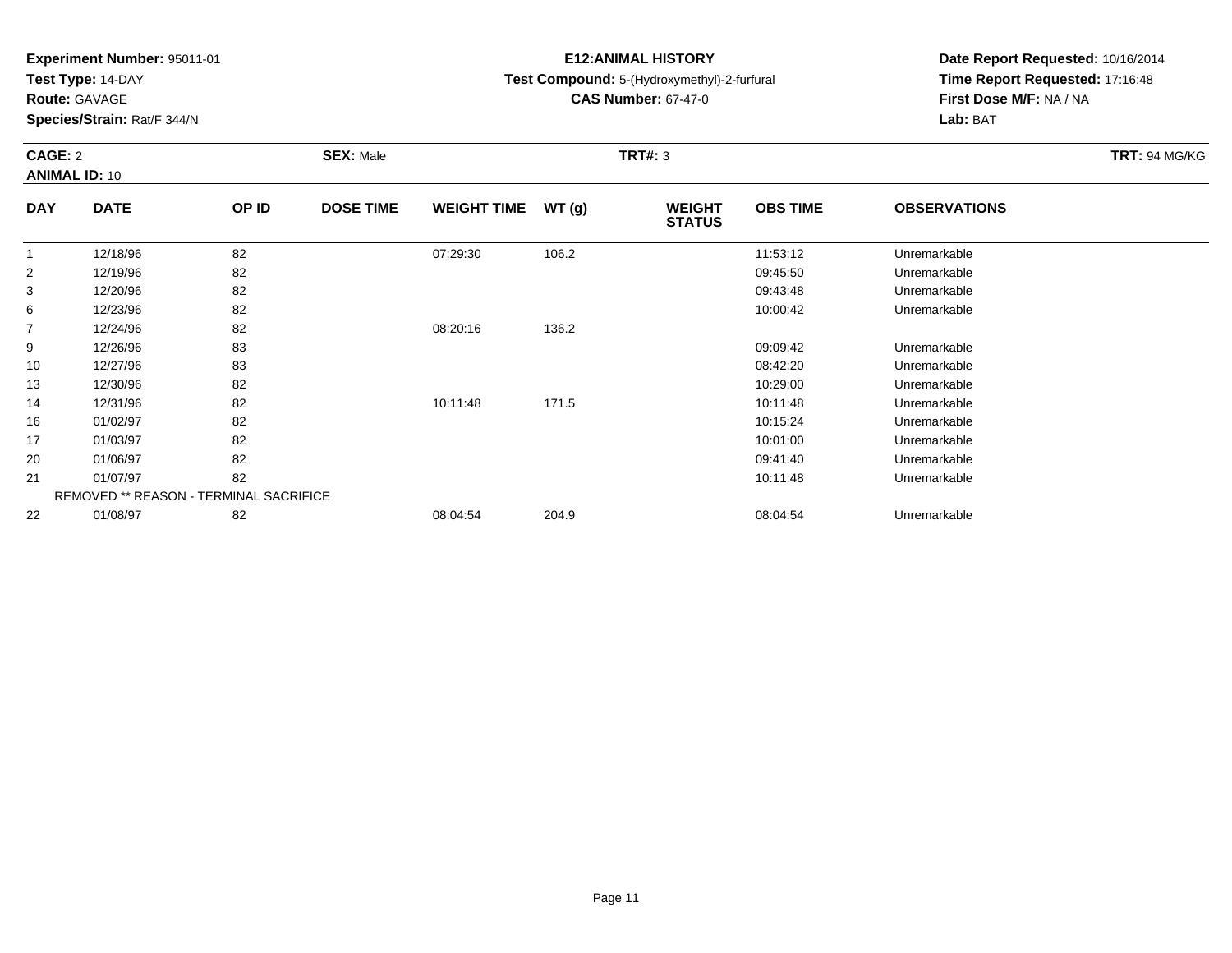**Test Type:** 14-DAY

**Route:** GAVAGE

**Species/Strain:** Rat/F 344/N

# **E12:ANIMAL HISTORY**

**Test Compound:** 5-(Hydroxymethyl)-2-furfural

**CAS Number:** 67-47-0

**Date Report Requested:** 10/16/2014 **Time Report Requested:** 17:16:48**First Dose M/F:** NA / NA**Lab:** BAT

### **CAGE:** 2 **SEX:** Male **TRT#:** <sup>3</sup> **TRT:** 94 MG/KG**ANIMAL ID:** 10**DAY DATE OP IDDOSE TIME WEIGHT TIME WT** (g) **STATUSOBS TIME OBSERVATIONS** 1 12/18/96 <sup>82</sup> 07:29:30 106.2 11:53:12 Unremarkable 2 12/19/96 <sup>82</sup> 09:45:50 Unremarkable 3 12/20/96 <sup>82</sup> 09:43:48 Unremarkable 6

| 3              | 12/20/96 | 82                                            |          |       | 09:43:48 | Unremarkable |  |
|----------------|----------|-----------------------------------------------|----------|-------|----------|--------------|--|
| 6              | 12/23/96 | 82                                            |          |       | 10:00:42 | Unremarkable |  |
| $\overline{7}$ | 12/24/96 | 82                                            | 08:20:16 | 136.2 |          |              |  |
| 9              | 12/26/96 | 83                                            |          |       | 09:09:42 | Unremarkable |  |
| 10             | 12/27/96 | 83                                            |          |       | 08:42:20 | Unremarkable |  |
| 13             | 12/30/96 | 82                                            |          |       | 10:29:00 | Unremarkable |  |
| 14             | 12/31/96 | 82                                            | 10:11:48 | 171.5 | 10:11:48 | Unremarkable |  |
| 16             | 01/02/97 | 82                                            |          |       | 10:15:24 | Unremarkable |  |
| 17             | 01/03/97 | 82                                            |          |       | 10:01:00 | Unremarkable |  |
| 20             | 01/06/97 | 82                                            |          |       | 09:41:40 | Unremarkable |  |
| 21             | 01/07/97 | 82                                            |          |       | 10:11:48 | Unremarkable |  |
|                |          | <b>REMOVED ** REASON - TERMINAL SACRIFICE</b> |          |       |          |              |  |
| 22             | 01/08/97 | 82                                            | 08:04:54 | 204.9 | 08:04:54 | Unremarkable |  |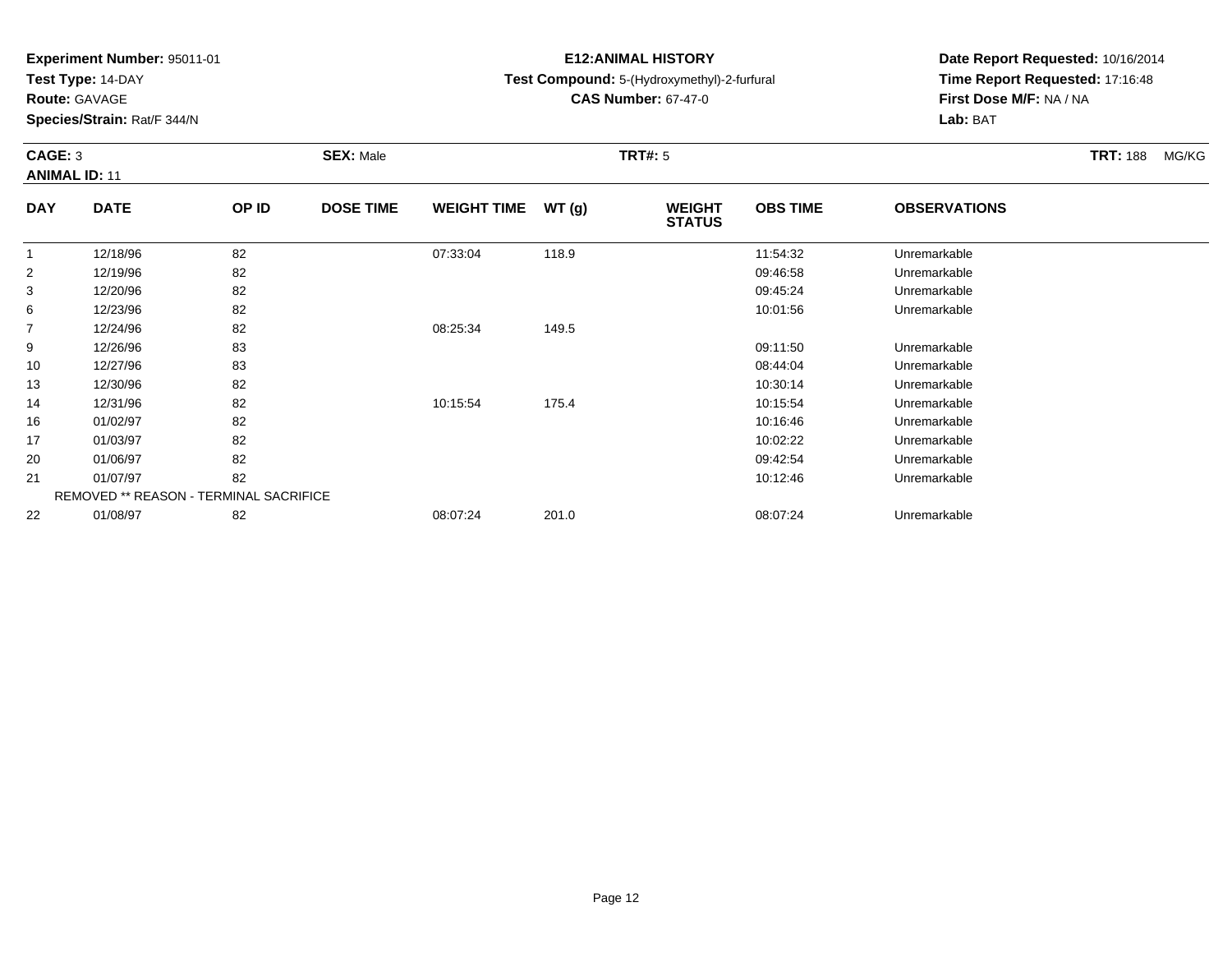**Test Type:** 14-DAY

**Route:** GAVAGE

**Species/Strain:** Rat/F 344/N

# **E12:ANIMAL HISTORY**

# **Test Compound:** 5-(Hydroxymethyl)-2-furfural

**CAS Number:** 67-47-0

**Date Report Requested:** 10/16/2014 **Time Report Requested:** 17:16:48**First Dose M/F:** NA / NA**Lab:** BAT

# **CAGE:** 3 **SEX:** Male **TRT#:** <sup>5</sup> **TRT:** 188 MG/KG**ANIMAL ID:** 11

| <b>DAY</b> | <b>DATE</b>                                   | OP ID | <b>DOSE TIME</b> | <b>WEIGHT TIME</b> | WT(g) | <b>WEIGHT</b><br><b>STATUS</b> | <b>OBS TIME</b> | <b>OBSERVATIONS</b> |  |
|------------|-----------------------------------------------|-------|------------------|--------------------|-------|--------------------------------|-----------------|---------------------|--|
|            | 12/18/96                                      | 82    |                  | 07:33:04           | 118.9 |                                | 11:54:32        | Unremarkable        |  |
| 2          | 12/19/96                                      | 82    |                  |                    |       |                                | 09:46:58        | Unremarkable        |  |
| 3          | 12/20/96                                      | 82    |                  |                    |       |                                | 09:45:24        | Unremarkable        |  |
| 6          | 12/23/96                                      | 82    |                  |                    |       |                                | 10:01:56        | Unremarkable        |  |
| 7          | 12/24/96                                      | 82    |                  | 08:25:34           | 149.5 |                                |                 |                     |  |
| 9          | 12/26/96                                      | 83    |                  |                    |       |                                | 09:11:50        | Unremarkable        |  |
| 10         | 12/27/96                                      | 83    |                  |                    |       |                                | 08:44:04        | Unremarkable        |  |
| 13         | 12/30/96                                      | 82    |                  |                    |       |                                | 10:30:14        | Unremarkable        |  |
| 14         | 12/31/96                                      | 82    |                  | 10:15:54           | 175.4 |                                | 10:15:54        | Unremarkable        |  |
| 16         | 01/02/97                                      | 82    |                  |                    |       |                                | 10:16:46        | Unremarkable        |  |
| 17         | 01/03/97                                      | 82    |                  |                    |       |                                | 10:02:22        | Unremarkable        |  |
| 20         | 01/06/97                                      | 82    |                  |                    |       |                                | 09:42:54        | Unremarkable        |  |
| 21         | 01/07/97                                      | 82    |                  |                    |       |                                | 10:12:46        | Unremarkable        |  |
|            | <b>REMOVED ** REASON - TERMINAL SACRIFICE</b> |       |                  |                    |       |                                |                 |                     |  |
| 22         | 01/08/97                                      | 82    |                  | 08:07:24           | 201.0 |                                | 08:07:24        | Unremarkable        |  |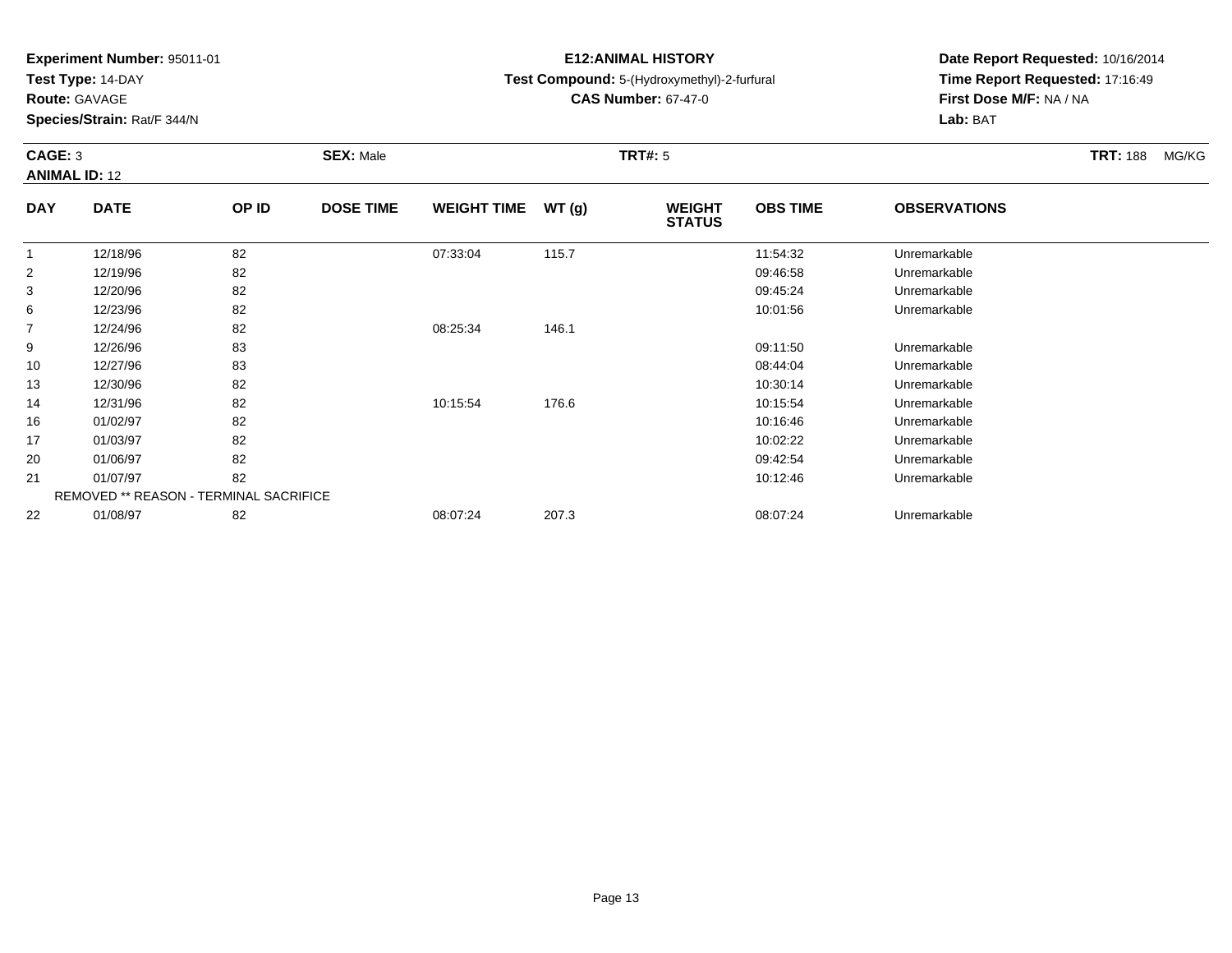**Test Type:** 14-DAY

**Route:** GAVAGE

**Species/Strain:** Rat/F 344/N

# **E12:ANIMAL HISTORY**

**Test Compound:** 5-(Hydroxymethyl)-2-furfural

**CAS Number:** 67-47-0

**Date Report Requested:** 10/16/2014**Time Report Requested:** 17:16:49**First Dose M/F:** NA / NA**Lab:** BAT

#### **CAGE:** 3 **SEX:** Male **TRT#:** <sup>5</sup> **TRT:** 188 MG/KG**ANIMAL ID:** 12**DAY DATE OP ID DOSE TIME WEIGHT TIME WT (g) WEIGHT OBS TIMEOBSERVATIONS**

| ----           | ----                                          |    | -------- |          | נפויי | <br><b>STATUS</b> | -------  | -------------- |  |
|----------------|-----------------------------------------------|----|----------|----------|-------|-------------------|----------|----------------|--|
|                | 12/18/96                                      | 82 |          | 07:33:04 | 115.7 |                   | 11:54:32 | Unremarkable   |  |
| $\overline{2}$ | 12/19/96                                      | 82 |          |          |       |                   | 09:46:58 | Unremarkable   |  |
| 3              | 12/20/96                                      | 82 |          |          |       |                   | 09:45:24 | Unremarkable   |  |
| 6              | 12/23/96                                      | 82 |          |          |       |                   | 10:01:56 | Unremarkable   |  |
| $\overline{7}$ | 12/24/96                                      | 82 |          | 08:25:34 | 146.1 |                   |          |                |  |
| 9              | 12/26/96                                      | 83 |          |          |       |                   | 09:11:50 | Unremarkable   |  |
| 10             | 12/27/96                                      | 83 |          |          |       |                   | 08:44:04 | Unremarkable   |  |
| 13             | 12/30/96                                      | 82 |          |          |       |                   | 10:30:14 | Unremarkable   |  |
| 14             | 12/31/96                                      | 82 |          | 10:15:54 | 176.6 |                   | 10:15:54 | Unremarkable   |  |
| 16             | 01/02/97                                      | 82 |          |          |       |                   | 10:16:46 | Unremarkable   |  |
| 17             | 01/03/97                                      | 82 |          |          |       |                   | 10:02:22 | Unremarkable   |  |
| 20             | 01/06/97                                      | 82 |          |          |       |                   | 09:42:54 | Unremarkable   |  |
| 21             | 01/07/97                                      | 82 |          |          |       |                   | 10:12:46 | Unremarkable   |  |
|                | <b>REMOVED ** REASON - TERMINAL SACRIFICE</b> |    |          |          |       |                   |          |                |  |
| 22             | 01/08/97                                      | 82 |          | 08:07:24 | 207.3 |                   | 08:07:24 | Unremarkable   |  |
|                |                                               |    |          |          |       |                   |          |                |  |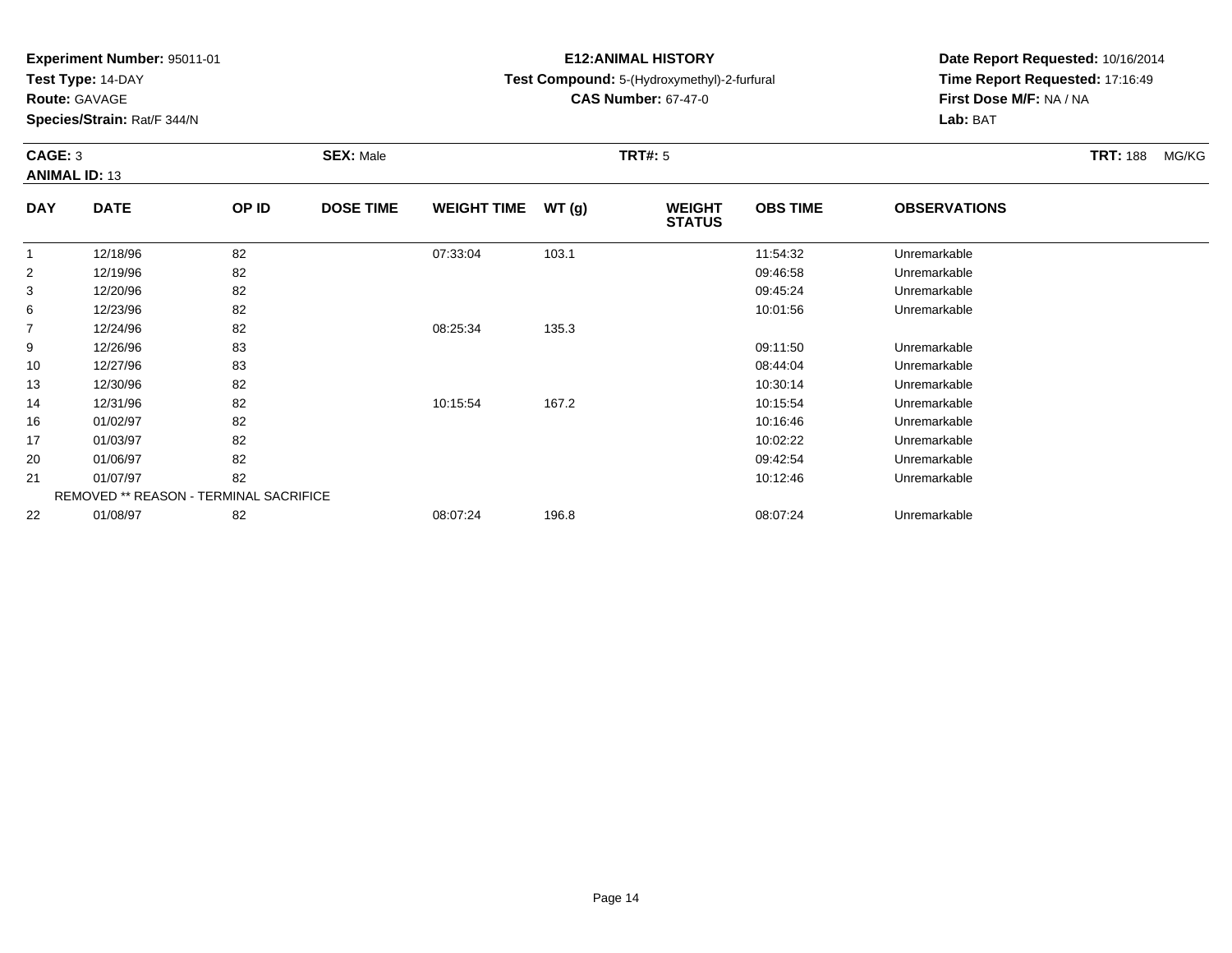**Test Type:** 14-DAY

**Route:** GAVAGE

**Species/Strain:** Rat/F 344/N

# **E12:ANIMAL HISTORY**

**Test Compound:** 5-(Hydroxymethyl)-2-furfural

**CAS Number:** 67-47-0

**Date Report Requested:** 10/16/2014**Time Report Requested:** 17:16:49**First Dose M/F:** NA / NA**Lab:** BAT

### **CAGE:** 3 **SEX:** Male **TRT#:** <sup>5</sup> **TRT:** 188 MG/KG**ANIMAL ID:** 13**DAY DATE OP IDDOSE TIME WEIGHT TIME WT** (g) **STATUSOBS TIME OBSERVATIONS** 1 12/18/96 <sup>82</sup> 07:33:04 103.1 11:54:32 Unremarkable 2 12/19/96 <sup>82</sup> 09:46:58 Unremarkable 3 12/20/96 <sup>82</sup> 09:45:24 Unremarkable 6 12/23/96 <sup>82</sup> 10:01:56 Unremarkable 712/24/96 <sup>82</sup> 08:25:34 135.3

|    | 12/24/96 | 82                                            | 08:25:34 | 135.3 |          |              |  |
|----|----------|-----------------------------------------------|----------|-------|----------|--------------|--|
| 9  | 12/26/96 | 83                                            |          |       | 09:11:50 | Unremarkable |  |
| 10 | 12/27/96 | 83                                            |          |       | 08:44:04 | Unremarkable |  |
| 13 | 12/30/96 | 82                                            |          |       | 10:30:14 | Unremarkable |  |
| 14 | 12/31/96 | 82                                            | 10:15:54 | 167.2 | 10:15:54 | Unremarkable |  |
| 16 | 01/02/97 | 82                                            |          |       | 10:16:46 | Unremarkable |  |
| 17 | 01/03/97 | 82                                            |          |       | 10:02:22 | Unremarkable |  |
| 20 | 01/06/97 | 82                                            |          |       | 09:42:54 | Unremarkable |  |
| 21 | 01/07/97 | 82                                            |          |       | 10:12:46 | Unremarkable |  |
|    |          | <b>REMOVED ** REASON - TERMINAL SACRIFICE</b> |          |       |          |              |  |
| 22 | 01/08/97 | 82                                            | 08:07:24 | 196.8 | 08:07:24 | Unremarkable |  |
|    |          |                                               |          |       |          |              |  |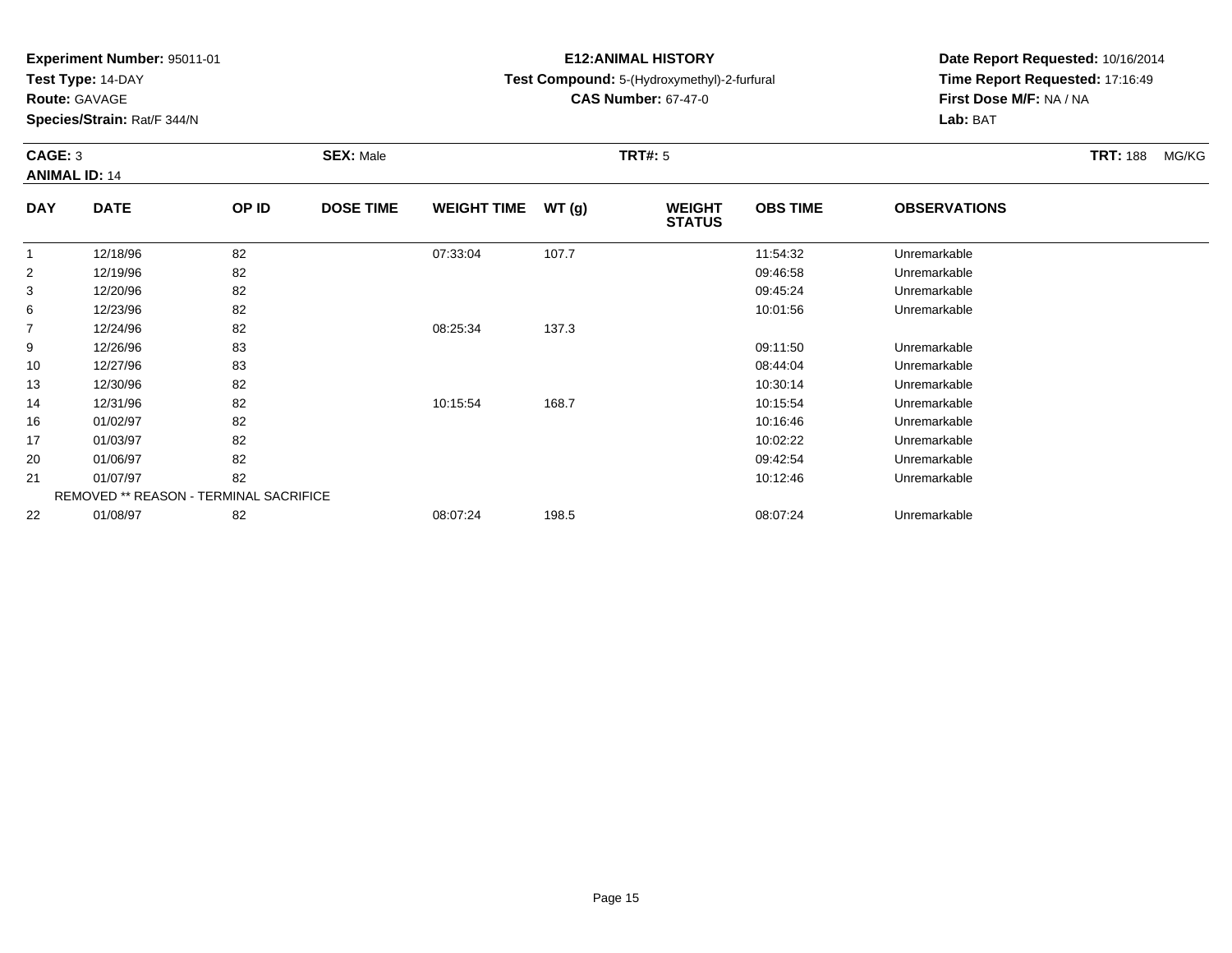**Test Type:** 14-DAY

**Route:** GAVAGE

**Species/Strain:** Rat/F 344/N

# **E12:ANIMAL HISTORY**

# **Test Compound:** 5-(Hydroxymethyl)-2-furfural

**CAS Number:** 67-47-0

**Date Report Requested:** 10/16/2014 **Time Report Requested:** 17:16:49**First Dose M/F:** NA / NA**Lab:** BAT

### **CAGE:** 3 **SEX:** Male **TRT#:** <sup>5</sup> **TRT:** 188 MG/KG**ANIMAL ID:** 14**DAYOBS TIMEOBSERVATIONS**

| <b>DAY</b>     | <b>DATE</b>                                   | OP ID | <b>DOSE TIME</b> | WEIGHT TIME $WT(g)$ |       | <b>WEIGHT</b><br><b>STATUS</b> | <b>OBS TIME</b> | <b>OBSERVATIONS</b> |  |
|----------------|-----------------------------------------------|-------|------------------|---------------------|-------|--------------------------------|-----------------|---------------------|--|
|                | 12/18/96                                      | 82    |                  | 07:33:04            | 107.7 |                                | 11:54:32        | Unremarkable        |  |
| $\overline{2}$ | 12/19/96                                      | 82    |                  |                     |       |                                | 09:46:58        | Unremarkable        |  |
| 3              | 12/20/96                                      | 82    |                  |                     |       |                                | 09:45:24        | Unremarkable        |  |
| 6              | 12/23/96                                      | 82    |                  |                     |       |                                | 10:01:56        | Unremarkable        |  |
| 7              | 12/24/96                                      | 82    |                  | 08:25:34            | 137.3 |                                |                 |                     |  |
| 9              | 12/26/96                                      | 83    |                  |                     |       |                                | 09:11:50        | Unremarkable        |  |
| 10             | 12/27/96                                      | 83    |                  |                     |       |                                | 08:44:04        | Unremarkable        |  |
| 13             | 12/30/96                                      | 82    |                  |                     |       |                                | 10:30:14        | Unremarkable        |  |
| 14             | 12/31/96                                      | 82    |                  | 10:15:54            | 168.7 |                                | 10:15:54        | Unremarkable        |  |
| 16             | 01/02/97                                      | 82    |                  |                     |       |                                | 10:16:46        | Unremarkable        |  |
| 17             | 01/03/97                                      | 82    |                  |                     |       |                                | 10:02:22        | Unremarkable        |  |
| 20             | 01/06/97                                      | 82    |                  |                     |       |                                | 09:42:54        | Unremarkable        |  |
| 21             | 01/07/97                                      | 82    |                  |                     |       |                                | 10:12:46        | Unremarkable        |  |
|                | <b>REMOVED ** REASON - TERMINAL SACRIFICE</b> |       |                  |                     |       |                                |                 |                     |  |
| 22             | 01/08/97                                      | 82    |                  | 08:07:24            | 198.5 |                                | 08:07:24        | Unremarkable        |  |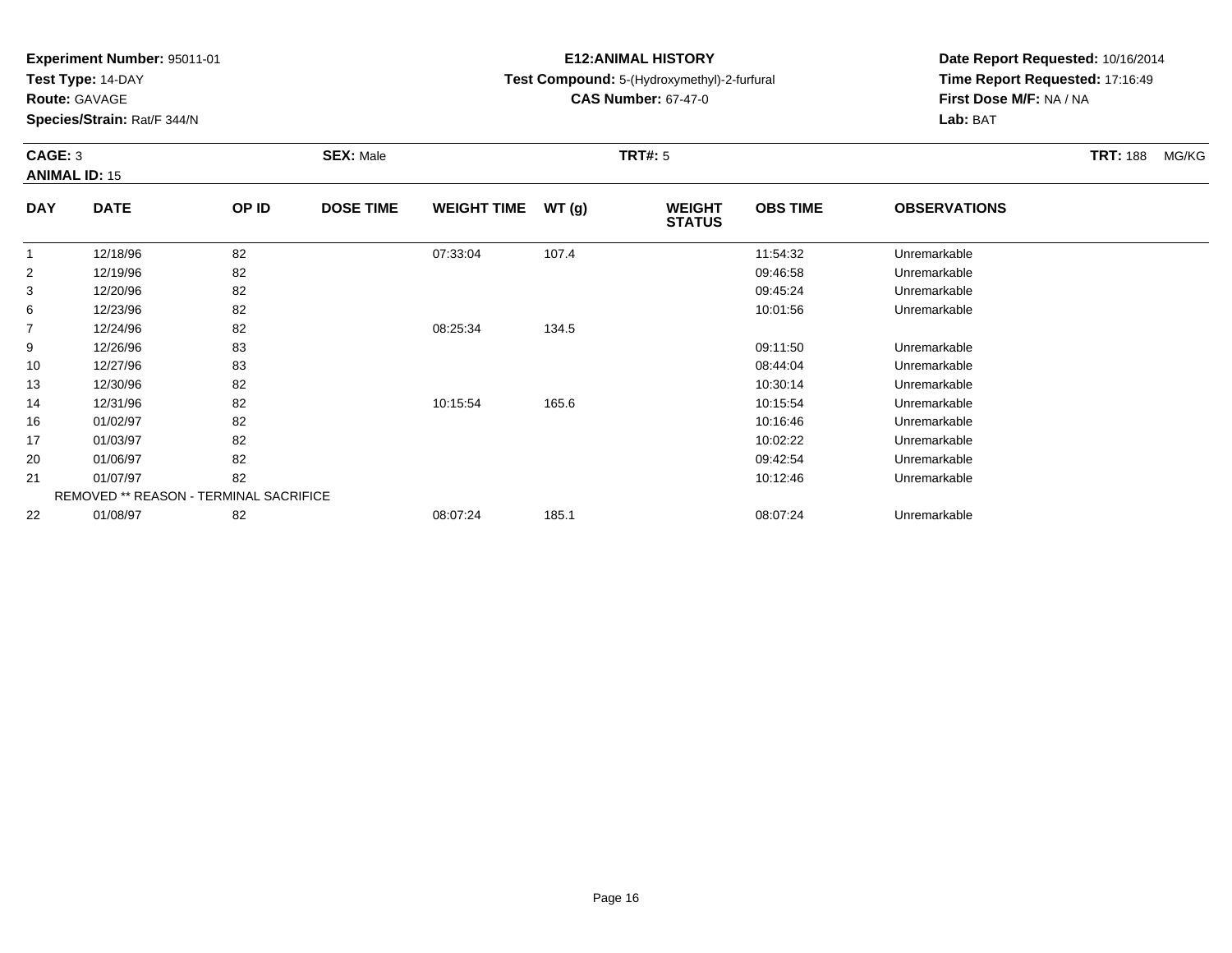**Test Type:** 14-DAY

**Route:** GAVAGE

**Species/Strain:** Rat/F 344/N

# **E12:ANIMAL HISTORY**

# **Test Compound:** 5-(Hydroxymethyl)-2-furfural

**CAS Number:** 67-47-0

**Date Report Requested:** 10/16/2014**Time Report Requested:** 17:16:49**First Dose M/F:** NA / NA**Lab:** BAT

### **CAGE:** 3 **SEX:** Male **TRT#:** <sup>5</sup> **TRT:** 188 MG/KG**ANIMAL ID:** 15**DAYOBS TIMEOBSERVATIONS**

| <b>DAY</b> | <b>DATE</b>                                   | OP ID | <b>DOSE TIME</b> | <b>WEIGHT TIME</b> | WT(g) | <b>WEIGHT</b><br><b>STATUS</b> | <b>OBS TIME</b> | <b>OBSERVATIONS</b> |  |
|------------|-----------------------------------------------|-------|------------------|--------------------|-------|--------------------------------|-----------------|---------------------|--|
|            | 12/18/96                                      | 82    |                  | 07:33:04           | 107.4 |                                | 11:54:32        | Unremarkable        |  |
| 2          | 12/19/96                                      | 82    |                  |                    |       |                                | 09:46:58        | Unremarkable        |  |
| 3          | 12/20/96                                      | 82    |                  |                    |       |                                | 09:45:24        | Unremarkable        |  |
| 6          | 12/23/96                                      | 82    |                  |                    |       |                                | 10:01:56        | Unremarkable        |  |
| 7          | 12/24/96                                      | 82    |                  | 08:25:34           | 134.5 |                                |                 |                     |  |
| 9          | 12/26/96                                      | 83    |                  |                    |       |                                | 09:11:50        | Unremarkable        |  |
| 10         | 12/27/96                                      | 83    |                  |                    |       |                                | 08:44:04        | Unremarkable        |  |
| 13         | 12/30/96                                      | 82    |                  |                    |       |                                | 10:30:14        | Unremarkable        |  |
| 14         | 12/31/96                                      | 82    |                  | 10:15:54           | 165.6 |                                | 10:15:54        | Unremarkable        |  |
| 16         | 01/02/97                                      | 82    |                  |                    |       |                                | 10:16:46        | Unremarkable        |  |
| 17         | 01/03/97                                      | 82    |                  |                    |       |                                | 10:02:22        | Unremarkable        |  |
| 20         | 01/06/97                                      | 82    |                  |                    |       |                                | 09:42:54        | Unremarkable        |  |
| 21         | 01/07/97                                      | 82    |                  |                    |       |                                | 10:12:46        | Unremarkable        |  |
|            | <b>REMOVED ** REASON - TERMINAL SACRIFICE</b> |       |                  |                    |       |                                |                 |                     |  |
| 22         | 01/08/97                                      | 82    |                  | 08:07:24           | 185.1 |                                | 08:07:24        | Unremarkable        |  |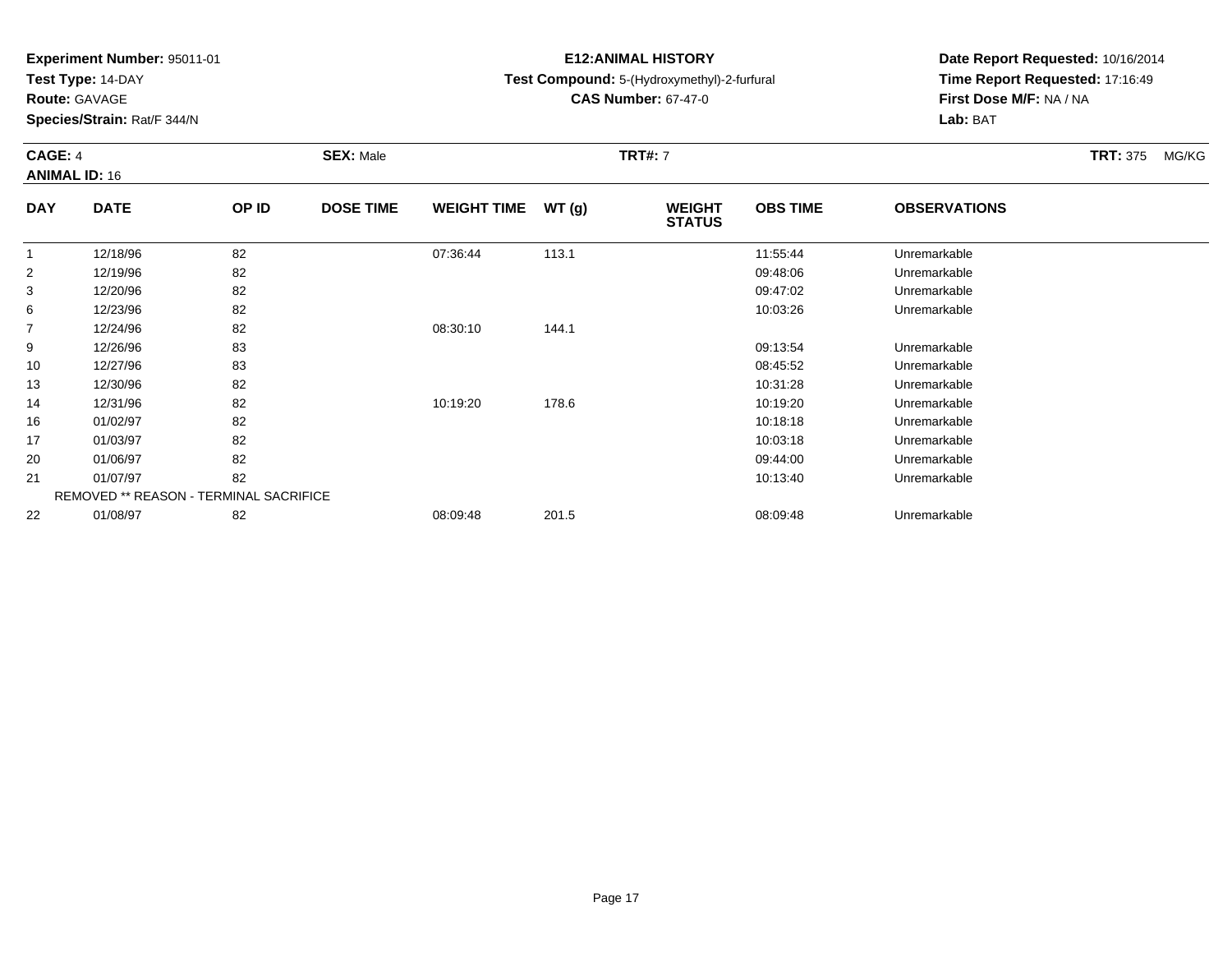**Test Type:** 14-DAY

**Route:** GAVAGE

14

16

17

20

21

22

**Species/Strain:** Rat/F 344/N

REMOVED \*\* REASON - TERMINAL SACRIFICE

# **E12:ANIMAL HISTORY**

**Test Compound:** 5-(Hydroxymethyl)-2-furfural

**CAS Number:** 67-47-0

**Date Report Requested:** 10/16/2014**Time Report Requested:** 17:16:49**First Dose M/F:** NA / NA**Lab:** BAT

#### **CAGE:** 4 **SEX:** Male **TRT#:** <sup>7</sup> **TRT:** 375 MG/KG**ANIMAL ID:** 16**DAY DATE OP IDDOSE TIME WEIGHT TIME WT** (g) **STATUSOBS TIME OBSERVATIONS** 1 12/18/96 <sup>82</sup> 07:36:44 113.1 11:55:44 Unremarkable 2 12/19/96 <sup>82</sup> 09:48:06 Unremarkable 3 12/20/96 <sup>82</sup> 09:47:02 Unremarkable 66 12/23/96 82 82 10:03:26 10:03:26 Unremarkable 7 12/24/96 <sup>82</sup> 08:30:10 144.1 9 12/26/96 <sup>83</sup> 09:13:54 Unremarkable 10 12/27/96 <sup>83</sup> 08:45:52 Unremarkable 1312/30/96 <sup>82</sup> 10:31:28 Unremarkable

12/31/96 <sup>82</sup> 10:19:20 178.6 10:19:20 Unremarkable

01/02/97 <sup>82</sup> 10:18:18 Unremarkable

01/03/97 <sup>82</sup> 10:03:18 Unremarkable

01/06/97 <sup>82</sup> 09:44:00 Unremarkable

1 1 01/07/97 282 82 10:13:40 1 01/07/97 10:13:40 10:13:40 10:13:40

01/08/97 <sup>82</sup> 08:09:48 201.5 08:09:48 Unremarkable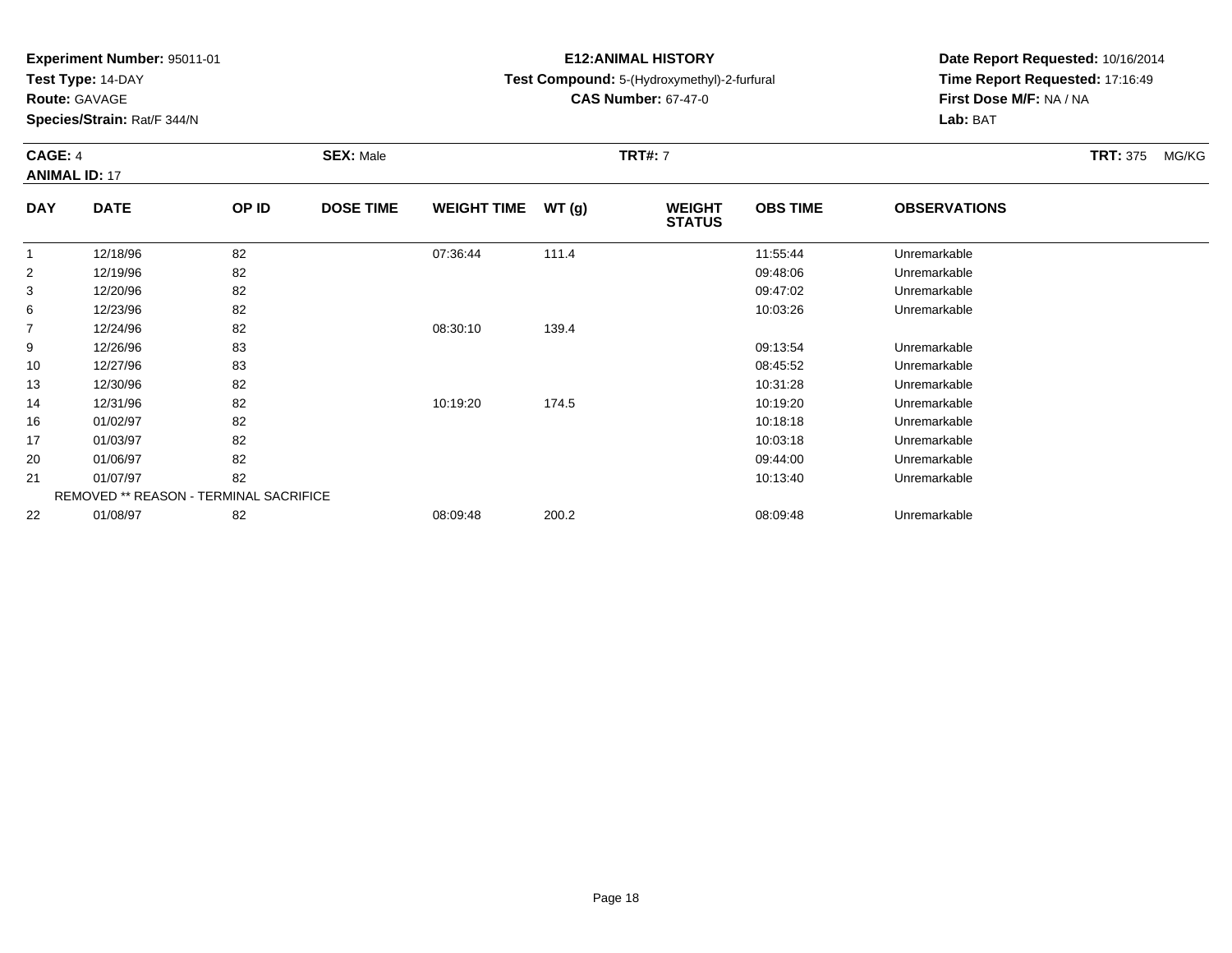**Test Type:** 14-DAY

**Route:** GAVAGE

**Species/Strain:** Rat/F 344/N

# **E12:ANIMAL HISTORY**

**Test Compound:** 5-(Hydroxymethyl)-2-furfural

**CAS Number:** 67-47-0

**Date Report Requested:** 10/16/2014**Time Report Requested:** 17:16:49**First Dose M/F:** NA / NA**Lab:** BAT

### **CAGE:** 4 **SEX:** Male **TRT#:** <sup>7</sup> **TRT:** 375 MG/KG**ANIMAL ID:** 17**DAY DATE OP IDDOSE TIME WEIGHT TIME WT** (g) **STATUSOBS TIME OBSERVATIONS** 1 12/18/96 <sup>82</sup> 07:36:44 111.4 11:55:44 Unremarkable 212/19/96 <sup>82</sup> 09:48:06 Unremarkable

| 3              | 12/20/96 | 82                                            |          |       | 09:47:02 | Unremarkable |  |
|----------------|----------|-----------------------------------------------|----------|-------|----------|--------------|--|
| 6              | 12/23/96 | 82                                            |          |       | 10:03:26 | Unremarkable |  |
| $\overline{7}$ | 12/24/96 | 82                                            | 08:30:10 | 139.4 |          |              |  |
| 9              | 12/26/96 | 83                                            |          |       | 09:13:54 | Unremarkable |  |
| 10             | 12/27/96 | 83                                            |          |       | 08:45:52 | Unremarkable |  |
| 13             | 12/30/96 | 82                                            |          |       | 10:31:28 | Unremarkable |  |
| 14             | 12/31/96 | 82                                            | 10:19:20 | 174.5 | 10:19:20 | Unremarkable |  |
| 16             | 01/02/97 | 82                                            |          |       | 10:18:18 | Unremarkable |  |
| 17             | 01/03/97 | 82                                            |          |       | 10:03:18 | Unremarkable |  |
| 20             | 01/06/97 | 82                                            |          |       | 09:44:00 | Unremarkable |  |
| 21             | 01/07/97 | 82                                            |          |       | 10:13:40 | Unremarkable |  |
|                |          | <b>REMOVED ** REASON - TERMINAL SACRIFICE</b> |          |       |          |              |  |
| 22             | 01/08/97 | 82                                            | 08:09:48 | 200.2 | 08:09:48 | Unremarkable |  |
|                |          |                                               |          |       |          |              |  |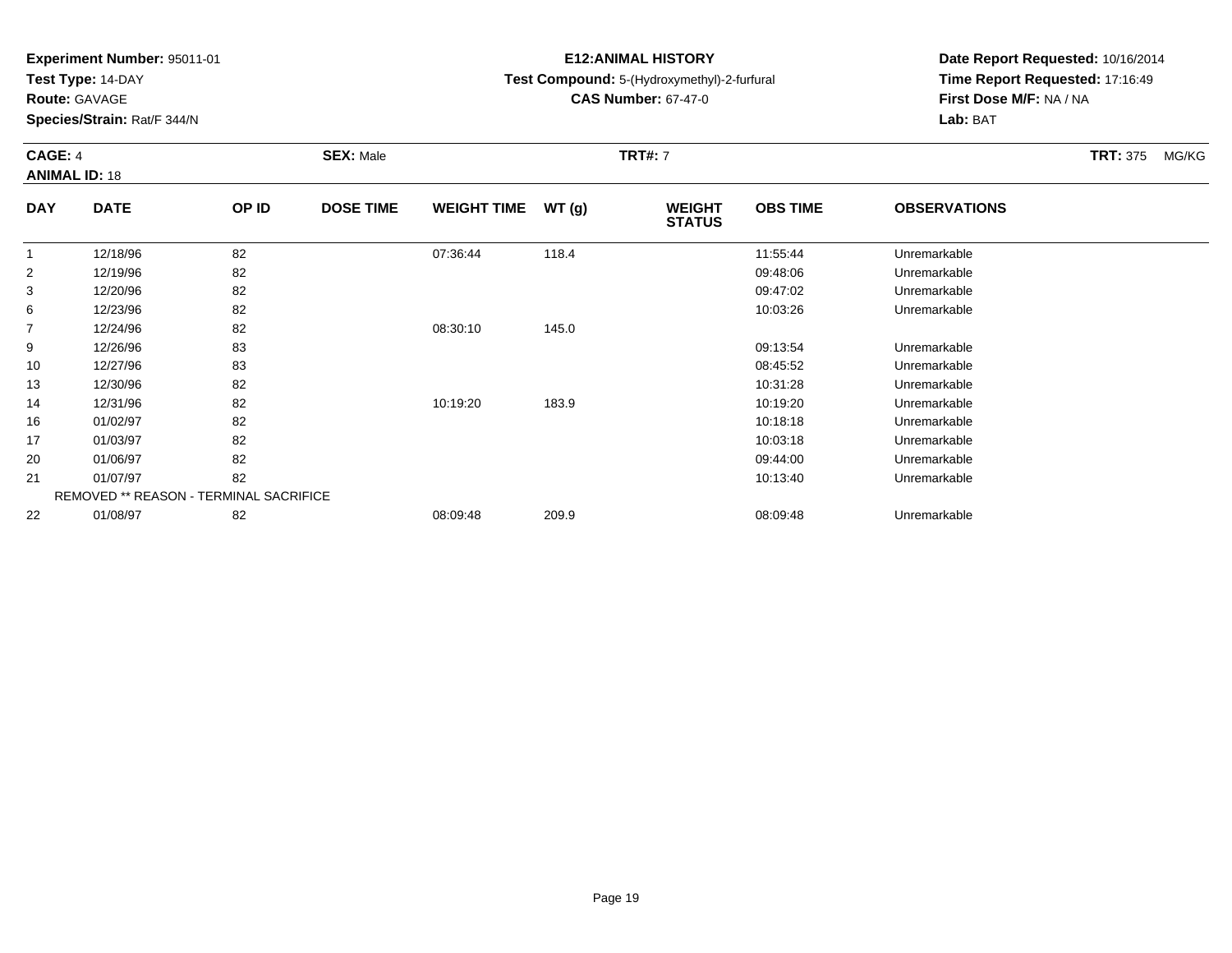**Test Type:** 14-DAY

**Route:** GAVAGE

16

17

20

21

22

**Species/Strain:** Rat/F 344/N

REMOVED \*\* REASON - TERMINAL SACRIFICE

# **E12:ANIMAL HISTORY**

**Test Compound:** 5-(Hydroxymethyl)-2-furfural

**CAS Number:** 67-47-0

**Date Report Requested:** 10/16/2014**Time Report Requested:** 17:16:49**First Dose M/F:** NA / NA**Lab:** BAT

### **CAGE:** 4 **SEX:** Male **TRT#:** <sup>7</sup> **TRT:** 375 MG/KG**ANIMAL ID:** 18**DAY DATE OP IDDOSE TIME WEIGHT TIME WT** (g) **STATUSOBS TIME OBSERVATIONS** 1 12/18/96 <sup>82</sup> 07:36:44 118.4 11:55:44 Unremarkable 2 12/19/96 <sup>82</sup> 09:48:06 Unremarkable 3 12/20/96 <sup>82</sup> 09:47:02 Unremarkable 66 12/23/96 82 82 10:03:26 10:03:26 Unremarkable 7 12/24/96 <sup>82</sup> 08:30:10 145.0 9 12/26/96 <sup>83</sup> 09:13:54 Unremarkable 10 12/27/96 <sup>83</sup> 08:45:52 Unremarkable 13 12/30/96 <sup>82</sup> 10:31:28 Unremarkable 14

12/31/96 <sup>82</sup> 10:19:20 183.9 10:19:20 Unremarkable

01/02/97 <sup>82</sup> 10:18:18 Unremarkable

01/03/97 <sup>82</sup> 10:03:18 Unremarkable

01/06/97 <sup>82</sup> 09:44:00 Unremarkable

1 1 01/07/97 282 82 10:13:40 1 01/07/97 10:13:40 10:13:40 10:13:40

01/08/97 <sup>82</sup> 08:09:48 209.9 08:09:48 Unremarkable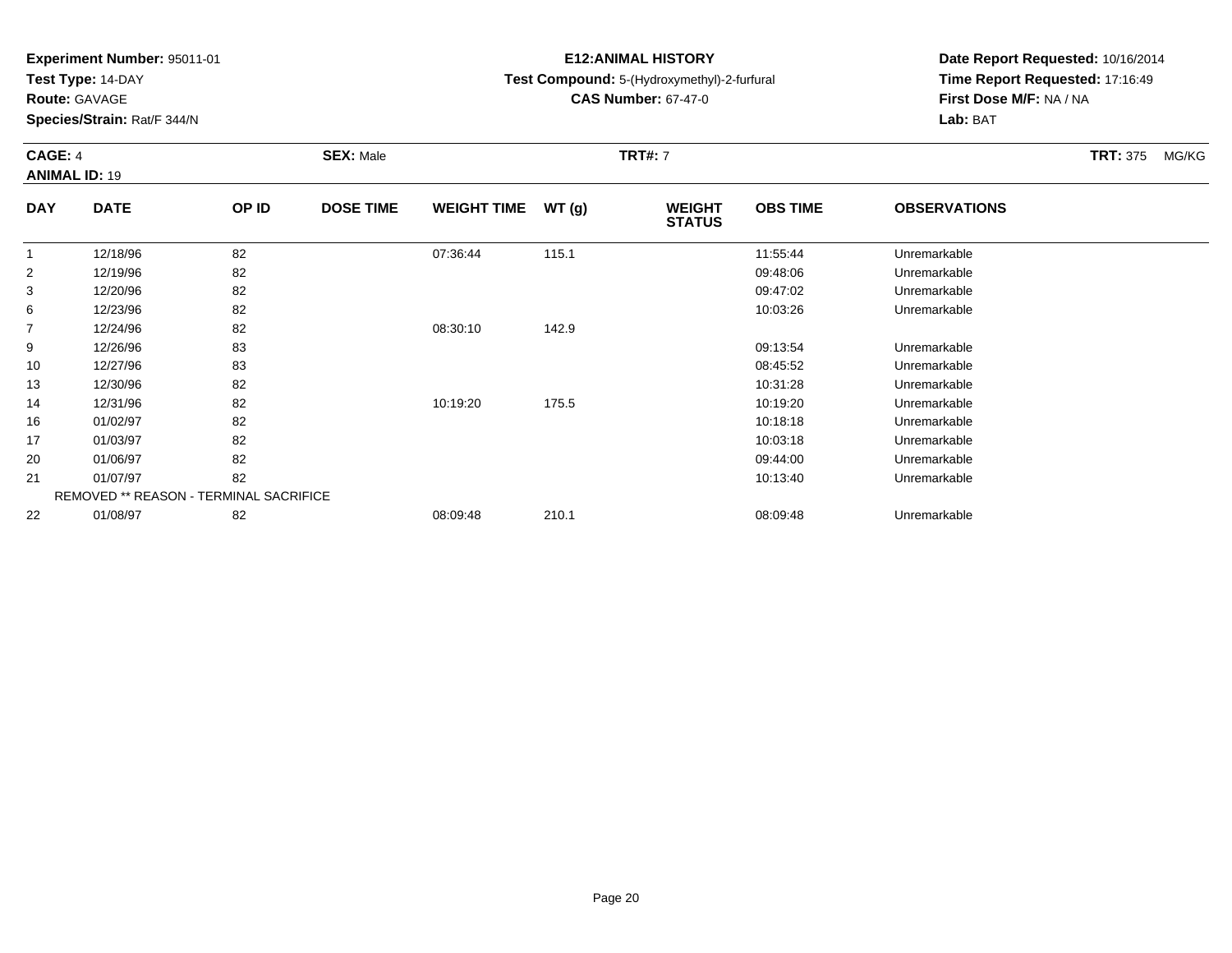**Test Type:** 14-DAY

**Route:** GAVAGE

14

16

17

20

21

22

**Species/Strain:** Rat/F 344/N

REMOVED \*\* REASON - TERMINAL SACRIFICE

# **E12:ANIMAL HISTORY**

**Test Compound:** 5-(Hydroxymethyl)-2-furfural

**CAS Number:** 67-47-0

**Date Report Requested:** 10/16/2014**Time Report Requested:** 17:16:49**First Dose M/F:** NA / NA**Lab:** BAT

#### **CAGE:** 4 **SEX:** Male **TRT#:** <sup>7</sup> **TRT:** 375 MG/KG**ANIMAL ID:** 19**DAY DATE OP IDDOSE TIME WEIGHT TIME WT** (g) **STATUSOBS TIME OBSERVATIONS** 1 12/18/96 <sup>82</sup> 07:36:44 115.1 11:55:44 Unremarkable 2 12/19/96 <sup>82</sup> 09:48:06 Unremarkable 3 12/20/96 <sup>82</sup> 09:47:02 Unremarkable 66 12/23/96 82 82 10:03:26 10:03:26 Unremarkable 7 12/24/96 <sup>82</sup> 08:30:10 142.9 9 12/26/96 <sup>83</sup> 09:13:54 Unremarkable 10 12/27/96 <sup>83</sup> 08:45:52 Unremarkable 1312/30/96 <sup>82</sup> 10:31:28 Unremarkable

12/31/96 <sup>82</sup> 10:19:20 175.5 10:19:20 Unremarkable

01/02/97 <sup>82</sup> 10:18:18 Unremarkable

01/03/97 <sup>82</sup> 10:03:18 Unremarkable

01/06/97 <sup>82</sup> 09:44:00 Unremarkable

1 1 01/07/97 282 82 10:13:40 1 01/07/97 10:13:40 10:13:40 10:13:40

01/08/97 <sup>82</sup> 08:09:48 210.1 08:09:48 Unremarkable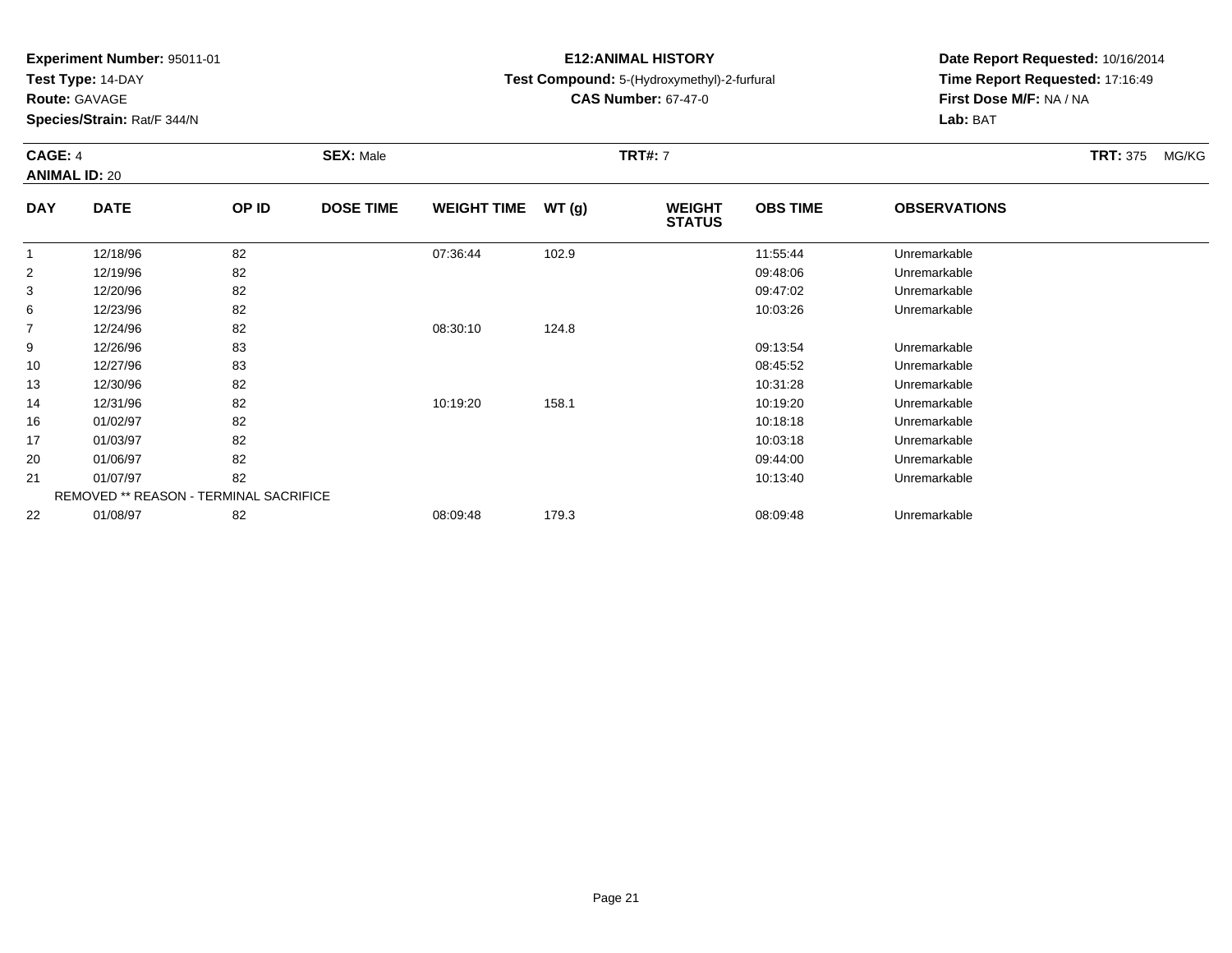**Test Type:** 14-DAY

**Route:** GAVAGE

13

14

16

17

20

21

22

**Species/Strain:** Rat/F 344/N

REMOVED \*\* REASON - TERMINAL SACRIFICE

# **E12:ANIMAL HISTORY**

**Test Compound:** 5-(Hydroxymethyl)-2-furfural

**CAS Number:** 67-47-0

**Date Report Requested:** 10/16/2014**Time Report Requested:** 17:16:49**First Dose M/F:** NA / NA**Lab:** BAT

### **CAGE:** 4 **SEX:** Male **TRT#:** <sup>7</sup> **TRT:** 375 MG/KG**ANIMAL ID:** 20**DAY DATE OP IDDOSE TIME WEIGHT TIME WT** (g) **STATUSOBS TIME OBSERVATIONS** 1 12/18/96 <sup>82</sup> 07:36:44 102.9 11:55:44 Unremarkable 2 12/19/96 <sup>82</sup> 09:48:06 Unremarkable 3 12/20/96 <sup>82</sup> 09:47:02 Unremarkable 66 12/23/96 82 82 10:03:26 10:03:26 Unremarkable 7 12/24/96 <sup>82</sup> 08:30:10 124.8 9 12/26/96 <sup>83</sup> 09:13:54 Unremarkable 1012/27/96 <sup>83</sup> 08:45:52 Unremarkable

12/30/96 <sup>82</sup> 10:31:28 Unremarkable

12/31/96 <sup>82</sup> 10:19:20 158.1 10:19:20 Unremarkable

01/02/97 <sup>82</sup> 10:18:18 Unremarkable

01/03/97 <sup>82</sup> 10:03:18 Unremarkable

01/06/97 <sup>82</sup> 09:44:00 Unremarkable

1 1 01/07/97 282 82 10:13:40 1 01/07/97 10:13:40 10:13:40 10:13:40

01/08/97 <sup>82</sup> 08:09:48 179.3 08:09:48 Unremarkable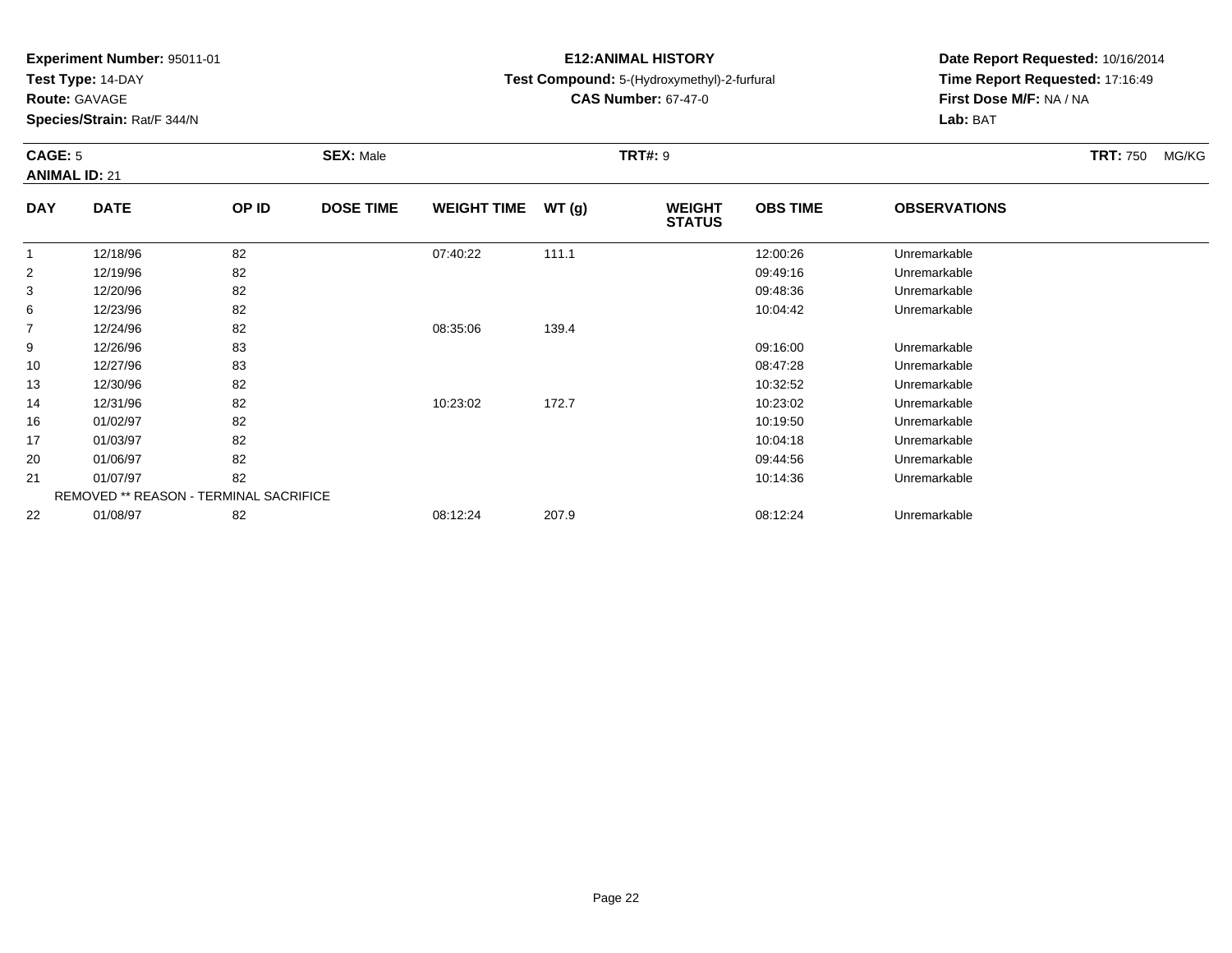**Test Type:** 14-DAY

**Route:** GAVAGE

**Species/Strain:** Rat/F 344/N

# **E12:ANIMAL HISTORY**

## **Test Compound:** 5-(Hydroxymethyl)-2-furfural

**CAS Number:** 67-47-0

**Date Report Requested:** 10/16/2014**Time Report Requested:** 17:16:49**First Dose M/F:** NA / NA**Lab:** BAT

### **CAGE:** 5 **SEX:** Male **TRT#:** <sup>9</sup> **TRT:** 750 MG/KG**ANIMAL ID:** 21**DAY DATE OP IDDOSE TIME WEIGHT TIME WT** (g) **STATUSOBS TIME OBSERVATIONS** 1 12/18/96 <sup>82</sup> 07:40:22 111.1 12:00:26 Unremarkable 2 12/19/96 <sup>82</sup> 09:49:16 Unremarkable  $\sim$  12/20/96 <sup>82</sup> 09:48:36 Unremarkable 66 12/23/96 82 82 10:04:42 Unremarkable 7

| ত  | 12/20/90 | OZ.                                           |          |       | <b>09.40.00</b> | UNIBILIDE    |  |
|----|----------|-----------------------------------------------|----------|-------|-----------------|--------------|--|
| 6  | 12/23/96 | 82                                            |          |       | 10:04:42        | Unremarkable |  |
|    | 12/24/96 | 82                                            | 08:35:06 | 139.4 |                 |              |  |
| 9  | 12/26/96 | 83                                            |          |       | 09:16:00        | Unremarkable |  |
| 10 | 12/27/96 | 83                                            |          |       | 08:47:28        | Unremarkable |  |
| 13 | 12/30/96 | 82                                            |          |       | 10:32:52        | Unremarkable |  |
| 14 | 12/31/96 | 82                                            | 10:23:02 | 172.7 | 10:23:02        | Unremarkable |  |
| 16 | 01/02/97 | 82                                            |          |       | 10:19:50        | Unremarkable |  |
| 17 | 01/03/97 | 82                                            |          |       | 10:04:18        | Unremarkable |  |
| 20 | 01/06/97 | 82                                            |          |       | 09:44:56        | Unremarkable |  |
| 21 | 01/07/97 | 82                                            |          |       | 10:14:36        | Unremarkable |  |
|    |          | <b>REMOVED ** REASON - TERMINAL SACRIFICE</b> |          |       |                 |              |  |
| 22 | 01/08/97 | 82                                            | 08:12:24 | 207.9 | 08:12:24        | Unremarkable |  |
|    |          |                                               |          |       |                 |              |  |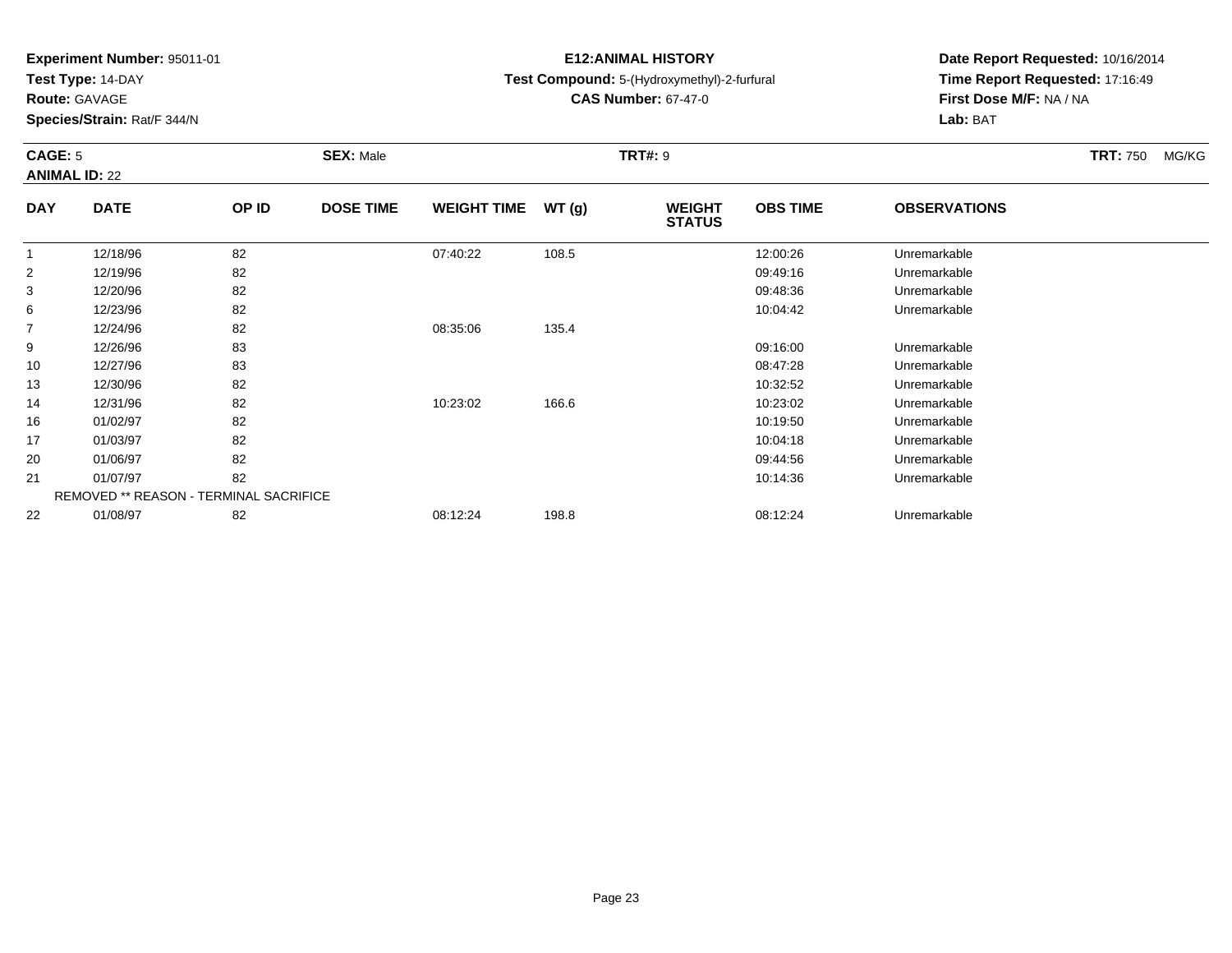**Test Type:** 14-DAY

**Route:** GAVAGE

14

16

17

20

21

22

**Species/Strain:** Rat/F 344/N

REMOVED \*\* REASON - TERMINAL SACRIFICE

# **E12:ANIMAL HISTORY**

## **Test Compound:** 5-(Hydroxymethyl)-2-furfural

**CAS Number:** 67-47-0

**Date Report Requested:** 10/16/2014**Time Report Requested:** 17:16:49**First Dose M/F:** NA / NA**Lab:** BAT

### **CAGE:** 5 **SEX:** Male **TRT#:** <sup>9</sup> **TRT:** 750 MG/KG**ANIMAL ID:** 22**DAY DATE OP IDDOSE TIME WEIGHT TIME WT** (g) **STATUSOBS TIME OBSERVATIONS** 1 12/18/96 <sup>82</sup> 07:40:22 108.5 12:00:26 Unremarkable 2 12/19/96 <sup>82</sup> 09:49:16 Unremarkable 3 12/20/96 <sup>82</sup> 09:48:36 Unremarkable 66 12/23/96 82 82 10:04:42 Unremarkable 7 12/24/96 <sup>82</sup> 08:35:06 135.4 9 12/26/96 <sup>83</sup> 09:16:00 Unremarkable 10 12/27/96 <sup>83</sup> 08:47:28 Unremarkable 13

12/30/96 <sup>82</sup> 10:32:52 Unremarkable

12/31/96 <sup>82</sup> 10:23:02 166.6 10:23:02 Unremarkable

01/02/97 <sup>82</sup> 10:19:50 Unremarkable

01/03/97 <sup>82</sup> 10:04:18 Unremarkable

01/06/97 <sup>82</sup> 09:44:56 Unremarkable

01/07/97 <sup>82</sup> 10:14:36 Unremarkable

01/08/97 <sup>82</sup> 08:12:24 198.8 08:12:24 Unremarkable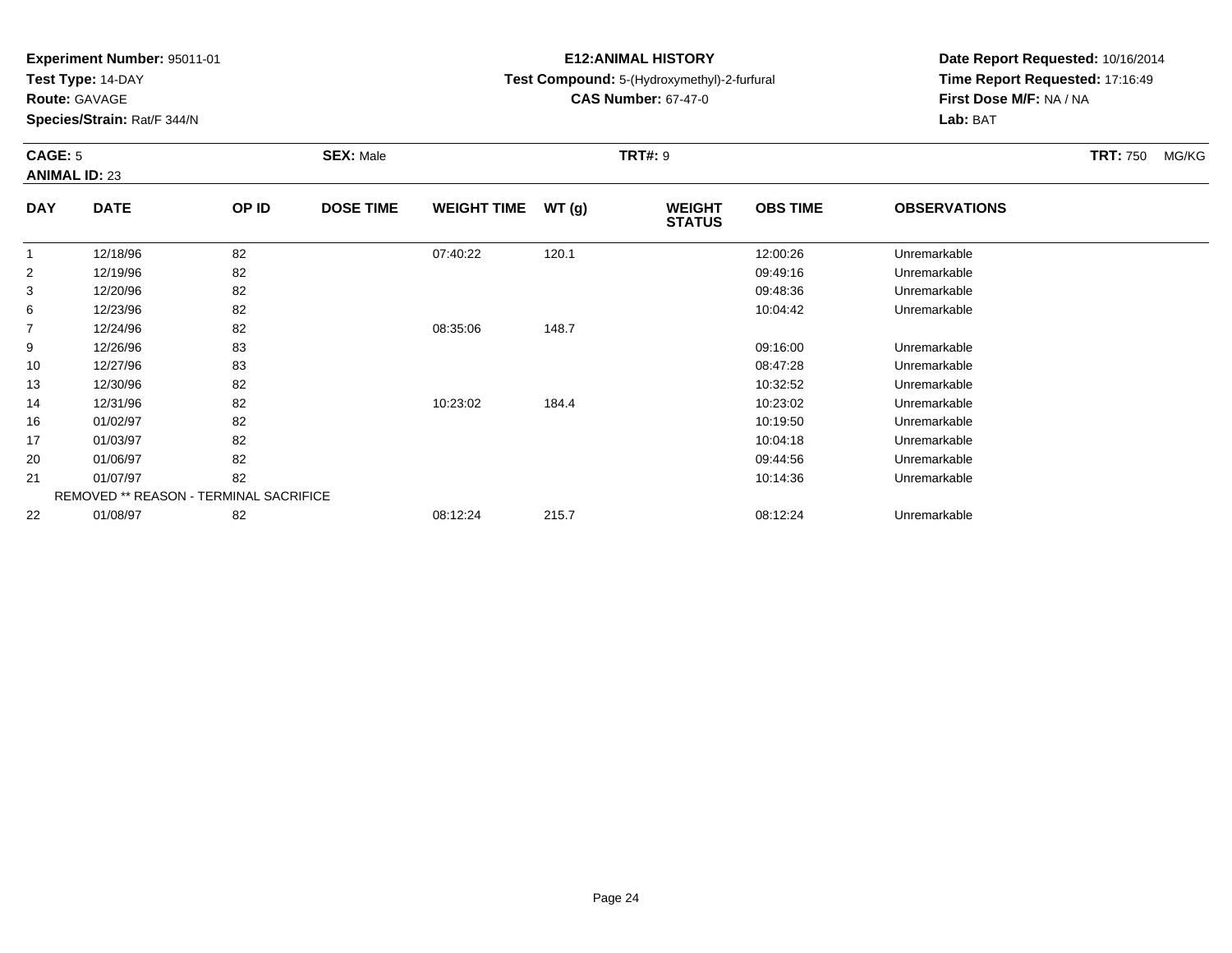**Test Type:** 14-DAY

**Route:** GAVAGE

**Species/Strain:** Rat/F 344/N

# **E12:ANIMAL HISTORY**

## **Test Compound:** 5-(Hydroxymethyl)-2-furfural

**CAS Number:** 67-47-0

**Date Report Requested:** 10/16/2014 **Time Report Requested:** 17:16:49**First Dose M/F:** NA / NA**Lab:** BAT

### **CAGE:** 5 **SEX:** Male **TRT#:** <sup>9</sup> **TRT:** 750 MG/KG**ANIMAL ID:** 23**DAY DATE OP IDDOSE TIME WEIGHT TIME WT** (g) **STATUSOBS TIME OBSERVATIONS**  $\overline{1}$  12/18/96 <sup>82</sup> 07:40:22 120.1 12:00:26 Unremarkable 2

| 2  | 12/19/96                                      | 82 |          |       | 09:49:16 | Unremarkable |
|----|-----------------------------------------------|----|----------|-------|----------|--------------|
| 3  | 12/20/96                                      | 82 |          |       | 09:48:36 | Unremarkable |
| 6  | 12/23/96                                      | 82 |          |       | 10:04:42 | Unremarkable |
| 7  | 12/24/96                                      | 82 | 08:35:06 | 148.7 |          |              |
| 9  | 12/26/96                                      | 83 |          |       | 09:16:00 | Unremarkable |
| 10 | 12/27/96                                      | 83 |          |       | 08:47:28 | Unremarkable |
| 13 | 12/30/96                                      | 82 |          |       | 10:32:52 | Unremarkable |
| 14 | 12/31/96                                      | 82 | 10:23:02 | 184.4 | 10:23:02 | Unremarkable |
| 16 | 01/02/97                                      | 82 |          |       | 10:19:50 | Unremarkable |
| 17 | 01/03/97                                      | 82 |          |       | 10:04:18 | Unremarkable |
| 20 | 01/06/97                                      | 82 |          |       | 09:44:56 | Unremarkable |
| 21 | 01/07/97                                      | 82 |          |       | 10:14:36 | Unremarkable |
|    | <b>REMOVED ** REASON - TERMINAL SACRIFICE</b> |    |          |       |          |              |
| 22 | 01/08/97                                      | 82 | 08:12:24 | 215.7 | 08:12:24 | Unremarkable |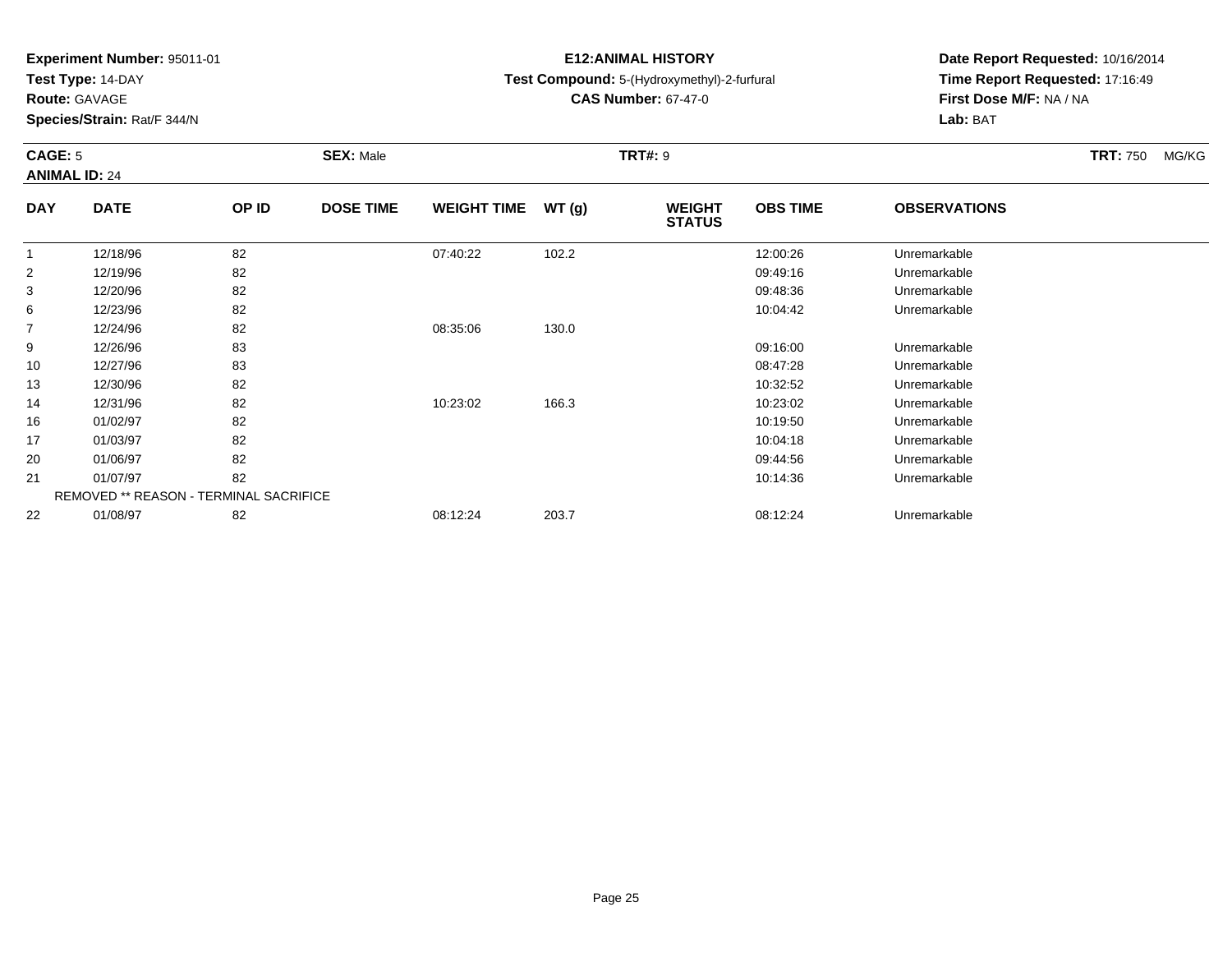**Test Type:** 14-DAY

**Route:** GAVAGE

**Species/Strain:** Rat/F 344/N

# **E12:ANIMAL HISTORY**

**Test Compound:** 5-(Hydroxymethyl)-2-furfural

**CAS Number:** 67-47-0

**Date Report Requested:** 10/16/2014**Time Report Requested:** 17:16:49**First Dose M/F:** NA / NA**Lab:** BAT

#### **CAGE:** 5 **SEX:** Male **TRT#:** <sup>9</sup> **TRT:** 750 MG/KG**ANIMAL ID:** 24**DAY DATE OP IDDOSE TIME WEIGHT TIME WT** (g) **WEIGHT OBS TIMEOBSERVATIONS**

|                |          |                                               |          |       | 31A1U3   |              |  |
|----------------|----------|-----------------------------------------------|----------|-------|----------|--------------|--|
|                | 12/18/96 | 82                                            | 07:40:22 | 102.2 | 12:00:26 | Unremarkable |  |
| $\overline{2}$ | 12/19/96 | 82                                            |          |       | 09:49:16 | Unremarkable |  |
| 3              | 12/20/96 | 82                                            |          |       | 09:48:36 | Unremarkable |  |
| 6              | 12/23/96 | 82                                            |          |       | 10:04:42 | Unremarkable |  |
| $\overline{7}$ | 12/24/96 | 82                                            | 08:35:06 | 130.0 |          |              |  |
| 9              | 12/26/96 | 83                                            |          |       | 09:16:00 | Unremarkable |  |
| 10             | 12/27/96 | 83                                            |          |       | 08:47:28 | Unremarkable |  |
| 13             | 12/30/96 | 82                                            |          |       | 10:32:52 | Unremarkable |  |
| 14             | 12/31/96 | 82                                            | 10:23:02 | 166.3 | 10:23:02 | Unremarkable |  |
| 16             | 01/02/97 | 82                                            |          |       | 10:19:50 | Unremarkable |  |
| 17             | 01/03/97 | 82                                            |          |       | 10:04:18 | Unremarkable |  |
| 20             | 01/06/97 | 82                                            |          |       | 09:44:56 | Unremarkable |  |
| 21             | 01/07/97 | 82                                            |          |       | 10:14:36 | Unremarkable |  |
|                |          | <b>REMOVED ** REASON - TERMINAL SACRIFICE</b> |          |       |          |              |  |
| 22             | 01/08/97 | 82                                            | 08:12:24 | 203.7 | 08:12:24 | Unremarkable |  |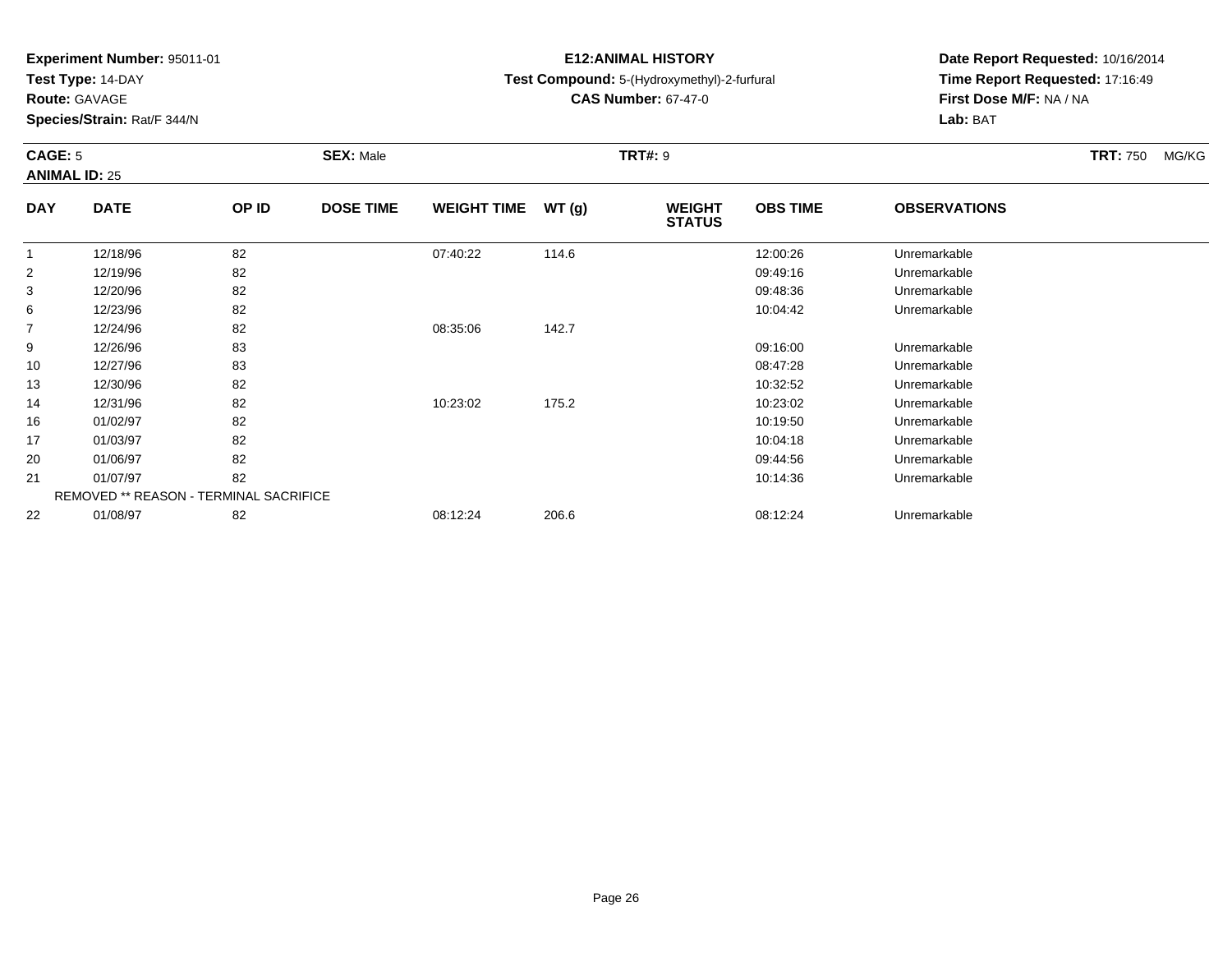**Test Type:** 14-DAY

**Route:** GAVAGE

**Species/Strain:** Rat/F 344/N

# **E12:ANIMAL HISTORY**

**Test Compound:** 5-(Hydroxymethyl)-2-furfural

**CAS Number:** 67-47-0

**Date Report Requested:** 10/16/2014**Time Report Requested:** 17:16:49**First Dose M/F:** NA / NA**Lab:** BAT

### **CAGE:** 5 **SEX:** Male **TRT#:** <sup>9</sup> **TRT:** 750 MG/KG**ANIMAL ID:** 25**DAY DATE OP ID DOSE TIME WEIGHT TIME WT (g) WEIGHT OBS TIMEOBSERVATIONS**

|    |          |                                               |          |       | <b>STATUS</b> |              |  |
|----|----------|-----------------------------------------------|----------|-------|---------------|--------------|--|
|    | 12/18/96 | 82                                            | 07:40:22 | 114.6 | 12:00:26      | Unremarkable |  |
| 2  | 12/19/96 | 82                                            |          |       | 09:49:16      | Unremarkable |  |
| 3  | 12/20/96 | 82                                            |          |       | 09:48:36      | Unremarkable |  |
| 6  | 12/23/96 | 82                                            |          |       | 10:04:42      | Unremarkable |  |
| 7  | 12/24/96 | 82                                            | 08:35:06 | 142.7 |               |              |  |
| 9  | 12/26/96 | 83                                            |          |       | 09:16:00      | Unremarkable |  |
| 10 | 12/27/96 | 83                                            |          |       | 08:47:28      | Unremarkable |  |
| 13 | 12/30/96 | 82                                            |          |       | 10:32:52      | Unremarkable |  |
| 14 | 12/31/96 | 82                                            | 10:23:02 | 175.2 | 10:23:02      | Unremarkable |  |
| 16 | 01/02/97 | 82                                            |          |       | 10:19:50      | Unremarkable |  |
| 17 | 01/03/97 | 82                                            |          |       | 10:04:18      | Unremarkable |  |
| 20 | 01/06/97 | 82                                            |          |       | 09:44:56      | Unremarkable |  |
| 21 | 01/07/97 | 82                                            |          |       | 10:14:36      | Unremarkable |  |
|    |          | <b>REMOVED ** REASON - TERMINAL SACRIFICE</b> |          |       |               |              |  |
| 22 | 01/08/97 | 82                                            | 08:12:24 | 206.6 | 08:12:24      | Unremarkable |  |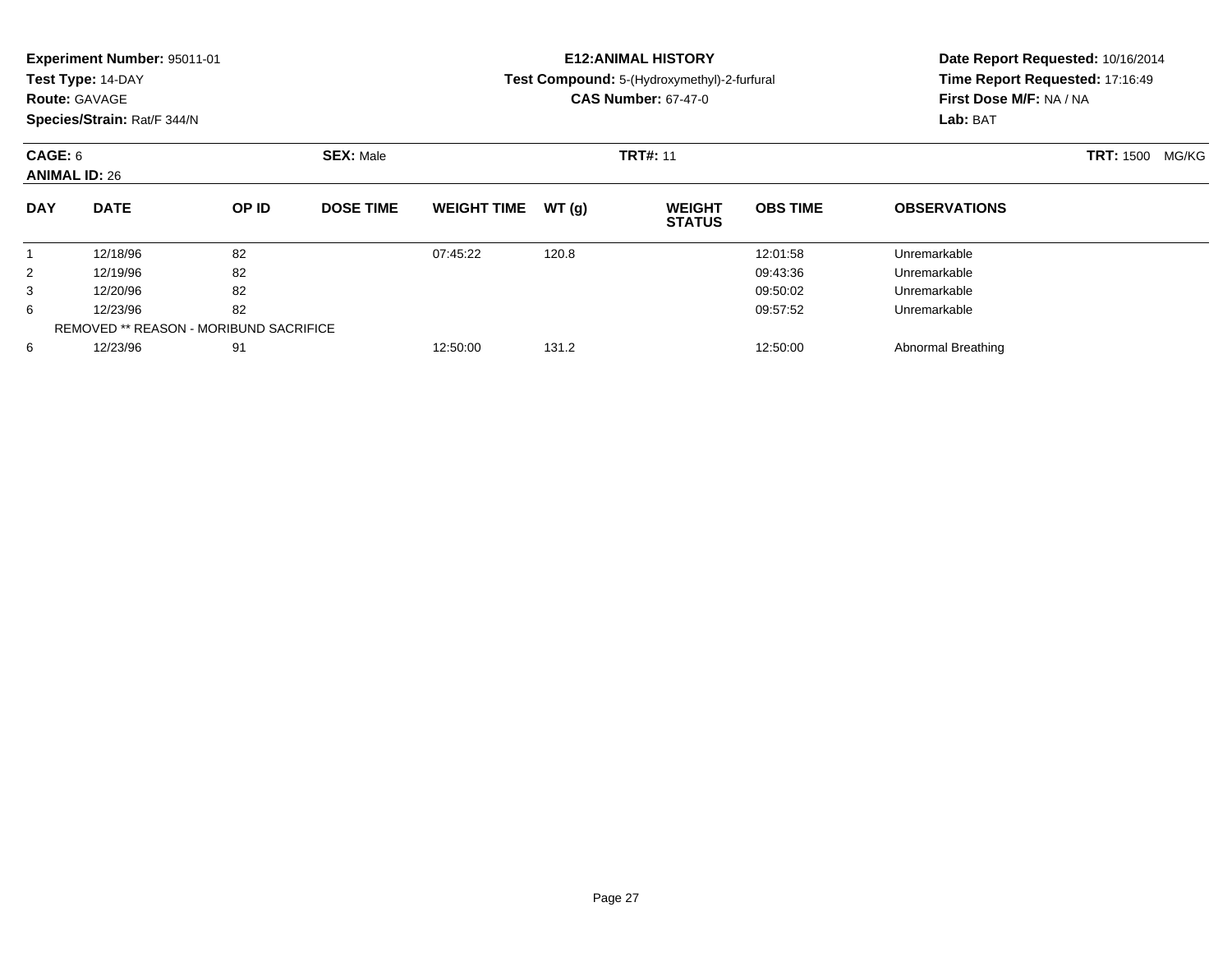|                                 | Experiment Number: 95011-01<br>Test Type: 14-DAY<br><b>Route: GAVAGE</b><br>Species/Strain: Rat/F 344/N<br><b>SEX: Male</b> |                                        |                  |                    |       | <b>E12:ANIMAL HISTORY</b><br>Test Compound: 5-(Hydroxymethyl)-2-furfural<br><b>CAS Number: 67-47-0</b> | Time Report Requested: 17:16:49<br>First Dose M/F: NA / NA<br>Lab: BAT | Date Report Requested: 10/16/2014 |                           |
|---------------------------------|-----------------------------------------------------------------------------------------------------------------------------|----------------------------------------|------------------|--------------------|-------|--------------------------------------------------------------------------------------------------------|------------------------------------------------------------------------|-----------------------------------|---------------------------|
| CAGE: 6<br><b>ANIMAL ID: 26</b> |                                                                                                                             |                                        |                  |                    |       | <b>TRT#: 11</b>                                                                                        |                                                                        |                                   | <b>TRT: 1500</b><br>MG/KG |
| <b>DAY</b>                      | <b>DATE</b>                                                                                                                 | OP ID                                  | <b>DOSE TIME</b> | <b>WEIGHT TIME</b> | WT(g) | <b>WEIGHT</b><br><b>STATUS</b>                                                                         | <b>OBS TIME</b>                                                        | <b>OBSERVATIONS</b>               |                           |
| 1                               | 12/18/96                                                                                                                    | 82                                     |                  | 07:45:22           | 120.8 |                                                                                                        | 12:01:58                                                               | Unremarkable                      |                           |
| 2                               | 12/19/96                                                                                                                    | 82                                     |                  |                    |       |                                                                                                        | 09:43:36                                                               | Unremarkable                      |                           |
| 3                               | 12/20/96                                                                                                                    | 82                                     |                  |                    |       |                                                                                                        | 09:50:02                                                               | Unremarkable                      |                           |
| 6                               | 12/23/96                                                                                                                    | 82                                     |                  |                    |       |                                                                                                        | 09:57:52                                                               | Unremarkable                      |                           |
|                                 |                                                                                                                             | REMOVED ** REASON - MORIBUND SACRIFICE |                  |                    |       |                                                                                                        |                                                                        |                                   |                           |
| 6                               | 12/23/96                                                                                                                    | 91                                     |                  | 12:50:00           | 131.2 |                                                                                                        | 12:50:00                                                               | Abnormal Breathing                |                           |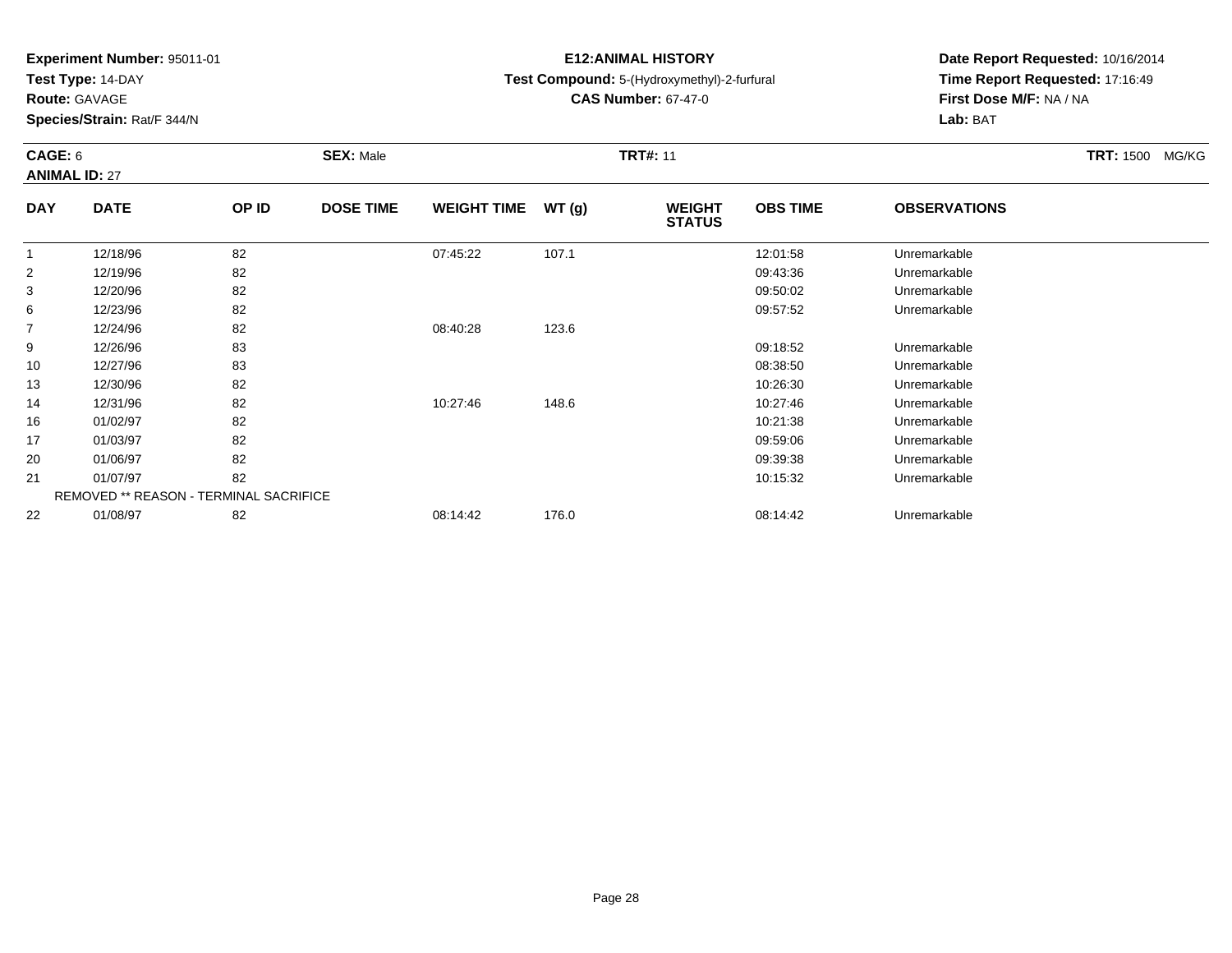**Test Type:** 14-DAY

**Route:** GAVAGE

10

13

14

16

17

20

21

22

**Species/Strain:** Rat/F 344/N

REMOVED \*\* REASON - TERMINAL SACRIFICE

# **E12:ANIMAL HISTORY**

## **Test Compound:** 5-(Hydroxymethyl)-2-furfural

**CAS Number:** 67-47-0

**Date Report Requested:** 10/16/2014**Time Report Requested:** 17:16:49**First Dose M/F:** NA / NA**Lab:** BAT

### **CAGE:** 6 **SEX:** Male **TRT#:** <sup>11</sup> **TRT:** 1500 MG/KG**ANIMAL ID:** 27**DAY DATE OP IDDOSE TIME WEIGHT TIME WT** (g) **STATUSOBS TIME OBSERVATIONS** 1 12/18/96 <sup>82</sup> 07:45:22 107.1 12:01:58 Unremarkable 2 12/19/96 <sup>82</sup> 09:43:36 Unremarkable 3 12/20/96 <sup>82</sup> 09:50:02 Unremarkable 6 12/23/96 <sup>82</sup> 09:57:52 Unremarkable 7 12/24/96 <sup>82</sup> 08:40:28 123.6 912/26/96 <sup>83</sup> 09:18:52 Unremarkable

12/27/96 <sup>83</sup> 08:38:50 Unremarkable

12/30/96 <sup>82</sup> 10:26:30 Unremarkable

12/31/96 <sup>82</sup> 10:27:46 148.6 10:27:46 Unremarkable

01/02/97 <sup>82</sup> 10:21:38 Unremarkable

01/03/97 <sup>82</sup> 09:59:06 Unremarkable

01/06/97 <sup>82</sup> 09:39:38 Unremarkable

01/07/97 <sup>82</sup> 10:15:32 Unremarkable

01/08/97 <sup>82</sup> 08:14:42 176.0 08:14:42 Unremarkable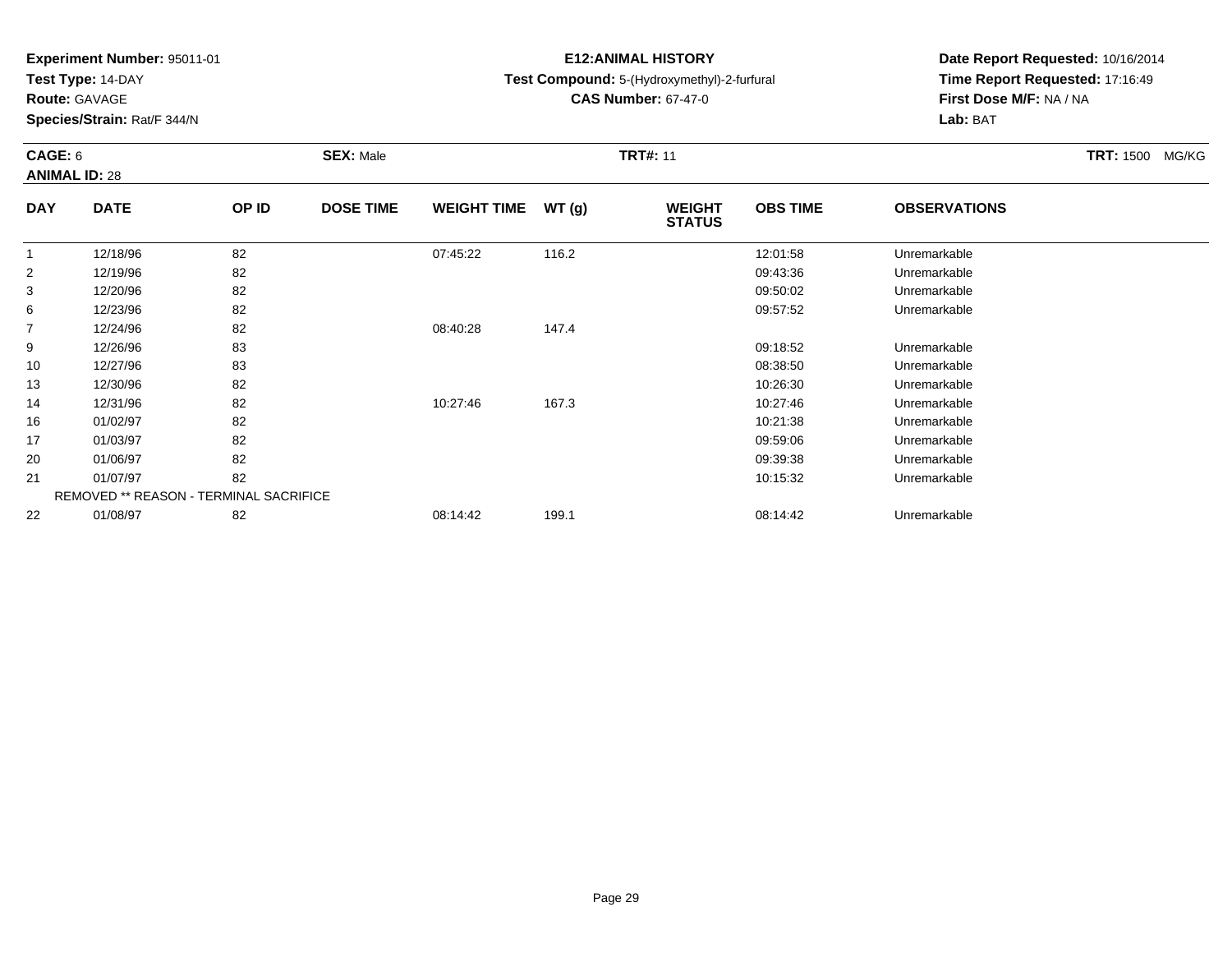**Test Type:** 14-DAY

**Route:** GAVAGE

**Species/Strain:** Rat/F 344/N

# **E12:ANIMAL HISTORY**

## **Test Compound:** 5-(Hydroxymethyl)-2-furfural

**CAS Number:** 67-47-0

**Date Report Requested:** 10/16/2014**Time Report Requested:** 17:16:49**First Dose M/F:** NA / NA**Lab:** BAT

### **CAGE:** 6 **SEX:** Male **TRT#:** <sup>11</sup> **TRT:** 1500 MG/KG**ANIMAL ID:** 28**DAY DOSE TIME WEIGHT TIME WT (g) WEIGHT OBS TIMEOBSERVATIONS**

| <b>DAY</b> | <b>DATE</b>                                   | OP ID | <b>DOSE TIME</b> | <b>WEIGHT TIME</b> | WT(g) | <b>WEIGHT</b><br><b>STATUS</b> | <b>OBS TIME</b> | <b>OBSERVATIONS</b> |  |
|------------|-----------------------------------------------|-------|------------------|--------------------|-------|--------------------------------|-----------------|---------------------|--|
|            | 12/18/96                                      | 82    |                  | 07:45:22           | 116.2 |                                | 12:01:58        | Unremarkable        |  |
| 2          | 12/19/96                                      | 82    |                  |                    |       |                                | 09:43:36        | Unremarkable        |  |
| 3          | 12/20/96                                      | 82    |                  |                    |       |                                | 09:50:02        | Unremarkable        |  |
| 6          | 12/23/96                                      | 82    |                  |                    |       |                                | 09:57:52        | Unremarkable        |  |
| 7          | 12/24/96                                      | 82    |                  | 08:40:28           | 147.4 |                                |                 |                     |  |
| 9          | 12/26/96                                      | 83    |                  |                    |       |                                | 09:18:52        | Unremarkable        |  |
| 10         | 12/27/96                                      | 83    |                  |                    |       |                                | 08:38:50        | Unremarkable        |  |
| 13         | 12/30/96                                      | 82    |                  |                    |       |                                | 10:26:30        | Unremarkable        |  |
| 14         | 12/31/96                                      | 82    |                  | 10:27:46           | 167.3 |                                | 10:27:46        | Unremarkable        |  |
| 16         | 01/02/97                                      | 82    |                  |                    |       |                                | 10:21:38        | Unremarkable        |  |
| 17         | 01/03/97                                      | 82    |                  |                    |       |                                | 09:59:06        | Unremarkable        |  |
| 20         | 01/06/97                                      | 82    |                  |                    |       |                                | 09:39:38        | Unremarkable        |  |
| 21         | 01/07/97                                      | 82    |                  |                    |       |                                | 10:15:32        | Unremarkable        |  |
|            | <b>REMOVED ** REASON - TERMINAL SACRIFICE</b> |       |                  |                    |       |                                |                 |                     |  |
| 22         | 01/08/97                                      | 82    |                  | 08:14:42           | 199.1 |                                | 08:14:42        | Unremarkable        |  |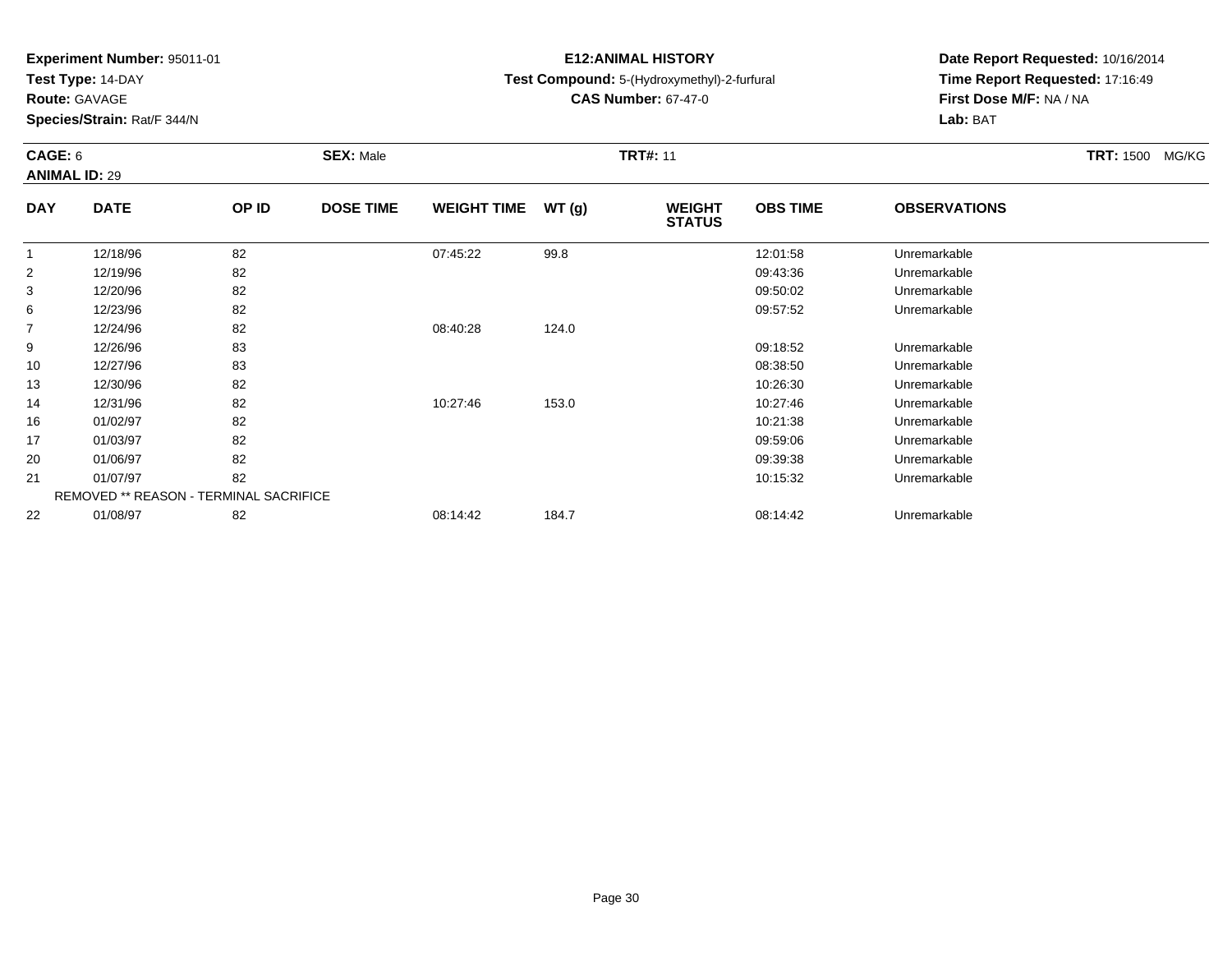**Test Type:** 14-DAY

**Route:** GAVAGE

16

17

20

21

22

**Species/Strain:** Rat/F 344/N

REMOVED \*\* REASON - TERMINAL SACRIFICE

# **E12:ANIMAL HISTORY**

# **Test Compound:** 5-(Hydroxymethyl)-2-furfural

**CAS Number:** 67-47-0

**Date Report Requested:** 10/16/2014**Time Report Requested:** 17:16:49**First Dose M/F:** NA / NA**Lab:** BAT

| CAGE: 6        | <b>ANIMAL ID: 29</b> |       | <b>SEX: Male</b> |                    |       | <b>TRT#: 11</b>                | <b>TRT: 1500 MG/KG</b> |                     |  |
|----------------|----------------------|-------|------------------|--------------------|-------|--------------------------------|------------------------|---------------------|--|
| <b>DAY</b>     | <b>DATE</b>          | OP ID | <b>DOSE TIME</b> | <b>WEIGHT TIME</b> | WT(g) | <b>WEIGHT</b><br><b>STATUS</b> | <b>OBS TIME</b>        | <b>OBSERVATIONS</b> |  |
|                | 12/18/96             | 82    |                  | 07:45:22           | 99.8  |                                | 12:01:58               | Unremarkable        |  |
| 2              | 12/19/96             | 82    |                  |                    |       |                                | 09:43:36               | Unremarkable        |  |
| 3              | 12/20/96             | 82    |                  |                    |       |                                | 09:50:02               | Unremarkable        |  |
| 6              | 12/23/96             | 82    |                  |                    |       |                                | 09:57:52               | Unremarkable        |  |
| $\overline{7}$ | 12/24/96             | 82    |                  | 08:40:28           | 124.0 |                                |                        |                     |  |
| 9              | 12/26/96             | 83    |                  |                    |       |                                | 09:18:52               | Unremarkable        |  |
| 10             | 12/27/96             | 83    |                  |                    |       |                                | 08:38:50               | Unremarkable        |  |
| 13             | 12/30/96             | 82    |                  |                    |       |                                | 10:26:30               | Unremarkable        |  |
| 14             | 12/31/96             | 82    |                  | 10:27:46           | 153.0 |                                | 10:27:46               | Unremarkable        |  |

01/02/97 <sup>82</sup> 10:21:38 Unremarkable

01/03/97 <sup>82</sup> 09:59:06 Unremarkable

01/06/97 <sup>82</sup> 09:39:38 Unremarkable

01/07/97 <sup>82</sup> 10:15:32 Unremarkable

01/08/97 <sup>82</sup> 08:14:42 184.7 08:14:42 Unremarkable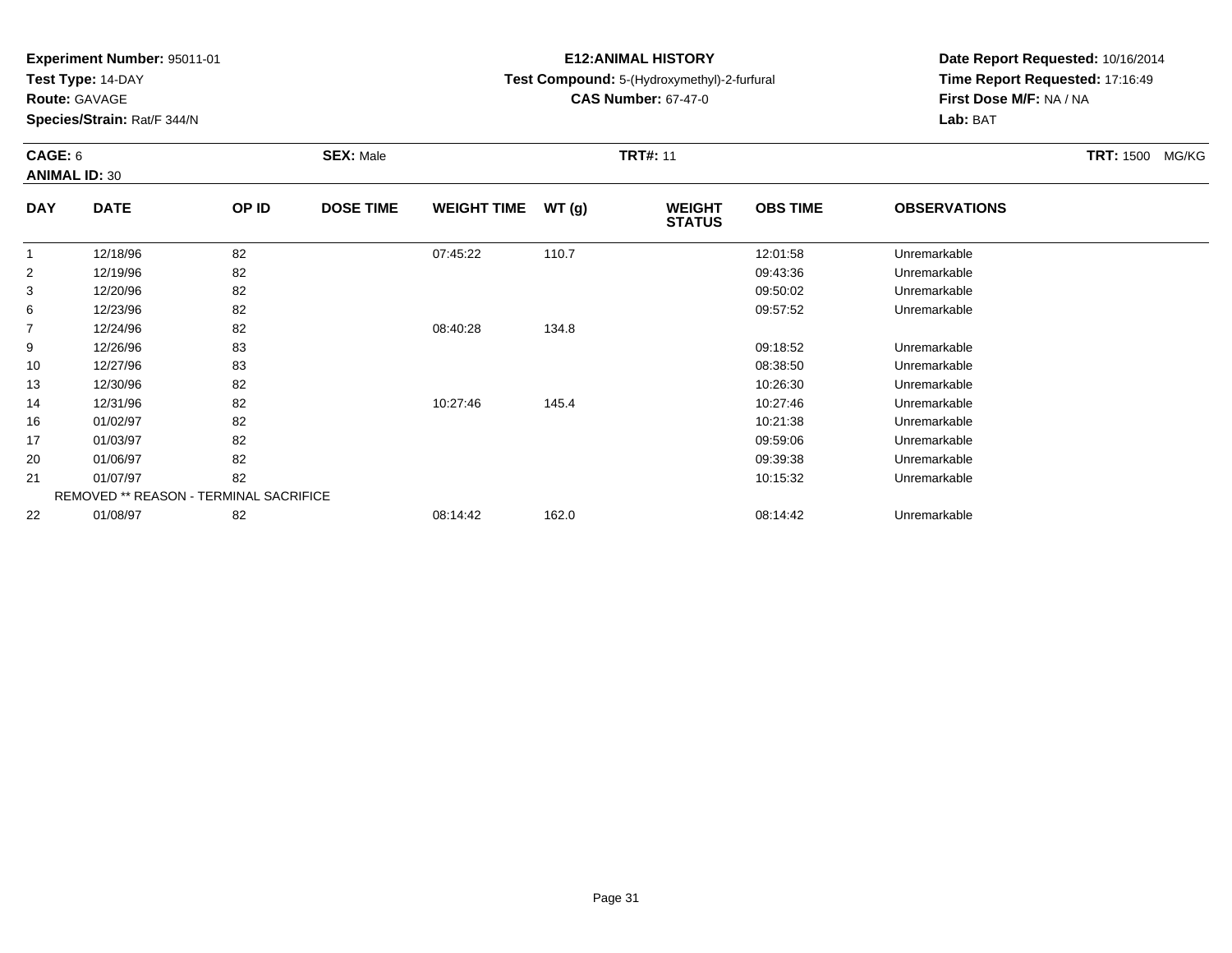**Test Type:** 14-DAY

**Route:** GAVAGE

20

21

22

**Species/Strain:** Rat/F 344/N

REMOVED \*\* REASON - TERMINAL SACRIFICE

# **E12:ANIMAL HISTORY**

**Test Compound:** 5-(Hydroxymethyl)-2-furfural

**CAS Number:** 67-47-0

**Date Report Requested:** 10/16/2014**Time Report Requested:** 17:16:49**First Dose M/F:** NA / NA**Lab:** BAT

| CAGE: 6        | <b>ANIMAL ID: 30</b> |       | <b>SEX: Male</b> |                    |               | <b>TRT#: 11</b>                | TRT: 1500 MG/KG |                     |  |
|----------------|----------------------|-------|------------------|--------------------|---------------|--------------------------------|-----------------|---------------------|--|
| <b>DAY</b>     | <b>DATE</b>          | OP ID | <b>DOSE TIME</b> | <b>WEIGHT TIME</b> | <b>WT (g)</b> | <b>WEIGHT</b><br><b>STATUS</b> | <b>OBS TIME</b> | <b>OBSERVATIONS</b> |  |
|                | 12/18/96             | 82    |                  | 07:45:22           | 110.7         |                                | 12:01:58        | Unremarkable        |  |
| $\overline{2}$ | 12/19/96             | 82    |                  |                    |               |                                | 09:43:36        | Unremarkable        |  |
| 3              | 12/20/96             | 82    |                  |                    |               |                                | 09:50:02        | Unremarkable        |  |
| 6              | 12/23/96             | 82    |                  |                    |               |                                | 09:57:52        | Unremarkable        |  |
| $\overline{7}$ | 12/24/96             | 82    |                  | 08:40:28           | 134.8         |                                |                 |                     |  |
| 9              | 12/26/96             | 83    |                  |                    |               |                                | 09:18:52        | Unremarkable        |  |
| 10             | 12/27/96             | 83    |                  |                    |               |                                | 08:38:50        | Unremarkable        |  |
| 13             | 12/30/96             | 82    |                  |                    |               |                                | 10:26:30        | Unremarkable        |  |
| 14             | 12/31/96             | 82    |                  | 10:27:46           | 145.4         |                                | 10:27:46        | Unremarkable        |  |
| 16             | 01/02/97             | 82    |                  |                    |               |                                | 10:21:38        | Unremarkable        |  |
| 17             | 01/03/97             | 82    |                  |                    |               |                                | 09:59:06        | Unremarkable        |  |

01/06/97 <sup>82</sup> 09:39:38 Unremarkable

01/07/97 <sup>82</sup> 10:15:32 Unremarkable

01/08/97 <sup>82</sup> 08:14:42 162.0 08:14:42 Unremarkable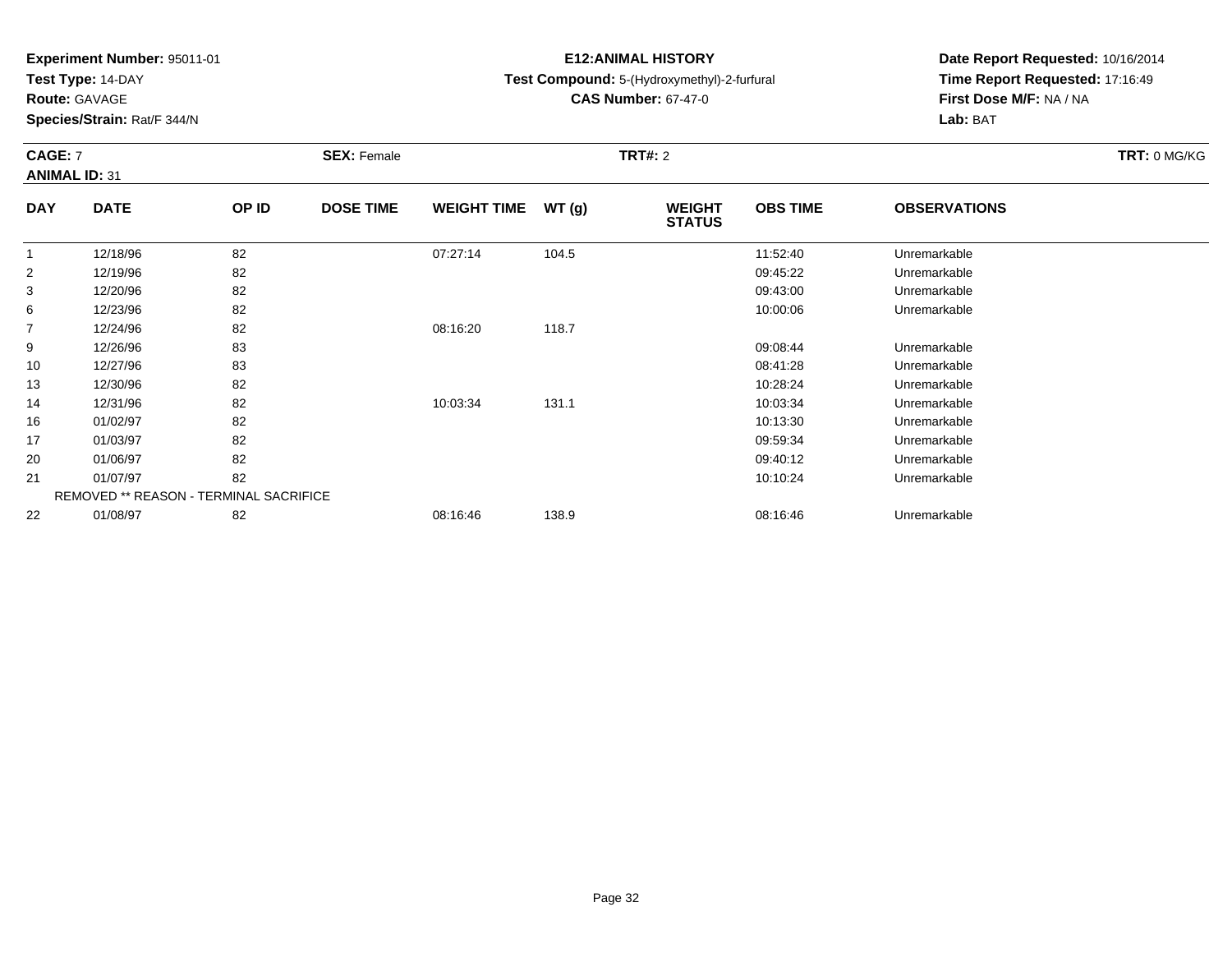**Test Type:** 14-DAY

**Route:** GAVAGE

**Species/Strain:** Rat/F 344/N

# **E12:ANIMAL HISTORY**

**Test Compound:** 5-(Hydroxymethyl)-2-furfural

**CAS Number:** 67-47-0

**Date Report Requested:** 10/16/2014 **Time Report Requested:** 17:16:49**First Dose M/F:** NA / NA**Lab:** BAT

### **CAGE:** 7 **SEX:** Female **TRT#:** <sup>2</sup> **TRT:** 0 MG/KG**ANIMAL ID:** 31**DAY DATE OP IDDOSE TIME WEIGHT TIME WT** (g) **STATUSOBS TIME OBSERVATIONS**  $\overline{1}$  12/18/96 <sup>82</sup> 07:27:14 104.5 11:52:40 Unremarkable 2 12/19/96 <sup>82</sup> 09:45:22 Unremarkable 3

| 2  | 12/19/96 | 82                                            |          |       | 09:45:22 | Unremarkable |  |
|----|----------|-----------------------------------------------|----------|-------|----------|--------------|--|
|    | 12/20/96 | 82                                            |          |       | 09:43:00 | Unremarkable |  |
| 6  | 12/23/96 | 82                                            |          |       | 10:00:06 | Unremarkable |  |
|    | 12/24/96 | 82                                            | 08:16:20 | 118.7 |          |              |  |
| 9  | 12/26/96 | 83                                            |          |       | 09:08:44 | Unremarkable |  |
| 10 | 12/27/96 | 83                                            |          |       | 08:41:28 | Unremarkable |  |
| 13 | 12/30/96 | 82                                            |          |       | 10:28:24 | Unremarkable |  |
| 14 | 12/31/96 | 82                                            | 10:03:34 | 131.1 | 10:03:34 | Unremarkable |  |
| 16 | 01/02/97 | 82                                            |          |       | 10:13:30 | Unremarkable |  |
| 17 | 01/03/97 | 82                                            |          |       | 09:59:34 | Unremarkable |  |
| 20 | 01/06/97 | 82                                            |          |       | 09:40:12 | Unremarkable |  |
| 21 | 01/07/97 | 82                                            |          |       | 10:10:24 | Unremarkable |  |
|    |          | <b>REMOVED ** REASON - TERMINAL SACRIFICE</b> |          |       |          |              |  |
| 22 | 01/08/97 | 82                                            | 08:16:46 | 138.9 | 08:16:46 | Unremarkable |  |
|    |          |                                               |          |       |          |              |  |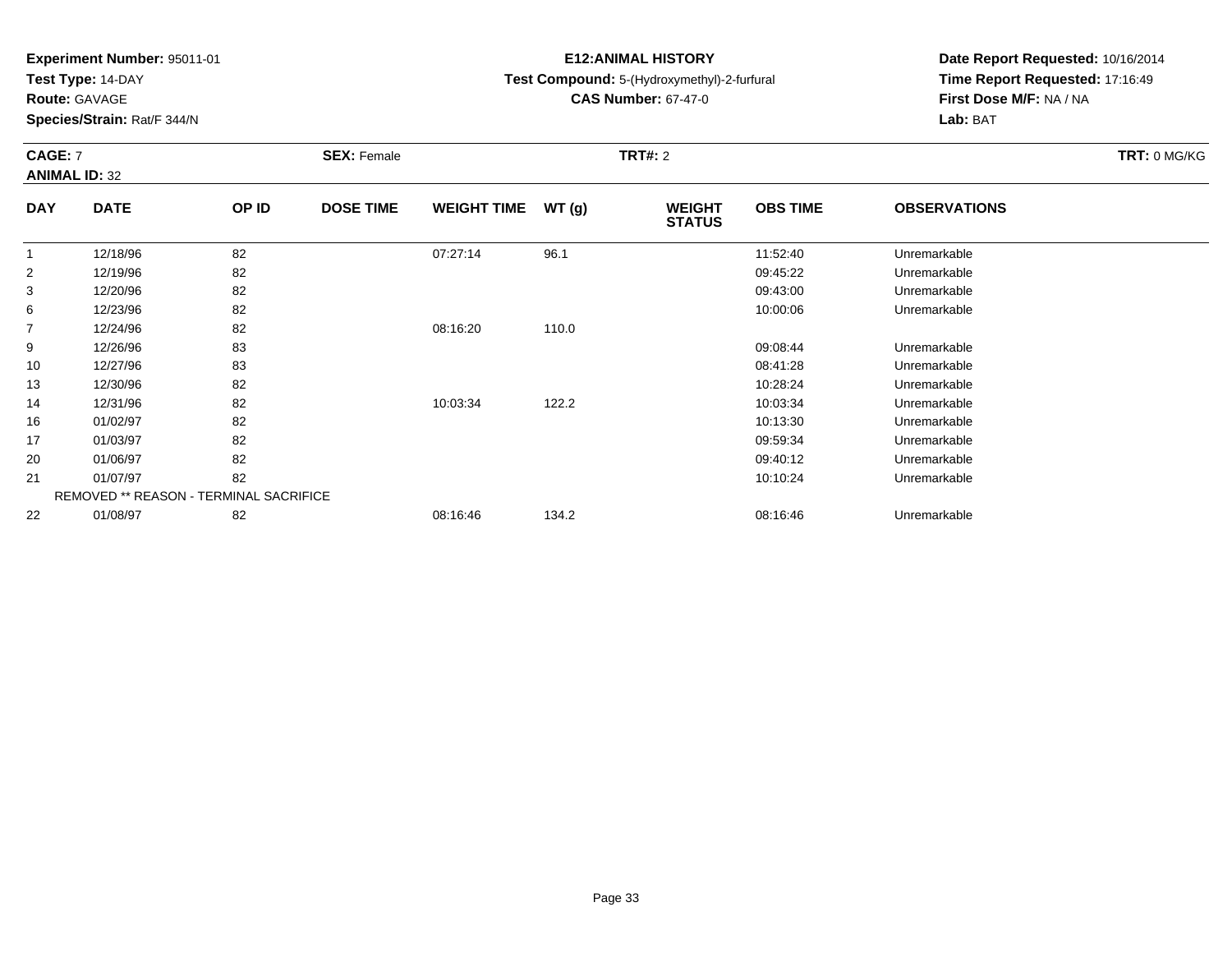**Test Type:** 14-DAY

**Route:** GAVAGE

21

22

**Species/Strain:** Rat/F 344/N

REMOVED \*\* REASON - TERMINAL SACRIFICE

# **E12:ANIMAL HISTORY**

**Test Compound:** 5-(Hydroxymethyl)-2-furfural

**CAS Number:** 67-47-0

**Date Report Requested:** 10/16/2014**Time Report Requested:** 17:16:49**First Dose M/F:** NA / NA**Lab:** BAT

#### **CAGE:** 7 **SEX:** Female **TRT#:** <sup>2</sup> **TRT:** 0 MG/KG**ANIMAL ID:** 32**DAY DATE OP IDDOSE TIME WEIGHT TIME WT** (g) **STATUSOBS TIME OBSERVATIONS** 1 12/18/96 <sup>82</sup> 07:27:14 96.1 11:52:40 Unremarkable 2 12/19/96 <sup>82</sup> 09:45:22 Unremarkable 3 12/20/96 <sup>82</sup> 09:43:00 Unremarkable 66 12/23/96 82 82 10:00:06 12/23/96 Unremarkable 7 12/24/96 <sup>82</sup> 08:16:20 110.0 9 12/26/96 <sup>83</sup> 09:08:44 Unremarkable 10 12/27/96 <sup>83</sup> 08:41:28 Unremarkable 13 12/30/96 <sup>82</sup> 10:28:24 Unremarkable 14 12/31/96 <sup>82</sup> 10:03:34 122.2 10:03:34 Unremarkable 16 01/02/97 <sup>82</sup> 10:13:30 Unremarkable 17 01/03/97 <sup>82</sup> 09:59:34 Unremarkable 2001/06/97 <sup>82</sup> 09:40:12 Unremarkable

01/07/97 <sup>82</sup> 10:10:24 Unremarkable

01/08/97 <sup>82</sup> 08:16:46 134.2 08:16:46 Unremarkable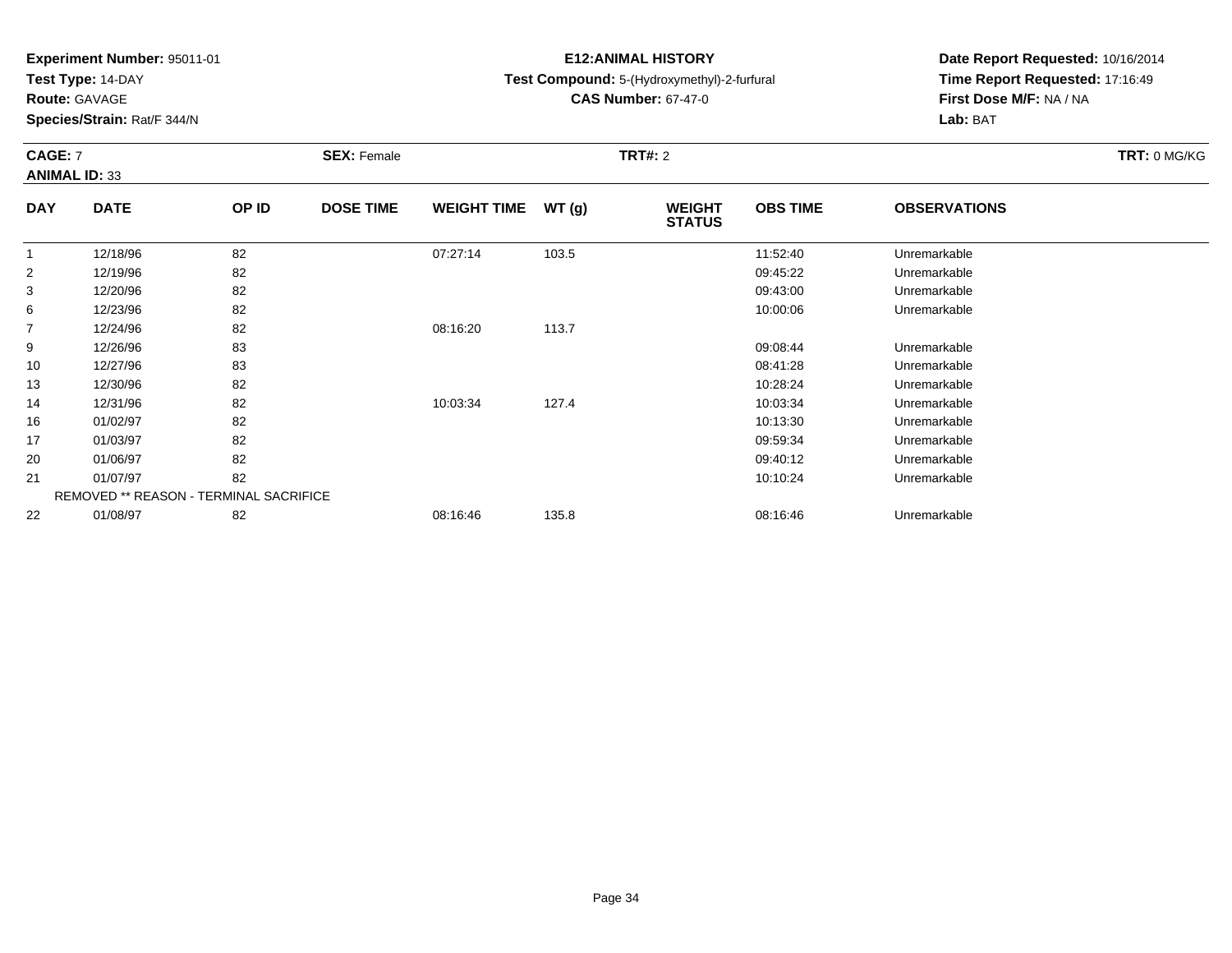**Test Type:** 14-DAY

**Route:** GAVAGE

22

**Species/Strain:** Rat/F 344/N

REMOVED \*\* REASON - TERMINAL SACRIFICE

# **E12:ANIMAL HISTORY**

**Test Compound:** 5-(Hydroxymethyl)-2-furfural

**CAS Number:** 67-47-0

**Date Report Requested:** 10/16/2014**Time Report Requested:** 17:16:49**First Dose M/F:** NA / NA**Lab:** BAT

### **CAGE:** 7 **SEX:** Female **TRT#:** <sup>2</sup> **TRT:** 0 MG/KG**ANIMAL ID:** 33**DAY DATE OP IDDOSE TIME WEIGHT TIME WT** (g) **STATUSOBS TIME OBSERVATIONS** 1 12/18/96 <sup>82</sup> 07:27:14 103.5 11:52:40 Unremarkable 2 12/19/96 <sup>82</sup> 09:45:22 Unremarkable 3 12/20/96 <sup>82</sup> 09:43:00 Unremarkable 66 12/23/96 82 82 10:00:06 12/23/96 Unremarkable 7 12/24/96 <sup>82</sup> 08:16:20 113.7 9 12/26/96 <sup>83</sup> 09:08:44 Unremarkable 10 12/27/96 <sup>83</sup> 08:41:28 Unremarkable 13 12/30/96 <sup>82</sup> 10:28:24 Unremarkable 14 12/31/96 <sup>82</sup> 10:03:34 127.4 10:03:34 Unremarkable 16 01/02/97 <sup>82</sup> 10:13:30 Unremarkable 17 01/03/97 <sup>82</sup> 09:59:34 Unremarkable 20 01/06/97 <sup>82</sup> 09:40:12 Unremarkable 2101/07/97 <sup>82</sup> 10:10:24 Unremarkable

01/08/97 <sup>82</sup> 08:16:46 135.8 08:16:46 Unremarkable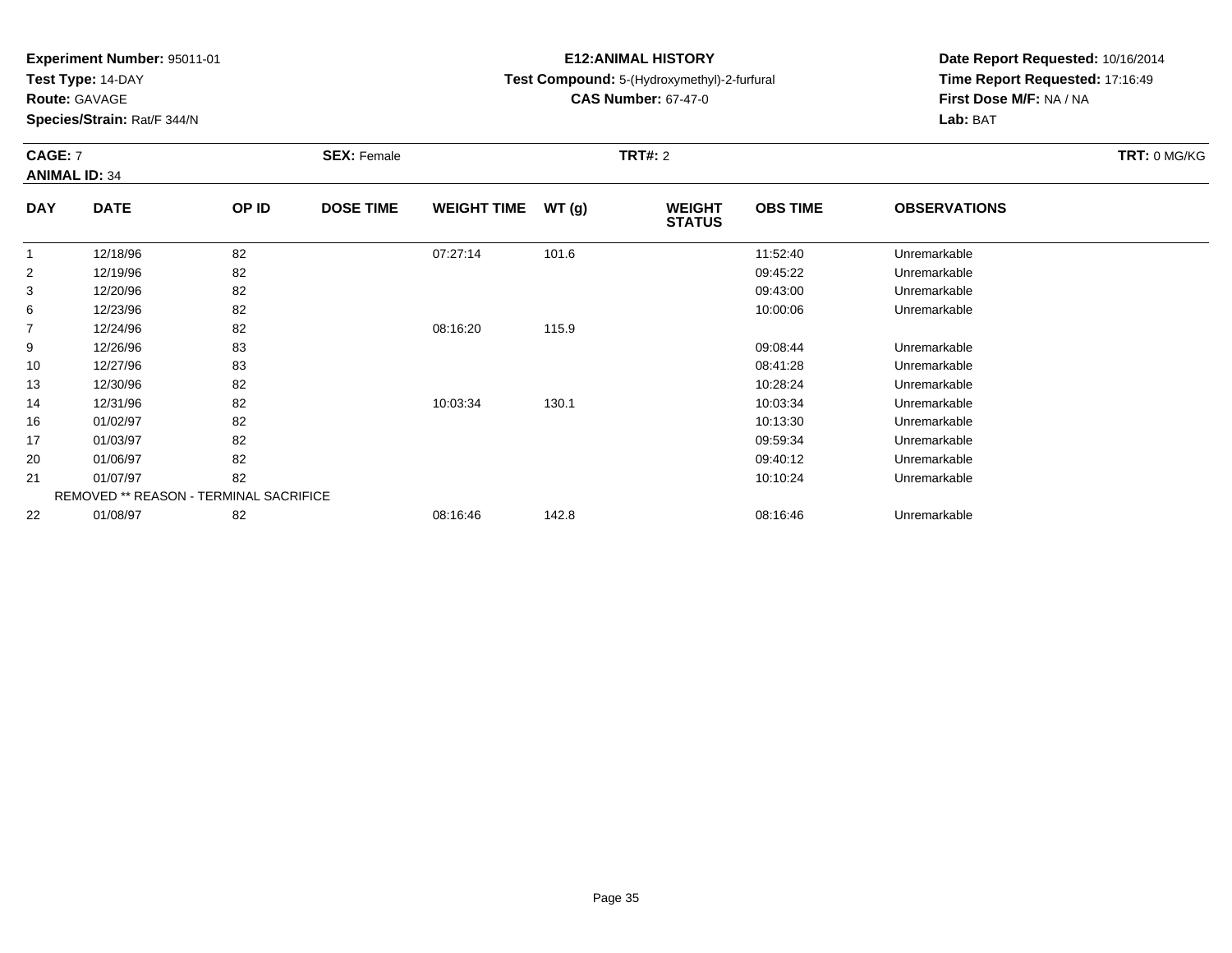**Test Type:** 14-DAY

**Route:** GAVAGE

13

14

16

17

20

21

22

**Species/Strain:** Rat/F 344/N

REMOVED \*\* REASON - TERMINAL SACRIFICE

# **E12:ANIMAL HISTORY**

**Test Compound:** 5-(Hydroxymethyl)-2-furfural

**CAS Number:** 67-47-0

**Date Report Requested:** 10/16/2014**Time Report Requested:** 17:16:49**First Dose M/F:** NA / NA**Lab:** BAT

### **CAGE:** 7 **SEX:** Female **TRT#:** <sup>2</sup> **TRT:** 0 MG/KG**ANIMAL ID:** 34**DAY DATE OP IDDOSE TIME WEIGHT TIME WT** (g) **STATUSOBS TIME OBSERVATIONS** 1 12/18/96 <sup>82</sup> 07:27:14 101.6 11:52:40 Unremarkable 2 12/19/96 <sup>82</sup> 09:45:22 Unremarkable 3 12/20/96 <sup>82</sup> 09:43:00 Unremarkable 66 12/23/96 82 82 10:00:06 12/23/96 Unremarkable 7 12/24/96 <sup>82</sup> 08:16:20 115.9 9 12/26/96 <sup>83</sup> 09:08:44 Unremarkable 1012/27/96 <sup>83</sup> 08:41:28 Unremarkable

12/30/96 <sup>82</sup> 10:28:24 Unremarkable

12/31/96 <sup>82</sup> 10:03:34 130.1 10:03:34 Unremarkable

01/02/97 <sup>82</sup> 10:13:30 Unremarkable

01/03/97 <sup>82</sup> 09:59:34 Unremarkable

01/06/97 <sup>82</sup> 09:40:12 Unremarkable

01/07/97 <sup>82</sup> 10:10:24 Unremarkable

01/08/97 <sup>82</sup> 08:16:46 142.8 08:16:46 Unremarkable

Page 35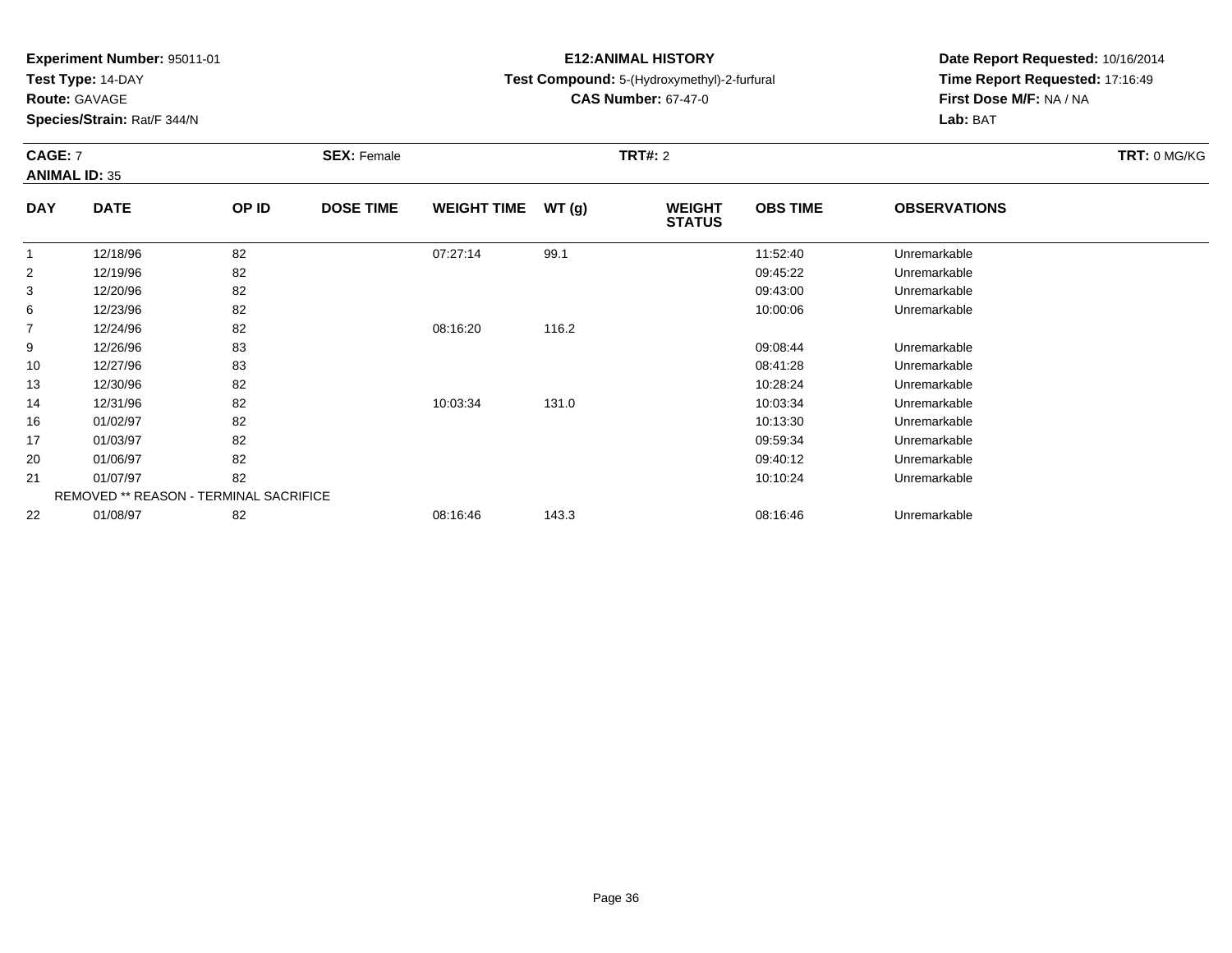**Test Type:** 14-DAY

**Route:** GAVAGE

**Species/Strain:** Rat/F 344/N

# **E12:ANIMAL HISTORY**

**Test Compound:** 5-(Hydroxymethyl)-2-furfural

**CAS Number:** 67-47-0

**Date Report Requested:** 10/16/2014**Time Report Requested:** 17:16:49**First Dose M/F:** NA / NA**Lab:** BAT

### **CAGE:** 7 **SEX:** Female **TRT#:** <sup>2</sup> **TRT:** 0 MG/KG**ANIMAL ID:** 35**DAY DATE OP IDDOSE TIME WEIGHT TIME WT** (g) **STATUSOBS TIME OBSERVATIONS** 1 12/18/96 <sup>82</sup> 07:27:14 99.1 11:52:40 Unremarkable 2 12/19/96 <sup>82</sup> 09:45:22 Unremarkable 3 12/20/96 <sup>82</sup> 09:43:00 Unremarkable 66 12/23/96 82 82 10:00:06 12/23/96 Unremarkable

| ັ  | $1 - 1 - 01 - 0$ | ັ                                             |          |       | 00.70.00 | <b>UITUITUITUU</b> |  |
|----|------------------|-----------------------------------------------|----------|-------|----------|--------------------|--|
| 6  | 12/23/96         | 82                                            |          |       | 10:00:06 | Unremarkable       |  |
| 7  | 12/24/96         | 82                                            | 08:16:20 | 116.2 |          |                    |  |
| 9  | 12/26/96         | 83                                            |          |       | 09:08:44 | Unremarkable       |  |
| 10 | 12/27/96         | 83                                            |          |       | 08:41:28 | Unremarkable       |  |
| 13 | 12/30/96         | 82                                            |          |       | 10:28:24 | Unremarkable       |  |
| 14 | 12/31/96         | 82                                            | 10:03:34 | 131.0 | 10:03:34 | Unremarkable       |  |
| 16 | 01/02/97         | 82                                            |          |       | 10:13:30 | Unremarkable       |  |
| 17 | 01/03/97         | 82                                            |          |       | 09:59:34 | Unremarkable       |  |
| 20 | 01/06/97         | 82                                            |          |       | 09:40:12 | Unremarkable       |  |
| 21 | 01/07/97         | 82                                            |          |       | 10:10:24 | Unremarkable       |  |
|    |                  | <b>REMOVED ** REASON - TERMINAL SACRIFICE</b> |          |       |          |                    |  |
| 22 | 01/08/97         | 82                                            | 08:16:46 | 143.3 | 08:16:46 | Unremarkable       |  |
|    |                  |                                               |          |       |          |                    |  |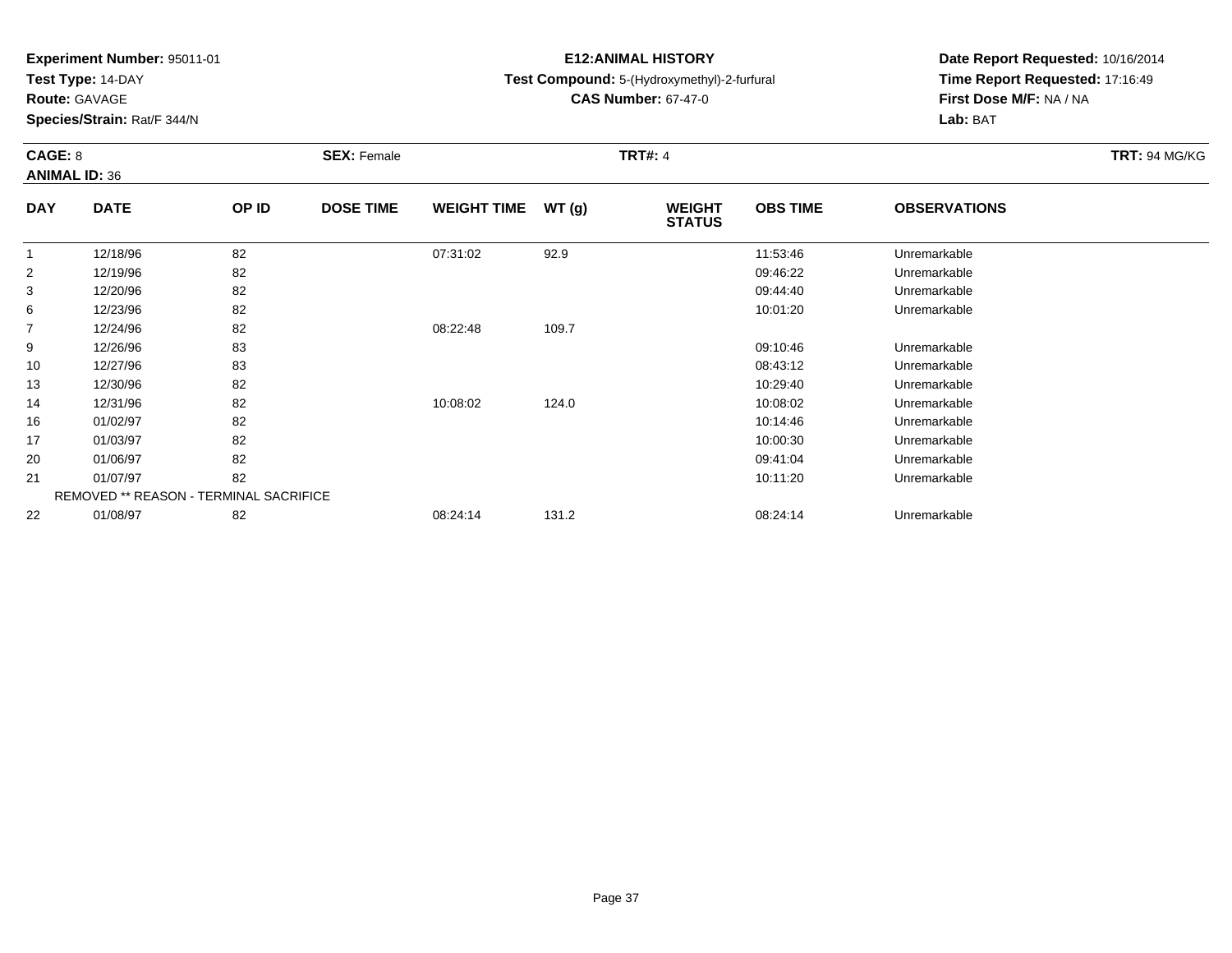**Test Type:** 14-DAY

**Route:** GAVAGE

10

13

14

16

17

20

21

22

**Species/Strain:** Rat/F 344/N

# **E12:ANIMAL HISTORY**

# **Test Compound:** 5-(Hydroxymethyl)-2-furfural

**CAS Number:** 67-47-0

**Date Report Requested:** 10/16/2014**Time Report Requested:** 17:16:49**First Dose M/F:** NA / NA**Lab:** BAT

| CAGE: 8<br><b>ANIMAL ID: 36</b> |             | <b>SEX: Female</b> |                  |                    | <b>TRT#: 4</b> | <b>TRT: 94 MG/KG</b>           |                 |                     |  |
|---------------------------------|-------------|--------------------|------------------|--------------------|----------------|--------------------------------|-----------------|---------------------|--|
| <b>DAY</b>                      | <b>DATE</b> | OP ID              | <b>DOSE TIME</b> | <b>WEIGHT TIME</b> | WT(q)          | <b>WEIGHT</b><br><b>STATUS</b> | <b>OBS TIME</b> | <b>OBSERVATIONS</b> |  |
|                                 | 12/18/96    | 82                 |                  | 07:31:02           | 92.9           |                                | 11:53:46        | Unremarkable        |  |
| $\overline{2}$                  | 12/19/96    | 82                 |                  |                    |                |                                | 09:46:22        | Unremarkable        |  |
| 3                               | 12/20/96    | 82                 |                  |                    |                |                                | 09:44:40        | Unremarkable        |  |
| 6                               | 12/23/96    | 82                 |                  |                    |                |                                | 10:01:20        | Unremarkable        |  |
| $\overline{7}$                  | 12/24/96    | 82                 |                  | 08:22:48           | 109.7          |                                |                 |                     |  |
| 9                               | 12/26/96    | 83                 |                  |                    |                |                                | 09:10:46        | Unremarkable        |  |

| 12/31/96 | 82                                            | 10:08:02 | 124.0 | 10:08:02 | Unremarkable |
|----------|-----------------------------------------------|----------|-------|----------|--------------|
| 01/02/97 | 82                                            |          |       | 10:14:46 | Unremarkable |
| 01/03/97 | 82                                            |          |       | 10:00:30 | Unremarkable |
| 01/06/97 | 82                                            |          |       | 09:41:04 | Unremarkable |
| 01/07/97 | 82                                            |          |       | 10:11:20 | Unremarkable |
|          | <b>REMOVED ** REASON - TERMINAL SACRIFICE</b> |          |       |          |              |
| 01/08/97 | 82                                            | 08:24:14 | 131.2 | 08:24:14 | Unremarkable |
|          |                                               |          |       |          |              |

12/27/96 <sup>83</sup> 08:43:12 Unremarkable

12/30/96 <sup>82</sup> 10:29:40 Unremarkable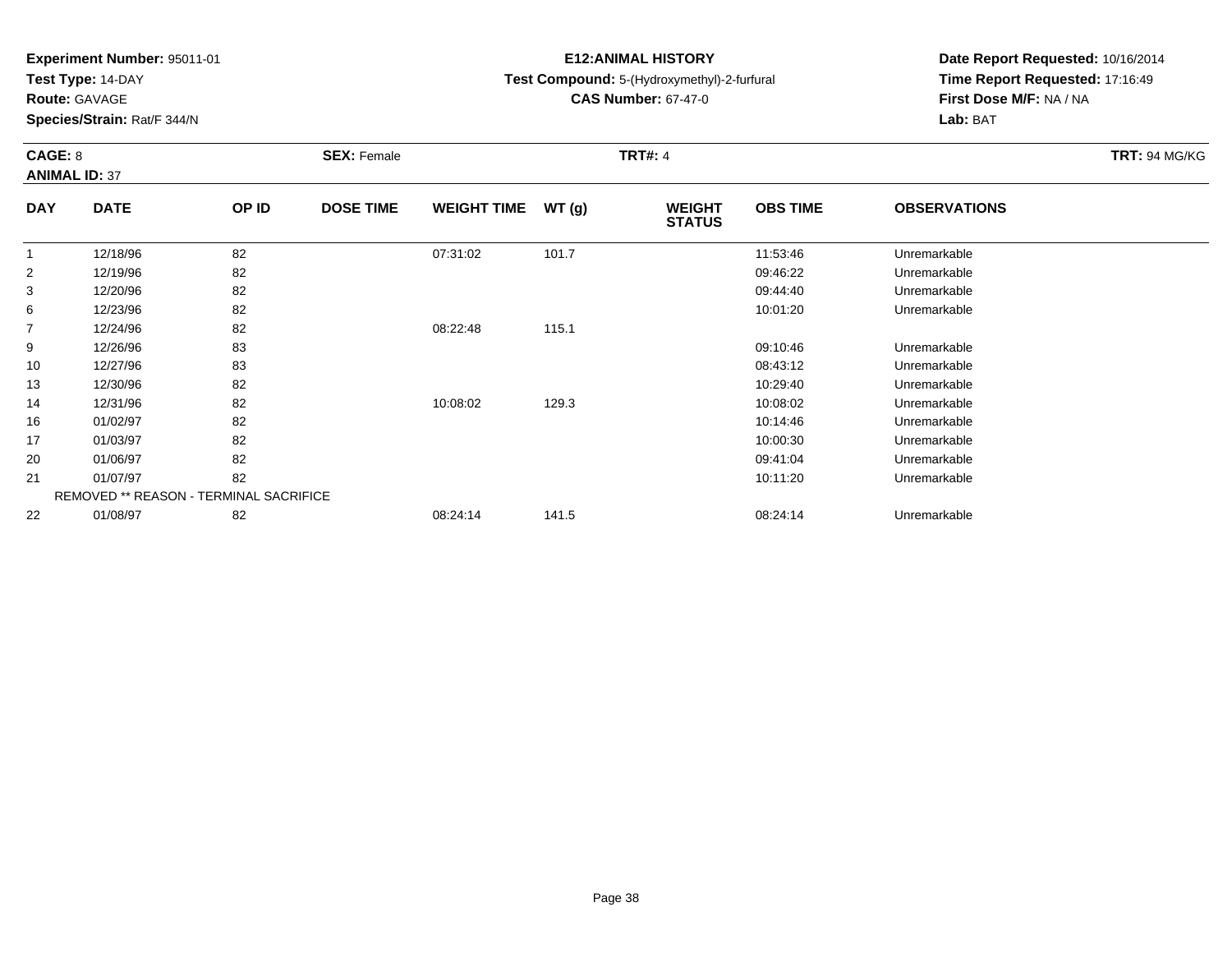**Test Type:** 14-DAY

**Route:** GAVAGE

**Species/Strain:** Rat/F 344/N

# **E12:ANIMAL HISTORY**

# **Test Compound:** 5-(Hydroxymethyl)-2-furfural

**CAS Number:** 67-47-0

**Date Report Requested:** 10/16/2014 **Time Report Requested:** 17:16:49**First Dose M/F:** NA / NA**Lab:** BAT

| CAGE: 8<br><b>ANIMAL ID: 37</b> |             |                | <b>SEX: Female</b> | <b>TRT#: 4</b>     |        |                                |                 |                     |  |
|---------------------------------|-------------|----------------|--------------------|--------------------|--------|--------------------------------|-----------------|---------------------|--|
| <b>DAY</b>                      | <b>DATE</b> | OP ID          | <b>DOSE TIME</b>   | <b>WEIGHT TIME</b> | WT (q) | <b>WEIGHT</b><br><b>STATUS</b> | <b>OBS TIME</b> | <b>OBSERVATIONS</b> |  |
|                                 | 12/18/96    | 82             |                    | 07:31:02           | 101.7  |                                | 11:53:46        | Unremarkable        |  |
| 2                               | 12/19/96    | 82             |                    |                    |        |                                | 09:46:22        | Unremarkable        |  |
| ર                               | 12/20/96    | R <sub>2</sub> |                    |                    |        |                                | 09.44.40        | l Inramarkahla      |  |

| 3  | 12/20/96                                      | 82 |          |       | 09:44:40 | Unremarkable |
|----|-----------------------------------------------|----|----------|-------|----------|--------------|
| 6  | 12/23/96                                      | 82 |          |       | 10:01:20 | Unremarkable |
| 7  | 12/24/96                                      | 82 | 08:22:48 | 115.1 |          |              |
| 9  | 12/26/96                                      | 83 |          |       | 09:10:46 | Unremarkable |
| 10 | 12/27/96                                      | 83 |          |       | 08:43:12 | Unremarkable |
| 13 | 12/30/96                                      | 82 |          |       | 10:29:40 | Unremarkable |
| 14 | 12/31/96                                      | 82 | 10:08:02 | 129.3 | 10:08:02 | Unremarkable |
| 16 | 01/02/97                                      | 82 |          |       | 10:14:46 | Unremarkable |
| 17 | 01/03/97                                      | 82 |          |       | 10:00:30 | Unremarkable |
| 20 | 01/06/97                                      | 82 |          |       | 09:41:04 | Unremarkable |
| 21 | 01/07/97                                      | 82 |          |       | 10:11:20 | Unremarkable |
|    | <b>REMOVED ** REASON - TERMINAL SACRIFICE</b> |    |          |       |          |              |
| 22 | 01/08/97                                      | 82 | 08:24:14 | 141.5 | 08:24:14 | Unremarkable |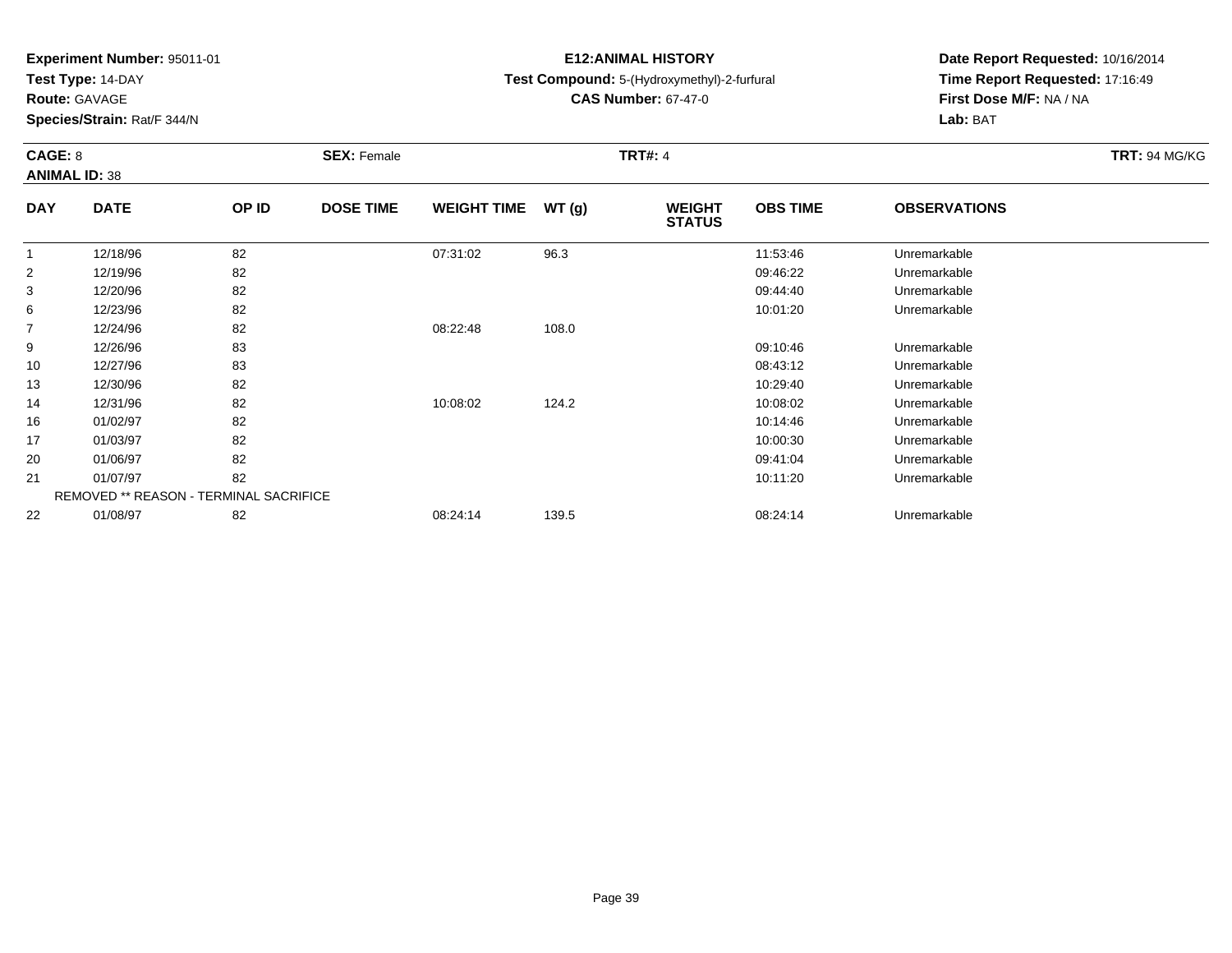**Test Type:** 14-DAY

**Route:** GAVAGE

**Species/Strain:** Rat/F 344/N

# **E12:ANIMAL HISTORY**

# **Test Compound:** 5-(Hydroxymethyl)-2-furfural

**CAS Number:** 67-47-0

**Date Report Requested:** 10/16/2014 **Time Report Requested:** 17:16:49**First Dose M/F:** NA / NA**Lab:** BAT

|            | CAGE: 8<br><b>ANIMAL ID: 38</b> |       | <b>SEX: Female</b> |                    |       | <b>TRT#: 4</b>                 | <b>TRT: 94 MG/KG</b> |                      |  |
|------------|---------------------------------|-------|--------------------|--------------------|-------|--------------------------------|----------------------|----------------------|--|
| <b>DAY</b> | <b>DATE</b>                     | OP ID | <b>DOSE TIME</b>   | <b>WEIGHT TIME</b> | WT(g) | <b>WEIGHT</b><br><b>STATUS</b> | <b>OBS TIME</b>      | <b>OBSERVATIONS</b>  |  |
|            | 12/18/96                        | 82    |                    | 07:31:02           | 96.3  |                                | 11:53:46             | Unremarkable         |  |
| 2          | 12/19/96                        | 82    |                    |                    |       |                                | 09:46:22             | Unremarkable         |  |
| 3          | 12/20/96                        | 82    |                    |                    |       |                                | 09:44:40             | Unremarkable         |  |
| 6          | 12/23/96                        | 82    |                    |                    |       |                                | 10:01:20             | Unremarkable         |  |
| 7          | 12/24/96                        | 82    |                    | 08:22:48           | 108.0 |                                |                      |                      |  |
| $\Omega$   | 10/200/2                        | ດລ    |                    |                    |       |                                | 00.10.10             | <b>Llaramarkahla</b> |  |

|    | 12/24/90 | OZ.                                           | <b>00.22.40</b> | <b>TUO.U</b> |          |              |  |
|----|----------|-----------------------------------------------|-----------------|--------------|----------|--------------|--|
| 9  | 12/26/96 | 83                                            |                 |              | 09:10:46 | Unremarkable |  |
| 10 | 12/27/96 | 83                                            |                 |              | 08:43:12 | Unremarkable |  |
| 13 | 12/30/96 | 82                                            |                 |              | 10:29:40 | Unremarkable |  |
| 14 | 12/31/96 | 82                                            | 10:08:02        | 124.2        | 10:08:02 | Unremarkable |  |
| 16 | 01/02/97 | 82                                            |                 |              | 10:14:46 | Unremarkable |  |
| 17 | 01/03/97 | 82                                            |                 |              | 10:00:30 | Unremarkable |  |
| 20 | 01/06/97 | 82                                            |                 |              | 09:41:04 | Unremarkable |  |
| 21 | 01/07/97 | 82                                            |                 |              | 10:11:20 | Unremarkable |  |
|    |          | <b>REMOVED ** REASON - TERMINAL SACRIFICE</b> |                 |              |          |              |  |
| 22 | 01/08/97 | 82                                            | 08:24:14        | 139.5        | 08:24:14 | Unremarkable |  |
|    |          |                                               |                 |              |          |              |  |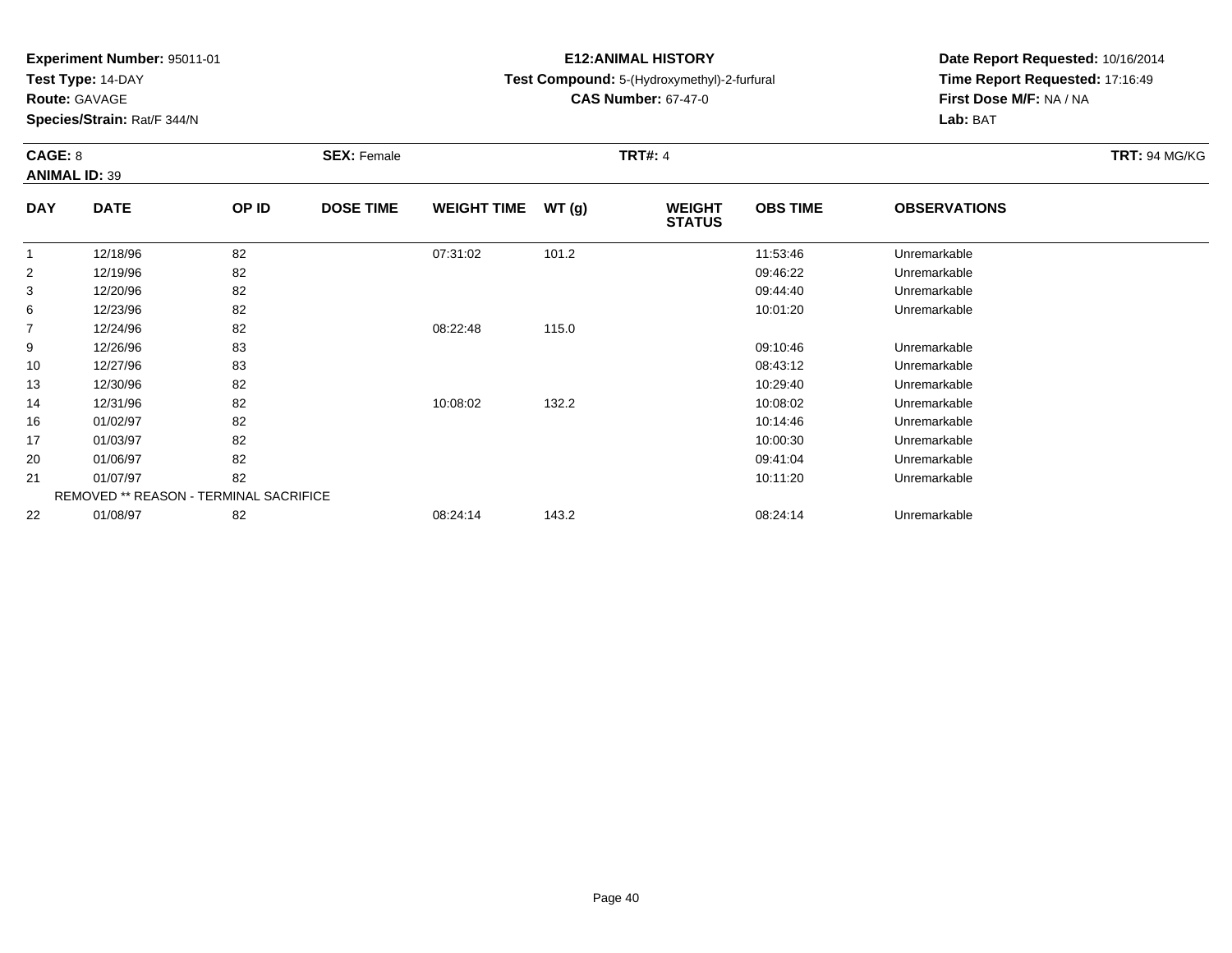**Test Type:** 14-DAY

**Route:** GAVAGE

13

14

16

17

20

21

22

**Species/Strain:** Rat/F 344/N

REMOVED \*\* REASON - TERMINAL SACRIFICE

# **E12:ANIMAL HISTORY**

# **Test Compound:** 5-(Hydroxymethyl)-2-furfural

**CAS Number:** 67-47-0

**Date Report Requested:** 10/16/2014**Time Report Requested:** 17:16:49**First Dose M/F:** NA / NA**Lab:** BAT

| CAGE: 8<br><b>ANIMAL ID: 39</b> |             |       | <b>SEX: Female</b> |                    |       | <b>TRT#: 4</b>                 | <b>TRT: 94 MG/KG</b> |                     |  |
|---------------------------------|-------------|-------|--------------------|--------------------|-------|--------------------------------|----------------------|---------------------|--|
| <b>DAY</b>                      | <b>DATE</b> | OP ID | <b>DOSE TIME</b>   | <b>WEIGHT TIME</b> | WT(g) | <b>WEIGHT</b><br><b>STATUS</b> | <b>OBS TIME</b>      | <b>OBSERVATIONS</b> |  |
|                                 | 12/18/96    | 82    |                    | 07:31:02           | 101.2 |                                | 11:53:46             | Unremarkable        |  |
| 2                               | 12/19/96    | 82    |                    |                    |       |                                | 09:46:22             | Unremarkable        |  |
| 3                               | 12/20/96    | 82    |                    |                    |       |                                | 09:44:40             | Unremarkable        |  |
| 6                               | 12/23/96    | 82    |                    |                    |       |                                | 10:01:20             | Unremarkable        |  |
| 7                               | 12/24/96    | 82    |                    | 08:22:48           | 115.0 |                                |                      |                     |  |
| 9                               | 12/26/96    | 83    |                    |                    |       |                                | 09:10:46             | Unremarkable        |  |
| 10                              | 12/27/96    | 83    |                    |                    |       |                                | 08:43:12             | Unremarkable        |  |

12/30/96 <sup>82</sup> 10:29:40 Unremarkable

12/31/96 <sup>82</sup> 10:08:02 132.2 10:08:02 Unremarkable

01/02/97 <sup>82</sup> 10:14:46 Unremarkable

01/03/97 <sup>82</sup> 10:00:30 Unremarkable

01/06/97 <sup>82</sup> 09:41:04 Unremarkable

01/07/97 <sup>82</sup> 10:11:20 Unremarkable

01/08/97 <sup>82</sup> 08:24:14 143.2 08:24:14 Unremarkable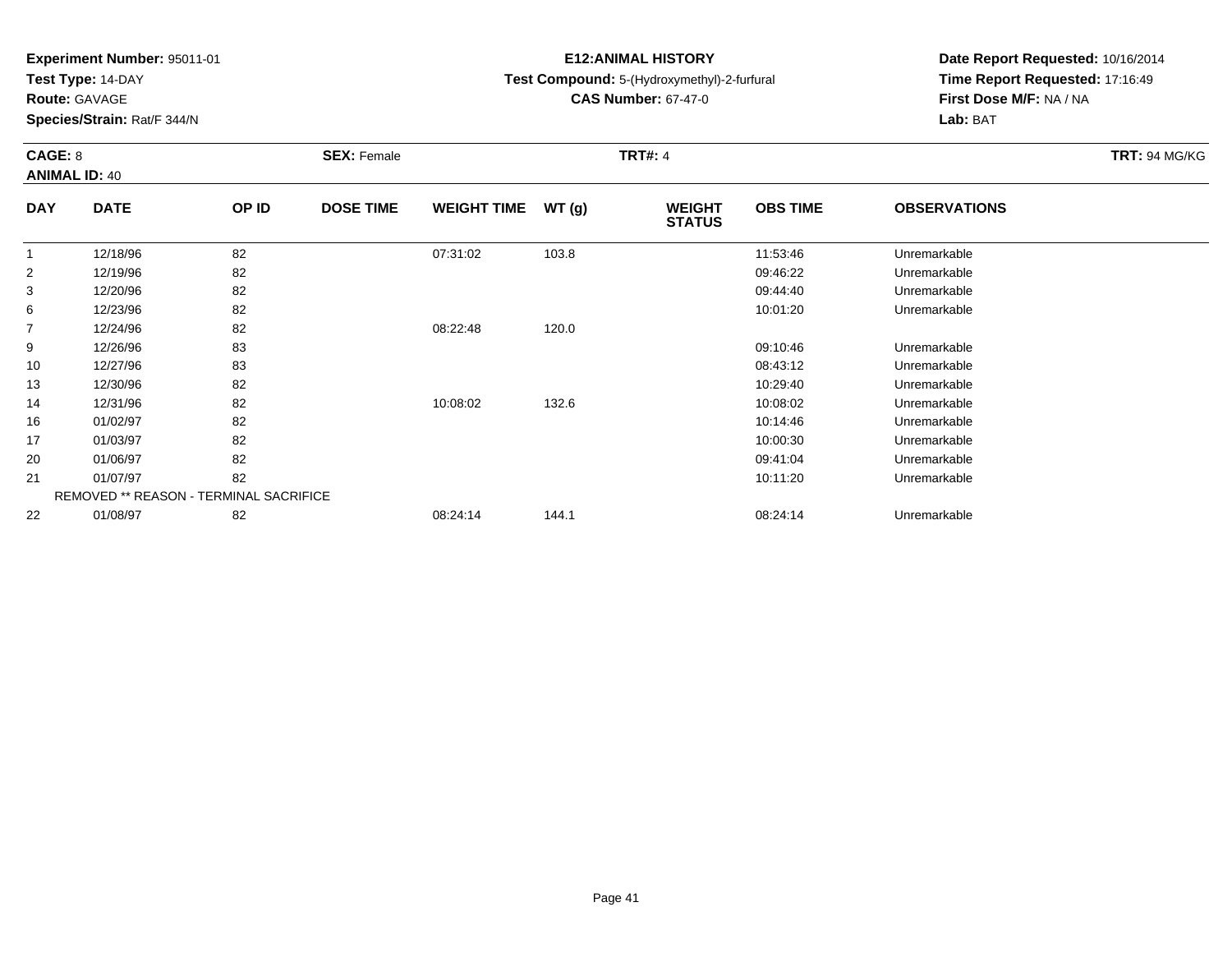**Test Type:** 14-DAY

**Route:** GAVAGE

14

16

17

20

21

22

**Species/Strain:** Rat/F 344/N

REMOVED \*\* REASON - TERMINAL SACRIFICE

# **E12:ANIMAL HISTORY**

# **Test Compound:** 5-(Hydroxymethyl)-2-furfural

**CAS Number:** 67-47-0

**Date Report Requested:** 10/16/2014**Time Report Requested:** 17:16:49**First Dose M/F:** NA / NA**Lab:** BAT

| CAGE: 8<br><b>ANIMAL ID: 40</b> |             | <b>SEX: Female</b> |                  |                    | <b>TRT#: 4</b> | <b>TRT: 94 MG/KG</b>           |                 |                     |  |
|---------------------------------|-------------|--------------------|------------------|--------------------|----------------|--------------------------------|-----------------|---------------------|--|
| <b>DAY</b>                      | <b>DATE</b> | OP ID              | <b>DOSE TIME</b> | <b>WEIGHT TIME</b> | WT(g)          | <b>WEIGHT</b><br><b>STATUS</b> | <b>OBS TIME</b> | <b>OBSERVATIONS</b> |  |
|                                 | 12/18/96    | 82                 |                  | 07:31:02           | 103.8          |                                | 11:53:46        | Unremarkable        |  |
| 2                               | 12/19/96    | 82                 |                  |                    |                |                                | 09:46:22        | Unremarkable        |  |
| 3                               | 12/20/96    | 82                 |                  |                    |                |                                | 09:44:40        | Unremarkable        |  |
| 6                               | 12/23/96    | 82                 |                  |                    |                |                                | 10:01:20        | Unremarkable        |  |
| $\overline{7}$                  | 12/24/96    | 82                 |                  | 08:22:48           | 120.0          |                                |                 |                     |  |
| 9                               | 12/26/96    | 83                 |                  |                    |                |                                | 09:10:46        | Unremarkable        |  |
| 10                              | 12/27/96    | 83                 |                  |                    |                |                                | 08:43:12        | Unremarkable        |  |
| 13                              | 12/30/96    | 82                 |                  |                    |                |                                | 10:29:40        | Unremarkable        |  |

12/31/96 <sup>82</sup> 10:08:02 132.6 10:08:02 Unremarkable

01/02/97 <sup>82</sup> 10:14:46 Unremarkable

01/03/97 <sup>82</sup> 10:00:30 Unremarkable

01/06/97 <sup>82</sup> 09:41:04 Unremarkable

01/07/97 <sup>82</sup> 10:11:20 Unremarkable

01/08/97 <sup>82</sup> 08:24:14 144.1 08:24:14 Unremarkable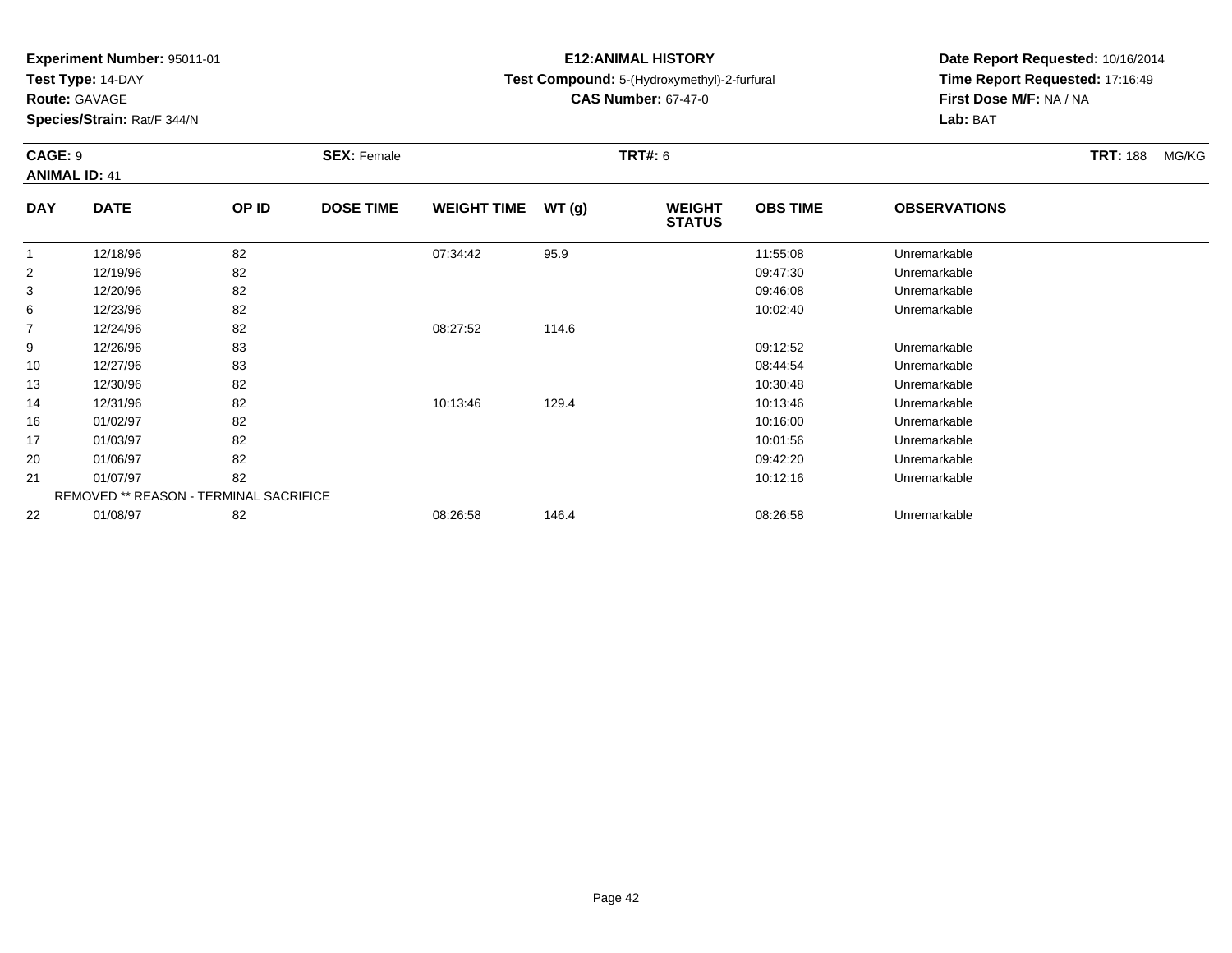**Test Type:** 14-DAY

**Route:** GAVAGE

**Species/Strain:** Rat/F 344/N

# **E12:ANIMAL HISTORY**

# **Test Compound:** 5-(Hydroxymethyl)-2-furfural

**CAS Number:** 67-47-0

**Date Report Requested:** 10/16/2014 **Time Report Requested:** 17:16:49**First Dose M/F:** NA / NA**Lab:** BAT

### **CAGE:** 9 **SEX:** Female **TRT#:** <sup>6</sup> **TRT:** 188 MG/KG**ANIMAL ID:** 41**DAY DATE OP IDDOSE TIME WEIGHT TIME WT** (g) **STATUSOBS TIME OBSERVATIONS** 112/18/96 <sup>82</sup> 07:34:42 95.9 11:55:08 Unremarkable

|                | 12/18/96 | 82                                            | 07:34:42 | 95.9  | 11:55:08 | Unremarkable |  |
|----------------|----------|-----------------------------------------------|----------|-------|----------|--------------|--|
| 2              | 12/19/96 | 82                                            |          |       | 09:47:30 | Unremarkable |  |
| 3              | 12/20/96 | 82                                            |          |       | 09:46:08 | Unremarkable |  |
| 6              | 12/23/96 | 82                                            |          |       | 10:02:40 | Unremarkable |  |
| $\overline{7}$ | 12/24/96 | 82                                            | 08:27:52 | 114.6 |          |              |  |
| 9              | 12/26/96 | 83                                            |          |       | 09:12:52 | Unremarkable |  |
| 10             | 12/27/96 | 83                                            |          |       | 08:44:54 | Unremarkable |  |
| 13             | 12/30/96 | 82                                            |          |       | 10:30:48 | Unremarkable |  |
| 14             | 12/31/96 | 82                                            | 10:13:46 | 129.4 | 10:13:46 | Unremarkable |  |
| 16             | 01/02/97 | 82                                            |          |       | 10:16:00 | Unremarkable |  |
| 17             | 01/03/97 | 82                                            |          |       | 10:01:56 | Unremarkable |  |
| 20             | 01/06/97 | 82                                            |          |       | 09:42:20 | Unremarkable |  |
| 21             | 01/07/97 | 82                                            |          |       | 10:12:16 | Unremarkable |  |
|                |          | <b>REMOVED ** REASON - TERMINAL SACRIFICE</b> |          |       |          |              |  |
| 22             | 01/08/97 | 82                                            | 08:26:58 | 146.4 | 08:26:58 | Unremarkable |  |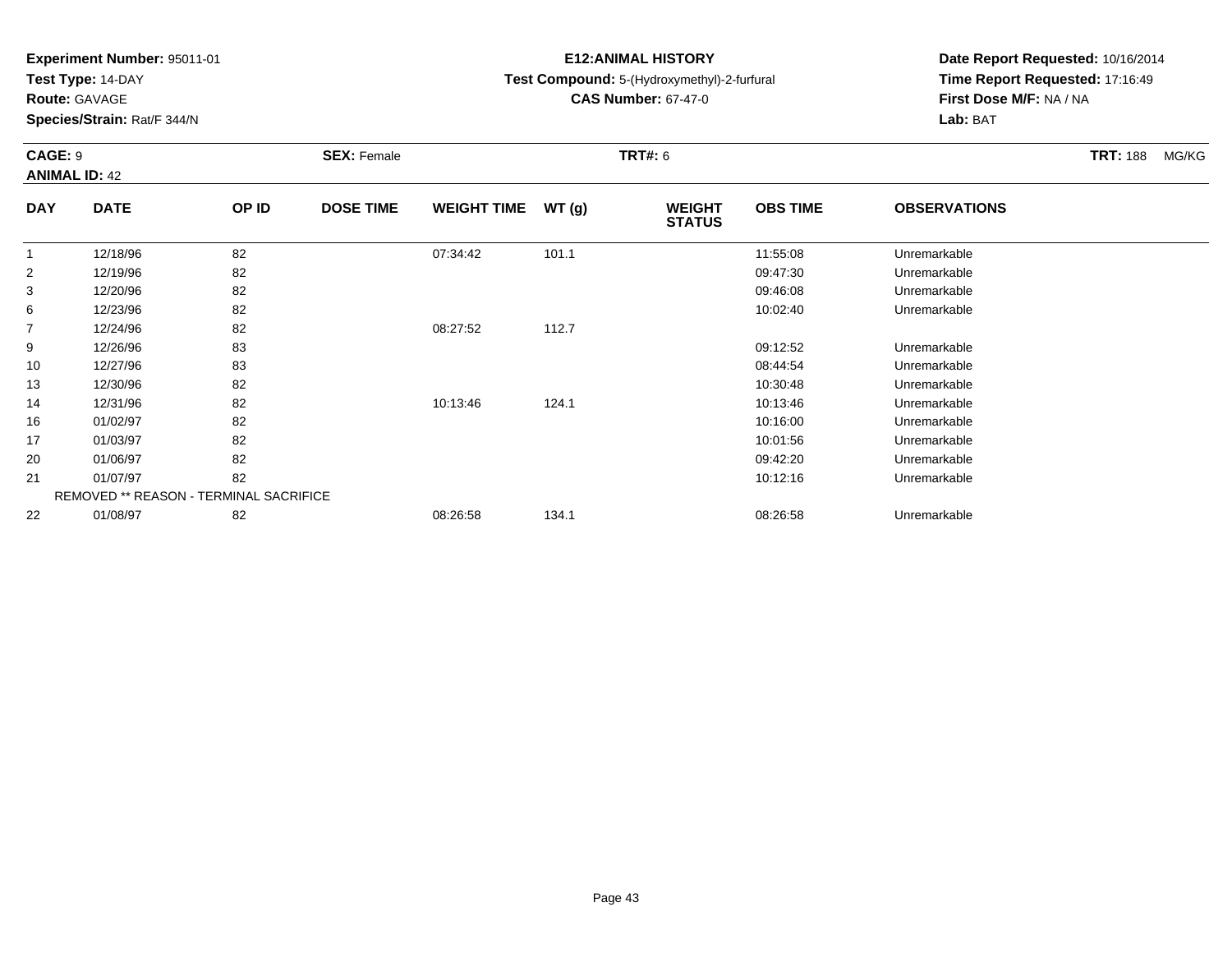**Test Type:** 14-DAY

**Route:** GAVAGE

**Species/Strain:** Rat/F 344/N

# **E12:ANIMAL HISTORY**

# **Test Compound:** 5-(Hydroxymethyl)-2-furfural

**CAS Number:** 67-47-0

**Date Report Requested:** 10/16/2014**Time Report Requested:** 17:16:49**First Dose M/F:** NA / NA**Lab:** BAT

### **CAGE:** 9 **SEX:** Female **TRT#:** <sup>6</sup> **TRT:** 188 MG/KG**ANIMAL ID:** 42**DAY DATE OP IDDOSE TIME WEIGHT TIME WT** (g) **STATUSOBS TIME OBSERVATIONS** 1 12/18/96 <sup>82</sup> 07:34:42 101.1 11:55:08 Unremarkable 2 12/19/96 <sup>82</sup> 09:47:30 Unremarkable 3 12/20/96 <sup>82</sup> 09:46:08 Unremarkable 66 12/23/96 82 82 10:02:40 12/23/96 Unremarkable 712/24/96 <sup>82</sup> 08:27:52 112.7

| 6  | 12/23/96                                      | 82 |          |       | 10:02:40 | Unremarkable |
|----|-----------------------------------------------|----|----------|-------|----------|--------------|
|    | 12/24/96                                      | 82 | 08:27:52 | 112.7 |          |              |
| 9  | 12/26/96                                      | 83 |          |       | 09:12:52 | Unremarkable |
| 10 | 12/27/96                                      | 83 |          |       | 08:44:54 | Unremarkable |
| 13 | 12/30/96                                      | 82 |          |       | 10:30:48 | Unremarkable |
| 14 | 12/31/96                                      | 82 | 10:13:46 | 124.1 | 10:13:46 | Unremarkable |
| 16 | 01/02/97                                      | 82 |          |       | 10:16:00 | Unremarkable |
| 17 | 01/03/97                                      | 82 |          |       | 10:01:56 | Unremarkable |
| 20 | 01/06/97                                      | 82 |          |       | 09:42:20 | Unremarkable |
| 21 | 01/07/97                                      | 82 |          |       | 10:12:16 | Unremarkable |
|    | <b>REMOVED ** REASON - TERMINAL SACRIFICE</b> |    |          |       |          |              |
| 22 | 01/08/97                                      | 82 | 08:26:58 | 134.1 | 08:26:58 | Unremarkable |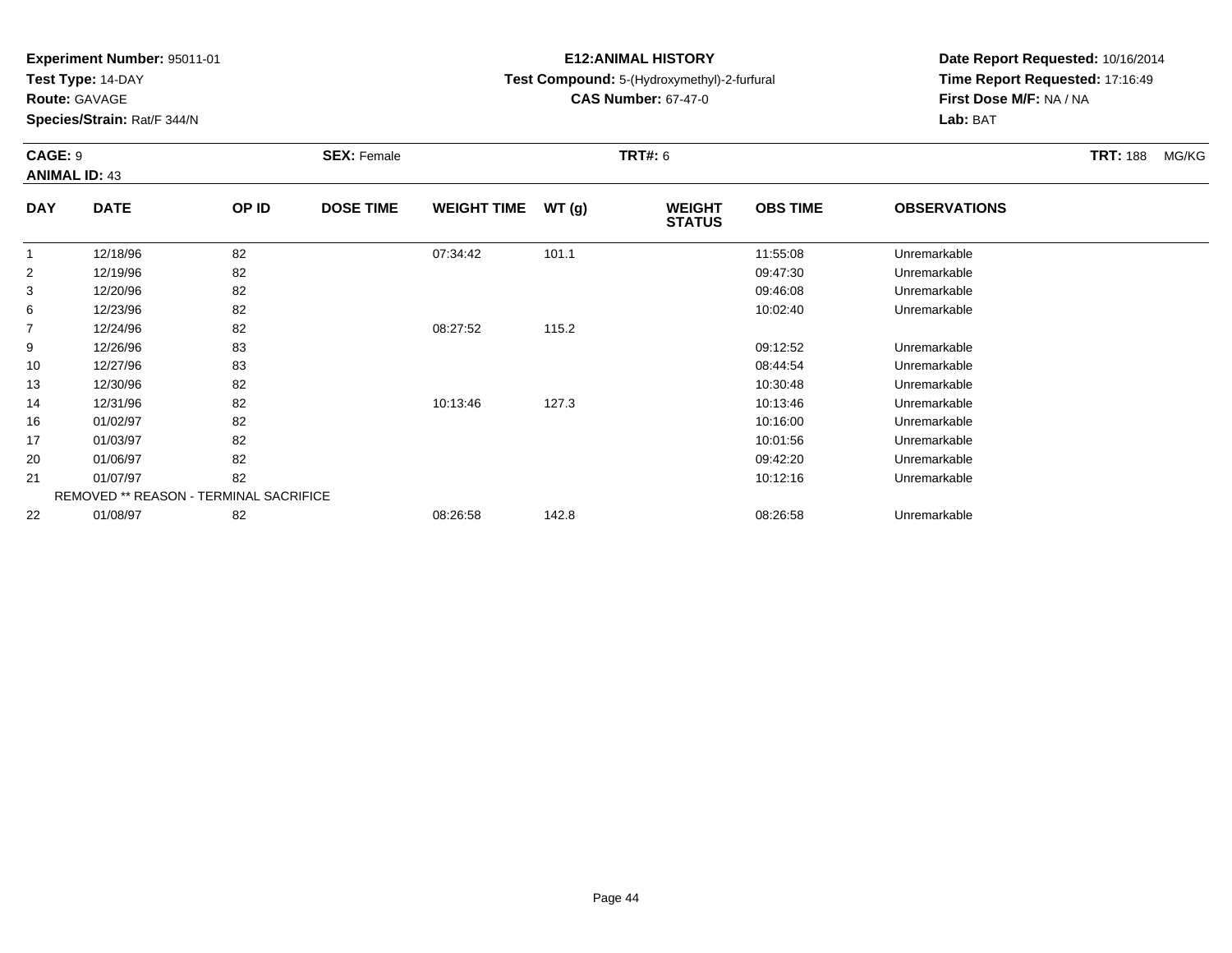**Test Type:** 14-DAY

**Route:** GAVAGE

16

17

20

21

22

**Species/Strain:** Rat/F 344/N

REMOVED \*\* REASON - TERMINAL SACRIFICE

# **E12:ANIMAL HISTORY**

**Test Compound:** 5-(Hydroxymethyl)-2-furfural

**CAS Number:** 67-47-0

**Date Report Requested:** 10/16/2014**Time Report Requested:** 17:16:49**First Dose M/F:** NA / NA**Lab:** BAT

#### **CAGE:** 9 **SEX:** Female **TRT#:** <sup>6</sup> **TRT:** 188 MG/KG**ANIMAL ID:** 43**DAY DATE OP IDDOSE TIME WEIGHT TIME WT** (g) **STATUSOBS TIME OBSERVATIONS** 1 12/18/96 <sup>82</sup> 07:34:42 101.1 11:55:08 Unremarkable 2 12/19/96 <sup>82</sup> 09:47:30 Unremarkable 3 12/20/96 <sup>82</sup> 09:46:08 Unremarkable 66 12/23/96 82 82 10:02:40 12/23/96 Unremarkable 7 12/24/96 <sup>82</sup> 08:27:52 115.2 9 12/26/96 <sup>83</sup> 09:12:52 Unremarkable 10 12/27/96 <sup>83</sup> 08:44:54 Unremarkable 13 12/30/96 <sup>82</sup> 10:30:48 Unremarkable 1412/31/96 <sup>82</sup> 10:13:46 127.3 10:13:46 Unremarkable

01/02/97 <sup>82</sup> 10:16:00 Unremarkable

01/03/97 <sup>82</sup> 10:01:56 Unremarkable

01/06/97 <sup>82</sup> 09:42:20 Unremarkable

01/07/97 <sup>82</sup> 10:12:16 Unremarkable

01/08/97 <sup>82</sup> 08:26:58 142.8 08:26:58 Unremarkable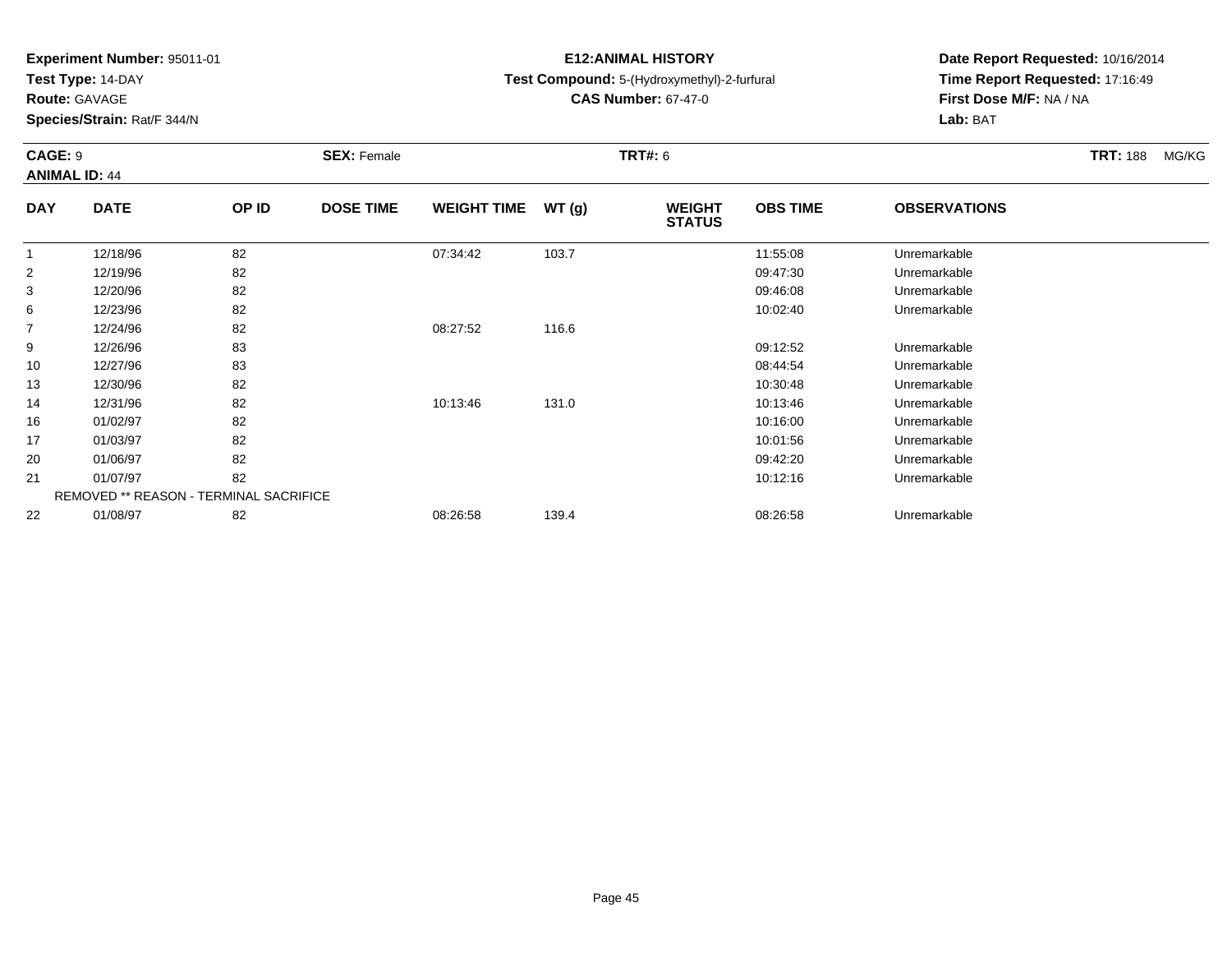**Test Type:** 14-DAY

**Route:** GAVAGE

**Species/Strain:** Rat/F 344/N

# **E12:ANIMAL HISTORY**

# **Test Compound:** 5-(Hydroxymethyl)-2-furfural

**CAS Number:** 67-47-0

**Date Report Requested:** 10/16/2014**Time Report Requested:** 17:16:49**First Dose M/F:** NA / NA**Lab:** BAT

### **CAGE:** 9 **SEX:** Female **TRT#:** <sup>6</sup> **TRT:** 188 MG/KG**ANIMAL ID:** 44**DAY DATE OP IDDOSE TIME WEIGHT TIME WT** (g) **STATUSOBS TIME OBSERVATIONS** 1 12/18/96 <sup>82</sup> 07:34:42 103.7 11:55:08 Unremarkable 2 12/19/96 <sup>82</sup> 09:47:30 Unremarkable 312/20/96 <sup>82</sup> 09:46:08 Unremarkable

| 6  | 12/23/96 | 82                                            |          |       | 10:02:40 | Unremarkable |  |
|----|----------|-----------------------------------------------|----------|-------|----------|--------------|--|
| 7  | 12/24/96 | 82                                            | 08:27:52 | 116.6 |          |              |  |
| 9  | 12/26/96 | 83                                            |          |       | 09:12:52 | Unremarkable |  |
| 10 | 12/27/96 | 83                                            |          |       | 08:44:54 | Unremarkable |  |
| 13 | 12/30/96 | 82                                            |          |       | 10:30:48 | Unremarkable |  |
| 14 | 12/31/96 | 82                                            | 10:13:46 | 131.0 | 10:13:46 | Unremarkable |  |
| 16 | 01/02/97 | 82                                            |          |       | 10:16:00 | Unremarkable |  |
| 17 | 01/03/97 | 82                                            |          |       | 10:01:56 | Unremarkable |  |
| 20 | 01/06/97 | 82                                            |          |       | 09:42:20 | Unremarkable |  |
| 21 | 01/07/97 | 82                                            |          |       | 10:12:16 | Unremarkable |  |
|    |          | <b>REMOVED ** REASON - TERMINAL SACRIFICE</b> |          |       |          |              |  |
| 22 | 01/08/97 | 82                                            | 08:26:58 | 139.4 | 08:26:58 | Unremarkable |  |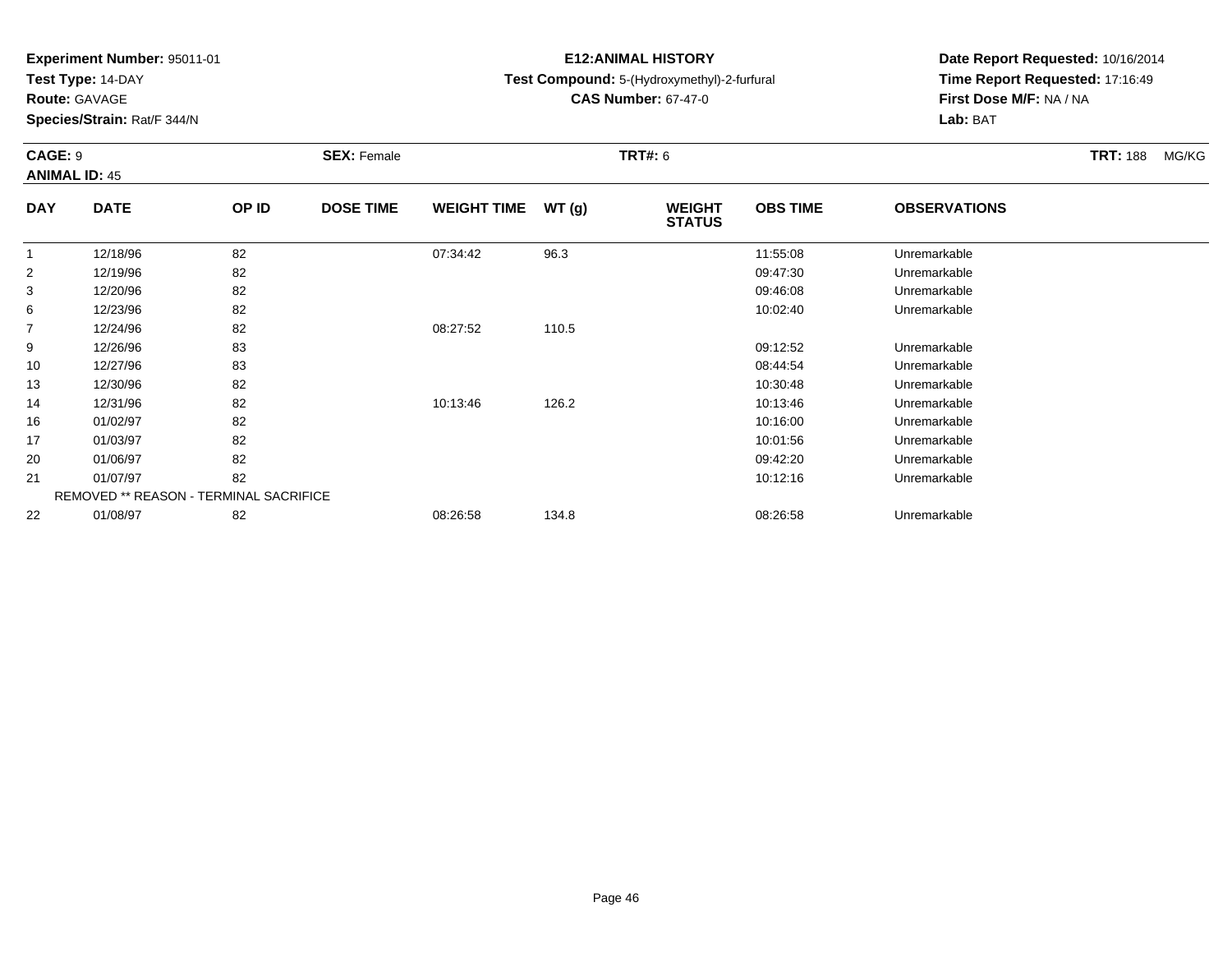**Test Type:** 14-DAY

**Route:** GAVAGE

22

**Species/Strain:** Rat/F 344/N

# **E12:ANIMAL HISTORY**

**Test Compound:** 5-(Hydroxymethyl)-2-furfural

**CAS Number:** 67-47-0

**Date Report Requested:** 10/16/2014**Time Report Requested:** 17:16:49**First Dose M/F:** NA / NA**Lab:** BAT

### **CAGE:** 9 **SEX:** Female **TRT#:** <sup>6</sup> **TRT:** 188 MG/KG**ANIMAL ID:** 45**DAY DATE OP IDDOSE TIME WEIGHT TIME WT** (g) **STATUSOBS TIME OBSERVATIONS** 1 12/18/96 <sup>82</sup> 07:34:42 96.3 11:55:08 Unremarkable 2 12/19/96 <sup>82</sup> 09:47:30 Unremarkable 3 12/20/96 <sup>82</sup> 09:46:08 Unremarkable 66 12/23/96 82 82 10:02:40 12/23/96 Unremarkable 7 12/24/96 <sup>82</sup> 08:27:52 110.5 9 12/26/96 <sup>83</sup> 09:12:52 Unremarkable 10 12/27/96 <sup>83</sup> 08:44:54 Unremarkable 13 12/30/96 <sup>82</sup> 10:30:48 Unremarkable 14 12/31/96 <sup>82</sup> 10:13:46 126.2 10:13:46 Unremarkable 16 01/02/97 <sup>82</sup> 10:16:00 Unremarkable 17 01/03/97 <sup>82</sup> 10:01:56 Unremarkable 20 01/06/97 <sup>82</sup> 09:42:20 Unremarkable 21 01/07/97 <sup>82</sup> 10:12:16 Unremarkable REMOVED \*\* REASON - TERMINAL SACRIFICE

01/08/97 <sup>82</sup> 08:26:58 134.8 08:26:58 Unremarkable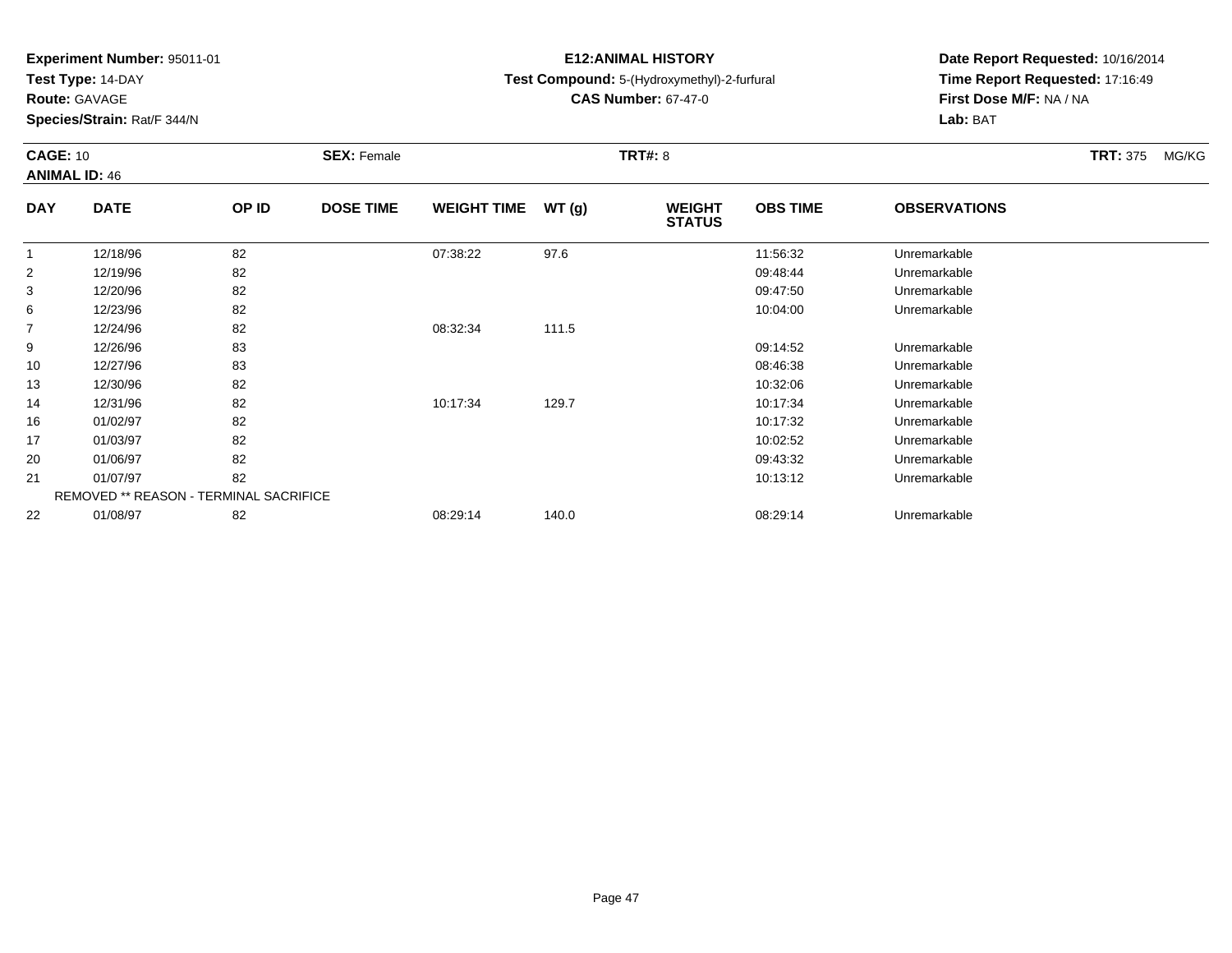**Test Type:** 14-DAY

**Route:** GAVAGE

22

**Species/Strain:** Rat/F 344/N

# **E12:ANIMAL HISTORY**

**Test Compound:** 5-(Hydroxymethyl)-2-furfural

**CAS Number:** 67-47-0

**Date Report Requested:** 10/16/2014**Time Report Requested:** 17:16:49**First Dose M/F:** NA / NA**Lab:** BAT

### **CAGE:** 10**SEX:** Female **TRT#:** 8 **TRT#:** 8 **TRT\$ TRT**: 375 MG/KG **ANIMAL ID:** 46**DAY DATE OP ID DOSE TIME WEIGHT TIME WT (g) WEIGHT STATUSOBS TIME OBSERVATIONS** 1 12/18/96 <sup>82</sup> 07:38:22 97.6 11:56:32 Unremarkable 2 12/19/96 <sup>82</sup> 09:48:44 Unremarkable 3 12/20/96 <sup>82</sup> 09:47:50 Unremarkable 66 12/23/96 82 82 10:04:00 12/23/96 Unremarkable 7 12/24/96 <sup>82</sup> 08:32:34 111.5 9 12/26/96 <sup>83</sup> 09:14:52 Unremarkable 10 12/27/96 <sup>83</sup> 08:46:38 Unremarkable 13 12/30/96 <sup>82</sup> 10:32:06 Unremarkable 14 12/31/96 <sup>82</sup> 10:17:34 129.7 10:17:34 Unremarkable 16 01/02/97 <sup>82</sup> 10:17:32 Unremarkable 17 01/03/97 <sup>82</sup> 10:02:52 Unremarkable 20 01/06/97 <sup>82</sup> 09:43:32 Unremarkable 21 01/07/97 <sup>82</sup> 10:13:12 Unremarkable REMOVED \*\* REASON - TERMINAL SACRIFICE

01/08/97 <sup>82</sup> 08:29:14 140.0 08:29:14 Unremarkable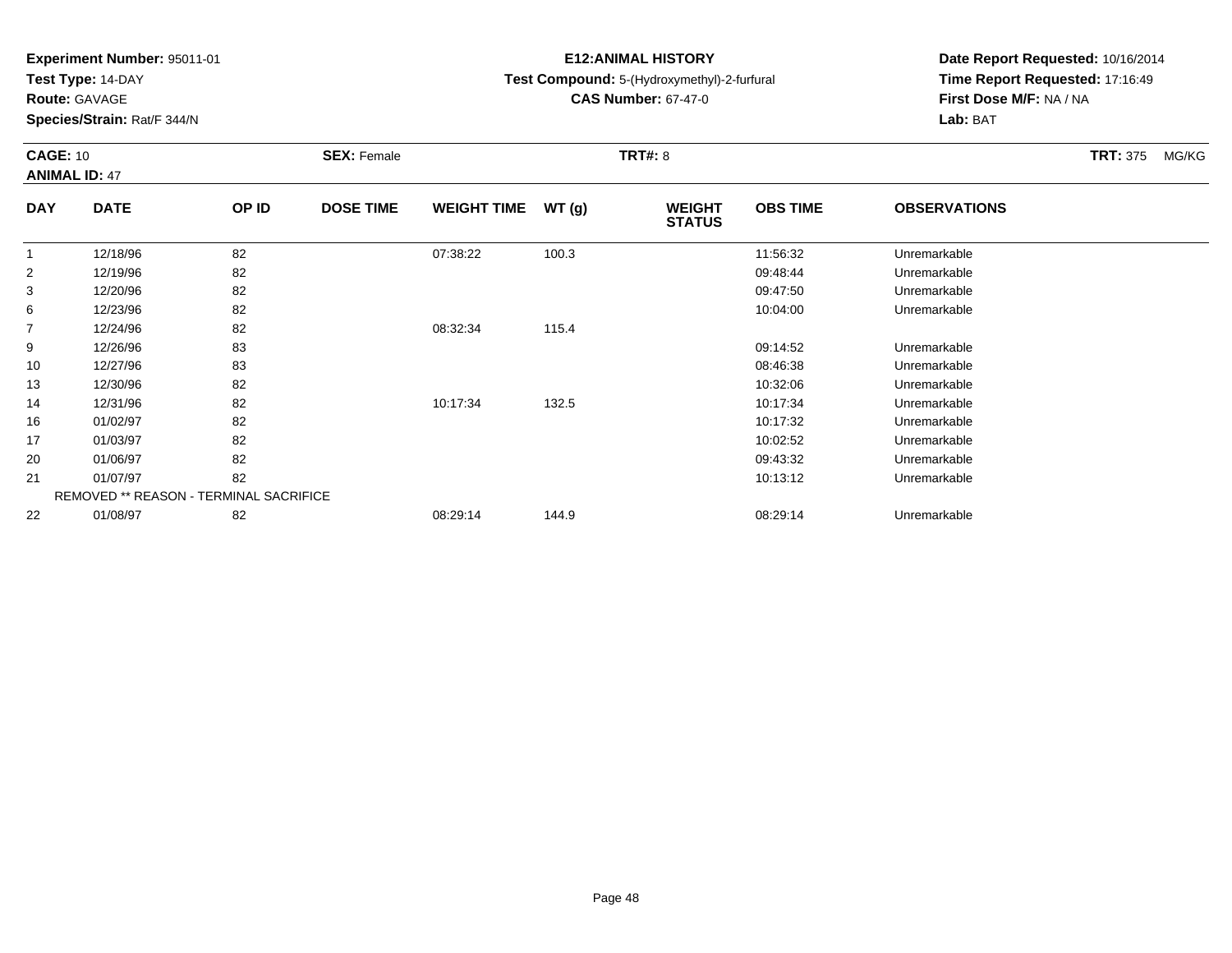**Test Type:** 14-DAY

**Route:** GAVAGE

17

20

21

22

**Species/Strain:** Rat/F 344/N

REMOVED \*\* REASON - TERMINAL SACRIFICE

# **E12:ANIMAL HISTORY**

**Test Compound:** 5-(Hydroxymethyl)-2-furfural

**CAS Number:** 67-47-0

**Date Report Requested:** 10/16/2014**Time Report Requested:** 17:16:49**First Dose M/F:** NA / NA**Lab:** BAT

### **CAGE:** 10**SEX:** Female **TRT#:** 8 **TRT#:** 8 **TRT\$ TRT**: 375 MG/KG **ANIMAL ID:** 47**DAY DATE OP IDDOSE TIME WEIGHT TIME WT** (g) **STATUSOBS TIME OBSERVATIONS** 1 12/18/96 <sup>82</sup> 07:38:22 100.3 11:56:32 Unremarkable 2 12/19/96 <sup>82</sup> 09:48:44 Unremarkable 3 12/20/96 <sup>82</sup> 09:47:50 Unremarkable 66 12/23/96 82 82 10:04:00 12/23/96 Unremarkable 7 12/24/96 <sup>82</sup> 08:32:34 115.4 9 12/26/96 <sup>83</sup> 09:14:52 Unremarkable 10 12/27/96 <sup>83</sup> 08:46:38 Unremarkable 13 12/30/96 <sup>82</sup> 10:32:06 Unremarkable 14 12/31/96 <sup>82</sup> 10:17:34 132.5 10:17:34 Unremarkable 1601/02/97 <sup>82</sup> 10:17:32 Unremarkable

01/03/97 <sup>82</sup> 10:02:52 Unremarkable

01/06/97 <sup>82</sup> 09:43:32 Unremarkable

01/07/97 <sup>82</sup> 10:13:12 Unremarkable

01/08/97 <sup>82</sup> 08:29:14 144.9 08:29:14 Unremarkable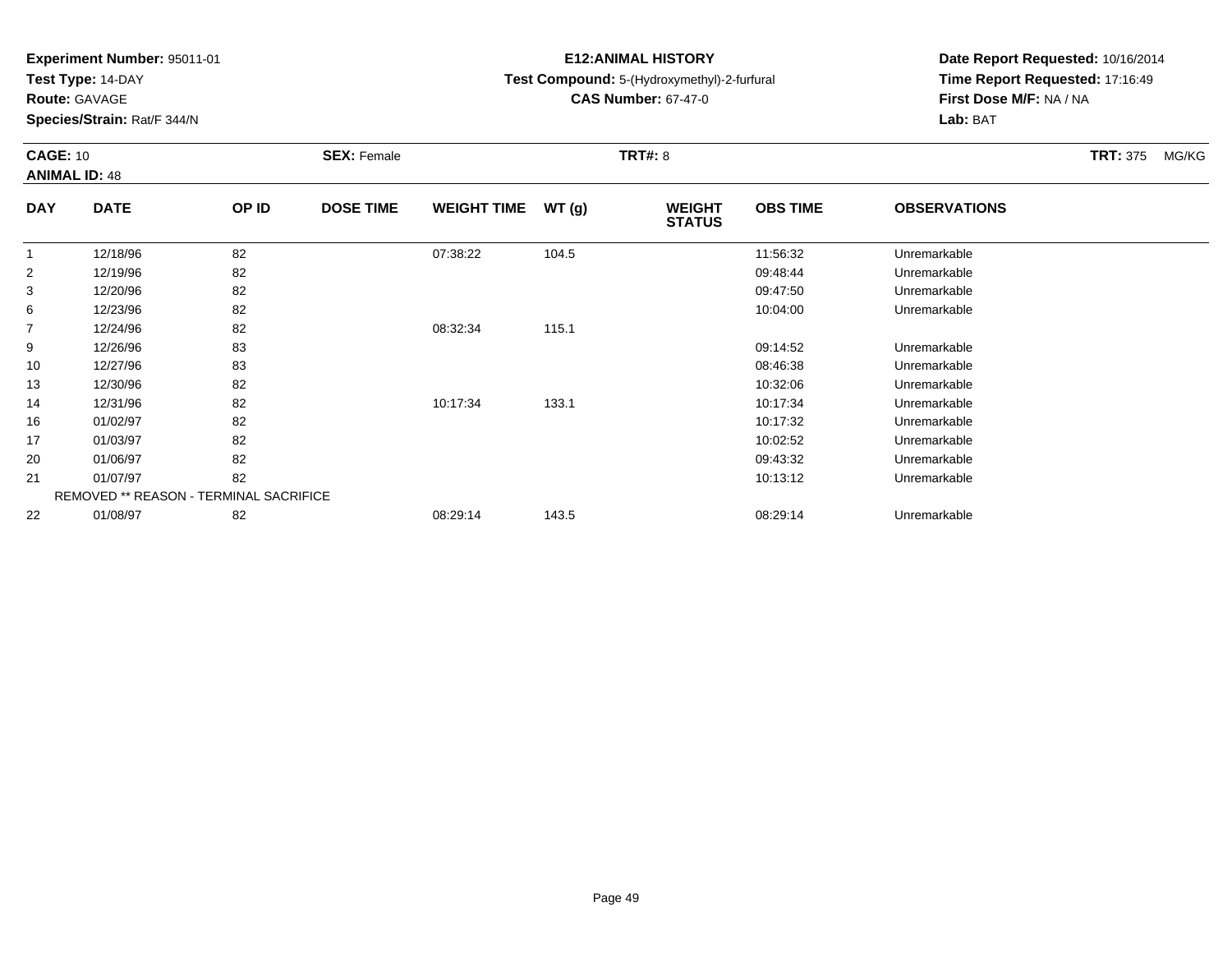**Test Type:** 14-DAY

20

21

22

**Species/Strain:** Rat/F 344/N

REMOVED \*\* REASON - TERMINAL SACRIFICE

# **E12:ANIMAL HISTORY**

**Test Compound:** 5-(Hydroxymethyl)-2-furfural

**CAS Number:** 67-47-0

**Date Report Requested:** 10/16/2014**Time Report Requested:** 17:16:49**First Dose M/F:** NA / NA**Lab:** BAT

#### **CAGE:** 10**SEX:** Female **TRT#:** 8 **TRT#:** 8 **TRT\$ TRT**: 375 MG/KG **ANIMAL ID:** 48**DAY DATE OP IDDOSE TIME WEIGHT TIME WT** (g) **STATUSOBS TIME OBSERVATIONS** 1 12/18/96 <sup>82</sup> 07:38:22 104.5 11:56:32 Unremarkable 2 12/19/96 <sup>82</sup> 09:48:44 Unremarkable 3 12/20/96 <sup>82</sup> 09:47:50 Unremarkable 66 12/23/96 82 82 10:04:00 12/23/96 Unremarkable 7 12/24/96 <sup>82</sup> 08:32:34 115.1 9 12/26/96 <sup>83</sup> 09:14:52 Unremarkable 10 12/27/96 <sup>83</sup> 08:46:38 Unremarkable 13 12/30/96 <sup>82</sup> 10:32:06 Unremarkable 14 12/31/96 <sup>82</sup> 10:17:34 133.1 10:17:34 Unremarkable 16 01/02/97 <sup>82</sup> 10:17:32 Unremarkable 1701/03/97 <sup>82</sup> 10:02:52 Unremarkable

01/06/97 <sup>82</sup> 09:43:32 Unremarkable

01/07/97 <sup>82</sup> 10:13:12 Unremarkable

01/08/97 <sup>82</sup> 08:29:14 143.5 08:29:14 Unremarkable

**Route:** GAVAGE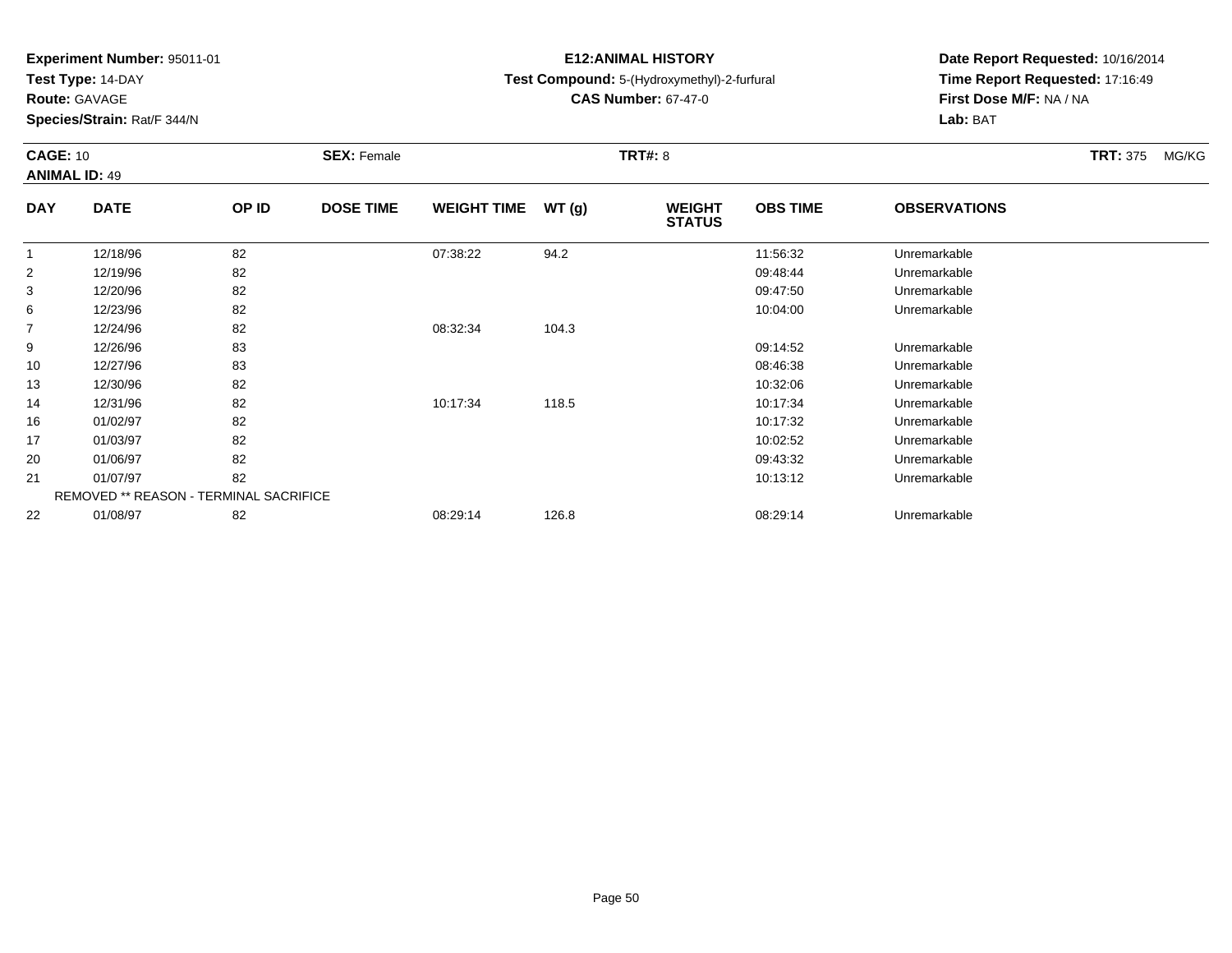**Test Type:** 14-DAY

**Route:** GAVAGE

16

17

20

21

22

**Species/Strain:** Rat/F 344/N

REMOVED \*\* REASON - TERMINAL SACRIFICE

# **E12:ANIMAL HISTORY**

# **Test Compound:** 5-(Hydroxymethyl)-2-furfural

**CAS Number:** 67-47-0

**Date Report Requested:** 10/16/2014**Time Report Requested:** 17:16:49**First Dose M/F:** NA / NA**Lab:** BAT

### **CAGE:** 10**SEX:** Female **TRT#:** 8 **TRT#:** 8 **TRT\$ TRT**: 375 MG/KG **ANIMAL ID:** 49**DAY DATE OP ID DOSE TIME WEIGHT TIME WT (g) WEIGHT STATUSOBS TIME OBSERVATIONS** 1 12/18/96 <sup>82</sup> 07:38:22 94.2 11:56:32 Unremarkable 2 12/19/96 <sup>82</sup> 09:48:44 Unremarkable 3 12/20/96 <sup>82</sup> 09:47:50 Unremarkable 66 12/23/96 82 82 10:04:00 12/23/96 Unremarkable 7 12/24/96 <sup>82</sup> 08:32:34 104.3 9 12/26/96 <sup>83</sup> 09:14:52 Unremarkable 10 12/27/96 <sup>83</sup> 08:46:38 Unremarkable 13 12/30/96 <sup>82</sup> 10:32:06 Unremarkable 1412/31/96 <sup>82</sup> 10:17:34 118.5 10:17:34 Unremarkable

01/02/97 <sup>82</sup> 10:17:32 Unremarkable

01/03/97 <sup>82</sup> 10:02:52 Unremarkable

01/06/97 <sup>82</sup> 09:43:32 Unremarkable

01/07/97 <sup>82</sup> 10:13:12 Unremarkable

01/08/97 <sup>82</sup> 08:29:14 126.8 08:29:14 Unremarkable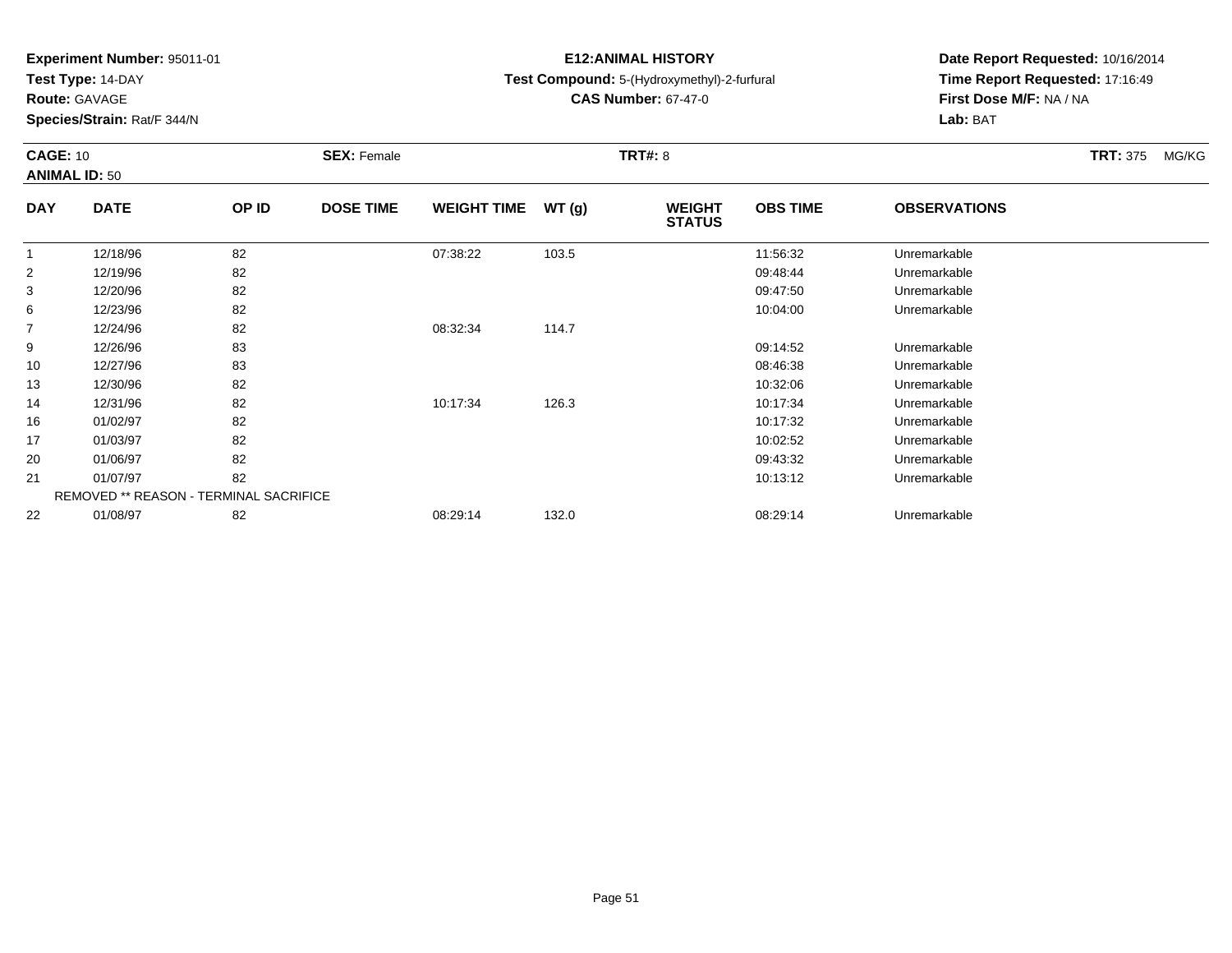**Test Type:** 14-DAY

**Route:** GAVAGE

**Species/Strain:** Rat/F 344/N

# **E12:ANIMAL HISTORY**

# **Test Compound:** 5-(Hydroxymethyl)-2-furfural

**CAS Number:** 67-47-0

**Date Report Requested:** 10/16/2014**Time Report Requested:** 17:16:49**First Dose M/F:** NA / NA**Lab:** BAT

### **CAGE:** 10**SEX:** Female **TRT#:** 8 **TRT#:** 8 **TRT\$ TRT**: 375 MG/KG **ANIMAL ID:** 50**DAY DATE OP IDDOSE TIME WEIGHT TIME WT** (g) **STATUSOBS TIME OBSERVATIONS** 1 12/18/96 <sup>82</sup> 07:38:22 103.5 11:56:32 Unremarkable 2 12/19/96 <sup>82</sup> 09:48:44 Unremarkable 3 12/20/96 <sup>82</sup> 09:47:50 Unremarkable 66 12/23/96 82 82 10:04:00 12/23/96 Unremarkable 7 12/24/96 <sup>82</sup> 08:32:34 114.7 9

| 6  | 12/23/96                                      | 82 |          |       | 10:04:00 | Unremarkable |
|----|-----------------------------------------------|----|----------|-------|----------|--------------|
|    | 12/24/96                                      | 82 | 08:32:34 | 114.7 |          |              |
| 9  | 12/26/96                                      | 83 |          |       | 09:14:52 | Unremarkable |
| 10 | 12/27/96                                      | 83 |          |       | 08:46:38 | Unremarkable |
| 13 | 12/30/96                                      | 82 |          |       | 10:32:06 | Unremarkable |
| 14 | 12/31/96                                      | 82 | 10:17:34 | 126.3 | 10:17:34 | Unremarkable |
| 16 | 01/02/97                                      | 82 |          |       | 10:17:32 | Unremarkable |
| 17 | 01/03/97                                      | 82 |          |       | 10:02:52 | Unremarkable |
| 20 | 01/06/97                                      | 82 |          |       | 09:43:32 | Unremarkable |
| 21 | 01/07/97                                      | 82 |          |       | 10:13:12 | Unremarkable |
|    | <b>REMOVED ** REASON - TERMINAL SACRIFICE</b> |    |          |       |          |              |
| 22 | 01/08/97                                      | 82 | 08:29:14 | 132.0 | 08:29:14 | Unremarkable |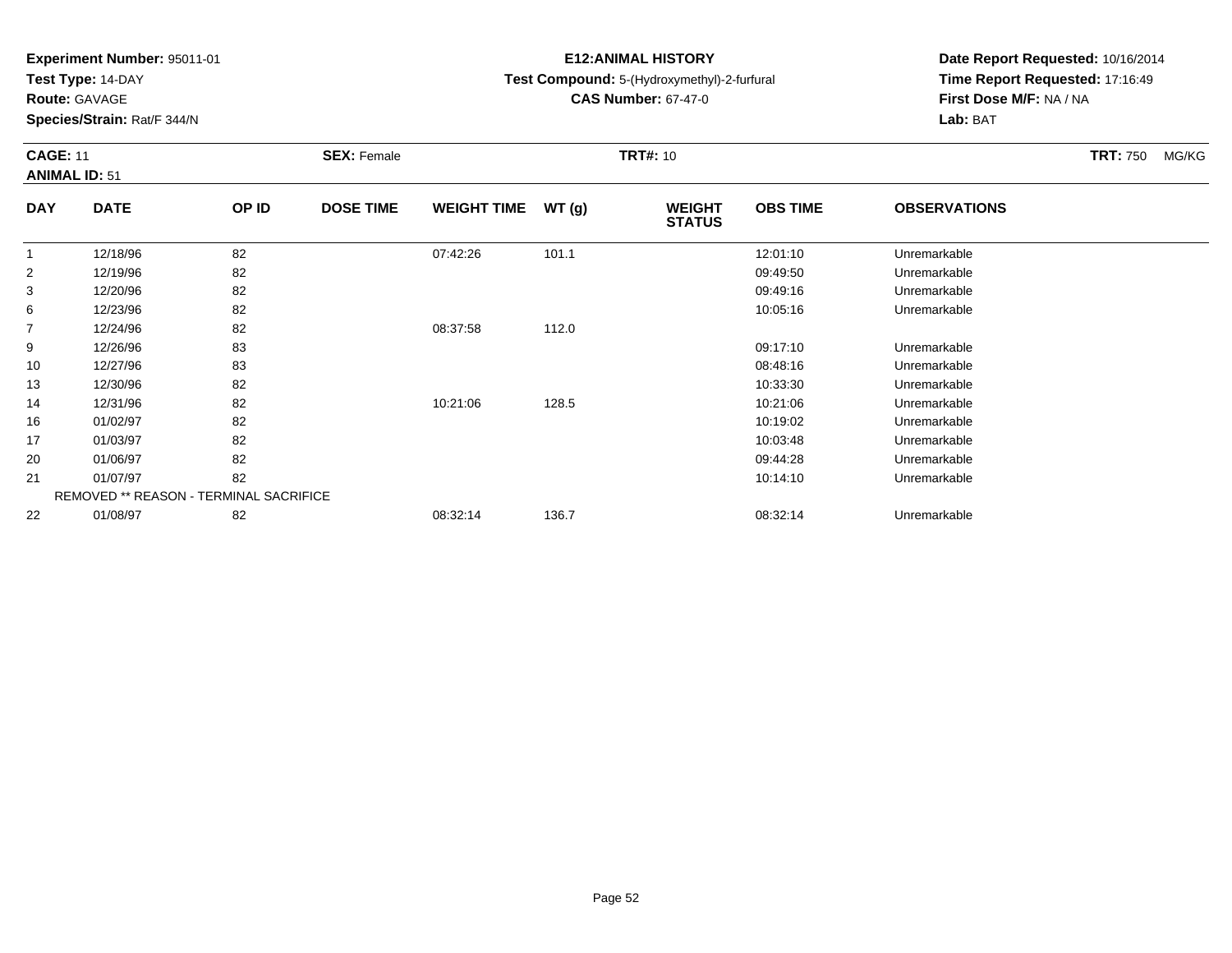**Test Type:** 14-DAY

**Route:** GAVAGE

10

13

14

16

17

20

21

22

**Species/Strain:** Rat/F 344/N

REMOVED \*\* REASON - TERMINAL SACRIFICE

# **E12:ANIMAL HISTORY**

# **Test Compound:** 5-(Hydroxymethyl)-2-furfural

**CAS Number:** 67-47-0

**Date Report Requested:** 10/16/2014**Time Report Requested:** 17:16:49**First Dose M/F:** NA / NA**Lab:** BAT

| <b>CAGE: 11</b><br><b>ANIMAL ID: 51</b> |             |       | <b>SEX: Female</b> |                    |       | <b>TRT#: 10</b>                |                 | <b>TRT: 750</b>     | MG/KG |  |
|-----------------------------------------|-------------|-------|--------------------|--------------------|-------|--------------------------------|-----------------|---------------------|-------|--|
| <b>DAY</b>                              | <b>DATE</b> | OP ID | <b>DOSE TIME</b>   | <b>WEIGHT TIME</b> | WT(q) | <b>WEIGHT</b><br><b>STATUS</b> | <b>OBS TIME</b> | <b>OBSERVATIONS</b> |       |  |
|                                         | 12/18/96    | 82    |                    | 07:42:26           | 101.1 |                                | 12:01:10        | Unremarkable        |       |  |
| $\overline{2}$                          | 12/19/96    | 82    |                    |                    |       |                                | 09:49:50        | Unremarkable        |       |  |
| 3                                       | 12/20/96    | 82    |                    |                    |       |                                | 09:49:16        | Unremarkable        |       |  |
| 6                                       | 12/23/96    | 82    |                    |                    |       |                                | 10:05:16        | Unremarkable        |       |  |
| 7                                       | 12/24/96    | 82    |                    | 08:37:58           | 112.0 |                                |                 |                     |       |  |
| 9                                       | 12/26/96    | 83    |                    |                    |       |                                | 09:17:10        | Unremarkable        |       |  |

12/27/96 <sup>83</sup> 08:48:16 Unremarkable

12/30/96 <sup>82</sup> 10:33:30 Unremarkable

12/31/96 <sup>82</sup> 10:21:06 128.5 10:21:06 Unremarkable

01/02/97 <sup>82</sup> 10:19:02 Unremarkable

01/03/97 <sup>82</sup> 10:03:48 Unremarkable

01/06/97 <sup>82</sup> 09:44:28 Unremarkable

01/07/97 <sup>82</sup> 10:14:10 Unremarkable

01/08/97 <sup>82</sup> 08:32:14 136.7 08:32:14 Unremarkable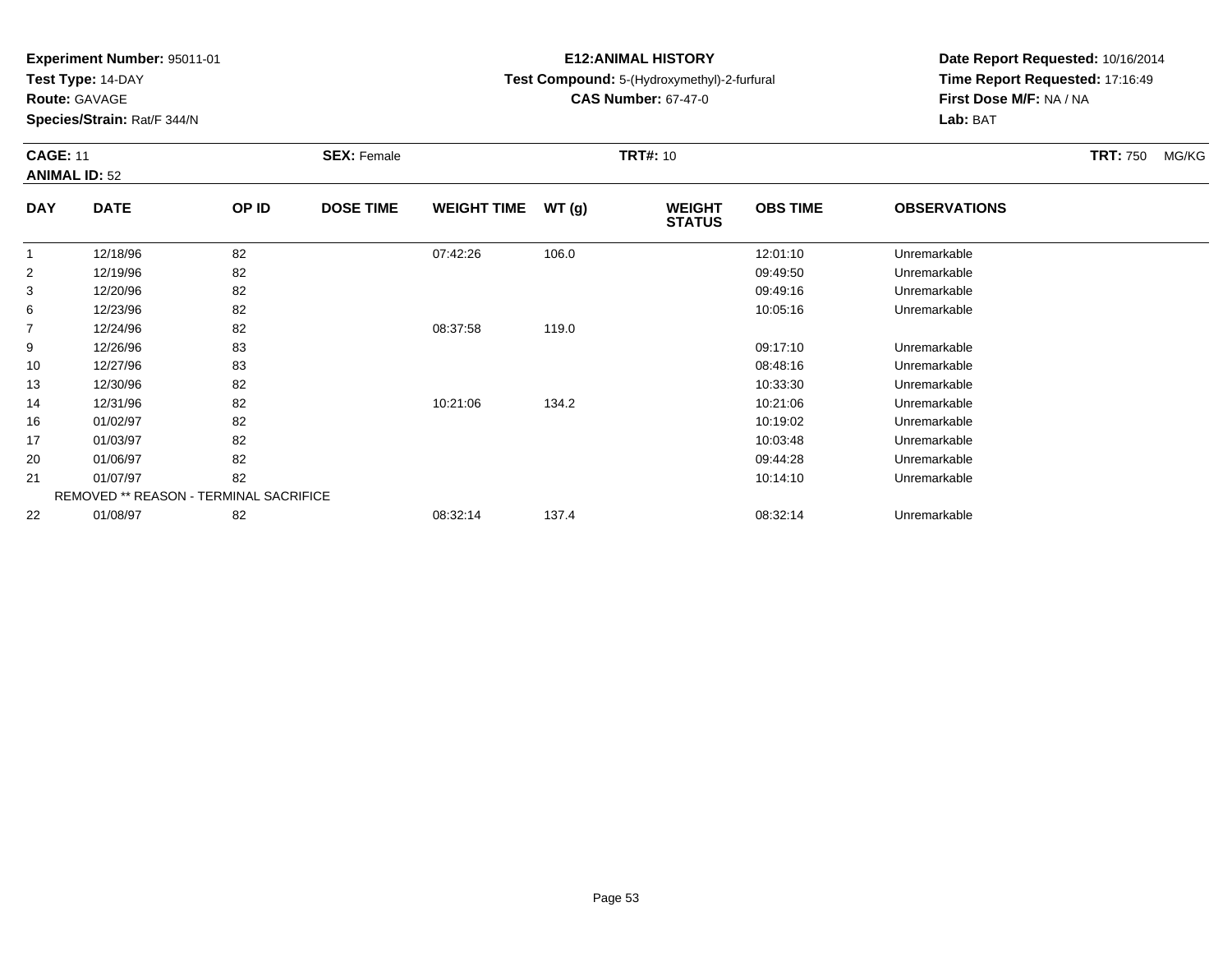**Test Type:** 14-DAY

**Route:** GAVAGE

13

14

16

17

20

21

22

**Species/Strain:** Rat/F 344/N

REMOVED \*\* REASON - TERMINAL SACRIFICE

# **E12:ANIMAL HISTORY**

# **Test Compound:** 5-(Hydroxymethyl)-2-furfural

**CAS Number:** 67-47-0

**Date Report Requested:** 10/16/2014**Time Report Requested:** 17:16:49**First Dose M/F:** NA / NA**Lab:** BAT

| <b>CAGE: 11</b><br><b>ANIMAL ID: 52</b> |             |       | <b>SEX: Female</b> |                    |       | <b>TRT#: 10</b>                |                 | <b>TRT: 750</b>     | MG/KG |  |
|-----------------------------------------|-------------|-------|--------------------|--------------------|-------|--------------------------------|-----------------|---------------------|-------|--|
| <b>DAY</b>                              | <b>DATE</b> | OP ID | <b>DOSE TIME</b>   | <b>WEIGHT TIME</b> | WT(g) | <b>WEIGHT</b><br><b>STATUS</b> | <b>OBS TIME</b> | <b>OBSERVATIONS</b> |       |  |
|                                         | 12/18/96    | 82    |                    | 07:42:26           | 106.0 |                                | 12:01:10        | Unremarkable        |       |  |
| 2                                       | 12/19/96    | 82    |                    |                    |       |                                | 09:49:50        | Unremarkable        |       |  |
| 3                                       | 12/20/96    | 82    |                    |                    |       |                                | 09:49:16        | Unremarkable        |       |  |
| 6                                       | 12/23/96    | 82    |                    |                    |       |                                | 10:05:16        | Unremarkable        |       |  |
| $\overline{7}$                          | 12/24/96    | 82    |                    | 08:37:58           | 119.0 |                                |                 |                     |       |  |
| 9                                       | 12/26/96    | 83    |                    |                    |       |                                | 09:17:10        | Unremarkable        |       |  |
| 10                                      | 12/27/96    | 83    |                    |                    |       |                                | 08:48:16        | Unremarkable        |       |  |

12/30/96 <sup>82</sup> 10:33:30 Unremarkable

12/31/96 <sup>82</sup> 10:21:06 134.2 10:21:06 Unremarkable

01/02/97 <sup>82</sup> 10:19:02 Unremarkable

01/03/97 <sup>82</sup> 10:03:48 Unremarkable

01/06/97 <sup>82</sup> 09:44:28 Unremarkable

01/07/97 <sup>82</sup> 10:14:10 Unremarkable

01/08/97 <sup>82</sup> 08:32:14 137.4 08:32:14 Unremarkable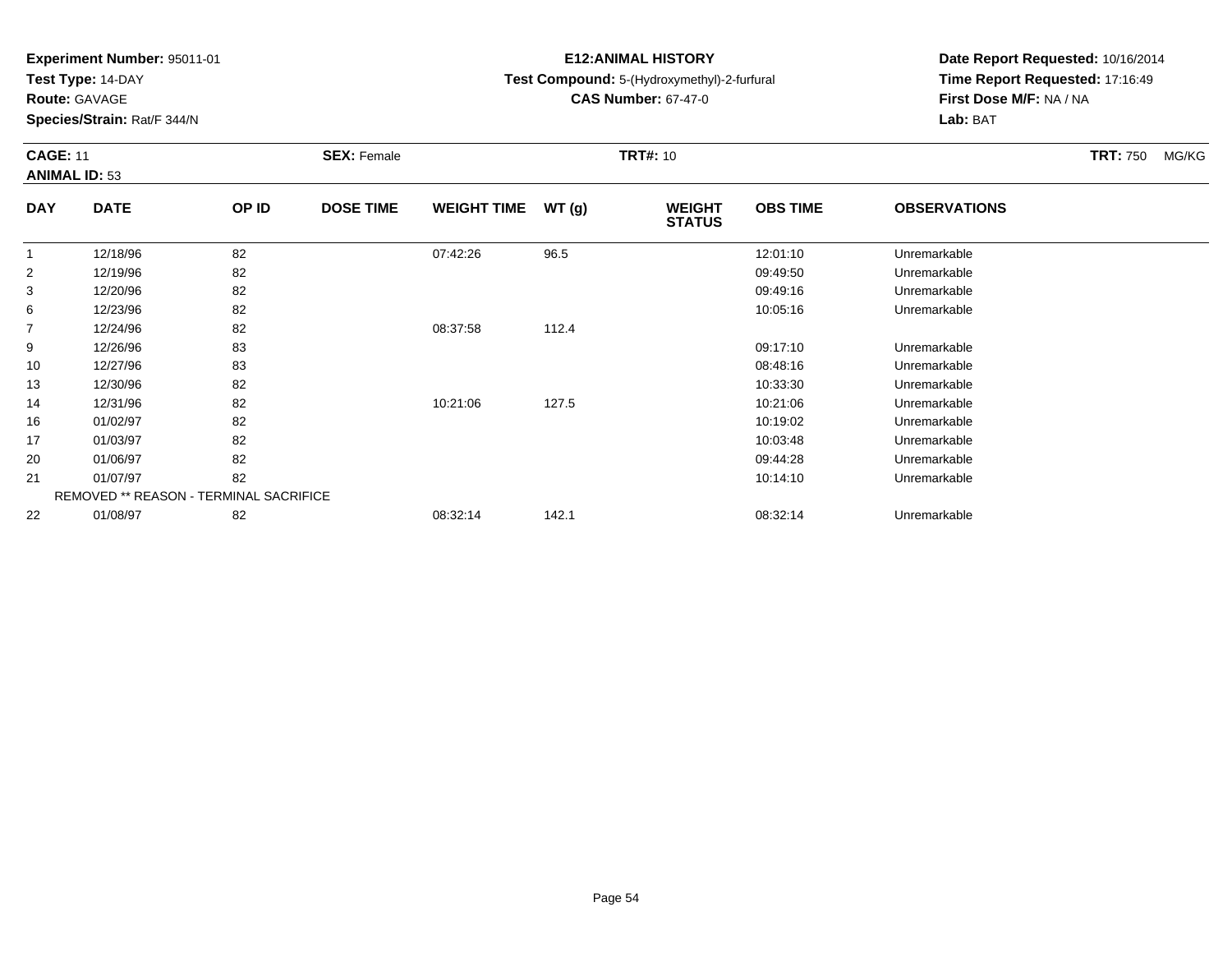**Test Type:** 14-DAY

**Route:** GAVAGE

**Species/Strain:** Rat/F 344/N

# **E12:ANIMAL HISTORY**

# **Test Compound:** 5-(Hydroxymethyl)-2-furfural

**CAS Number:** 67-47-0

**Date Report Requested:** 10/16/2014 **Time Report Requested:** 17:16:49**First Dose M/F:** NA / NA**Lab:** BAT

### **CAGE:** 11 **SEX:** Female **TRT#:** <sup>10</sup> **TRT:** 750 MG/KG**ANIMAL ID:** 53**DAY DATE OP IDDOSE TIME WEIGHT TIME WT** (g) **STATUSOBS TIME OBSERVATIONS**  $\overline{1}$  12/18/96 <sup>82</sup> 07:42:26 96.5 12:01:10 Unremarkable 212/19/96 <sup>82</sup> 09:49:50 Unremarkable

| 82<br>12/20/96<br>09:49:16<br>3<br>Unremarkable<br>82<br>10:05:16<br>Unremarkable<br>6<br>12/23/96<br>82<br>$\overline{7}$<br>12/24/96<br>08:37:58<br>112.4<br>83<br>12/26/96<br>9<br>09:17:10<br>Unremarkable<br>83<br>12/27/96<br>08:48:16<br>Unremarkable<br>10<br>82<br>13<br>12/30/96<br>10:33:30<br>Unremarkable<br>82<br>12/31/96<br>10:21:06<br>127.5<br>10:21:06<br>Unremarkable<br>14<br>82<br>16<br>01/02/97<br>10:19:02<br>Unremarkable<br>82<br>17<br>01/03/97<br>10:03:48<br>Unremarkable<br>82<br>09:44:28<br>20<br>01/06/97<br>Unremarkable<br>82<br>21<br>01/07/97<br>Unremarkable<br>10:14:10<br><b>REMOVED ** REASON - TERMINAL SACRIFICE</b> | 2  | 12/19/96 | 82 |          |       | 09:49:50 | Unremarkable |  |
|------------------------------------------------------------------------------------------------------------------------------------------------------------------------------------------------------------------------------------------------------------------------------------------------------------------------------------------------------------------------------------------------------------------------------------------------------------------------------------------------------------------------------------------------------------------------------------------------------------------------------------------------------------------|----|----------|----|----------|-------|----------|--------------|--|
|                                                                                                                                                                                                                                                                                                                                                                                                                                                                                                                                                                                                                                                                  |    |          |    |          |       |          |              |  |
|                                                                                                                                                                                                                                                                                                                                                                                                                                                                                                                                                                                                                                                                  |    |          |    |          |       |          |              |  |
|                                                                                                                                                                                                                                                                                                                                                                                                                                                                                                                                                                                                                                                                  |    |          |    |          |       |          |              |  |
|                                                                                                                                                                                                                                                                                                                                                                                                                                                                                                                                                                                                                                                                  |    |          |    |          |       |          |              |  |
|                                                                                                                                                                                                                                                                                                                                                                                                                                                                                                                                                                                                                                                                  |    |          |    |          |       |          |              |  |
|                                                                                                                                                                                                                                                                                                                                                                                                                                                                                                                                                                                                                                                                  |    |          |    |          |       |          |              |  |
|                                                                                                                                                                                                                                                                                                                                                                                                                                                                                                                                                                                                                                                                  |    |          |    |          |       |          |              |  |
|                                                                                                                                                                                                                                                                                                                                                                                                                                                                                                                                                                                                                                                                  |    |          |    |          |       |          |              |  |
|                                                                                                                                                                                                                                                                                                                                                                                                                                                                                                                                                                                                                                                                  |    |          |    |          |       |          |              |  |
|                                                                                                                                                                                                                                                                                                                                                                                                                                                                                                                                                                                                                                                                  |    |          |    |          |       |          |              |  |
|                                                                                                                                                                                                                                                                                                                                                                                                                                                                                                                                                                                                                                                                  |    |          |    |          |       |          |              |  |
|                                                                                                                                                                                                                                                                                                                                                                                                                                                                                                                                                                                                                                                                  |    |          |    |          |       |          |              |  |
|                                                                                                                                                                                                                                                                                                                                                                                                                                                                                                                                                                                                                                                                  | 22 | 01/08/97 | 82 | 08:32:14 | 142.1 | 08:32:14 | Unremarkable |  |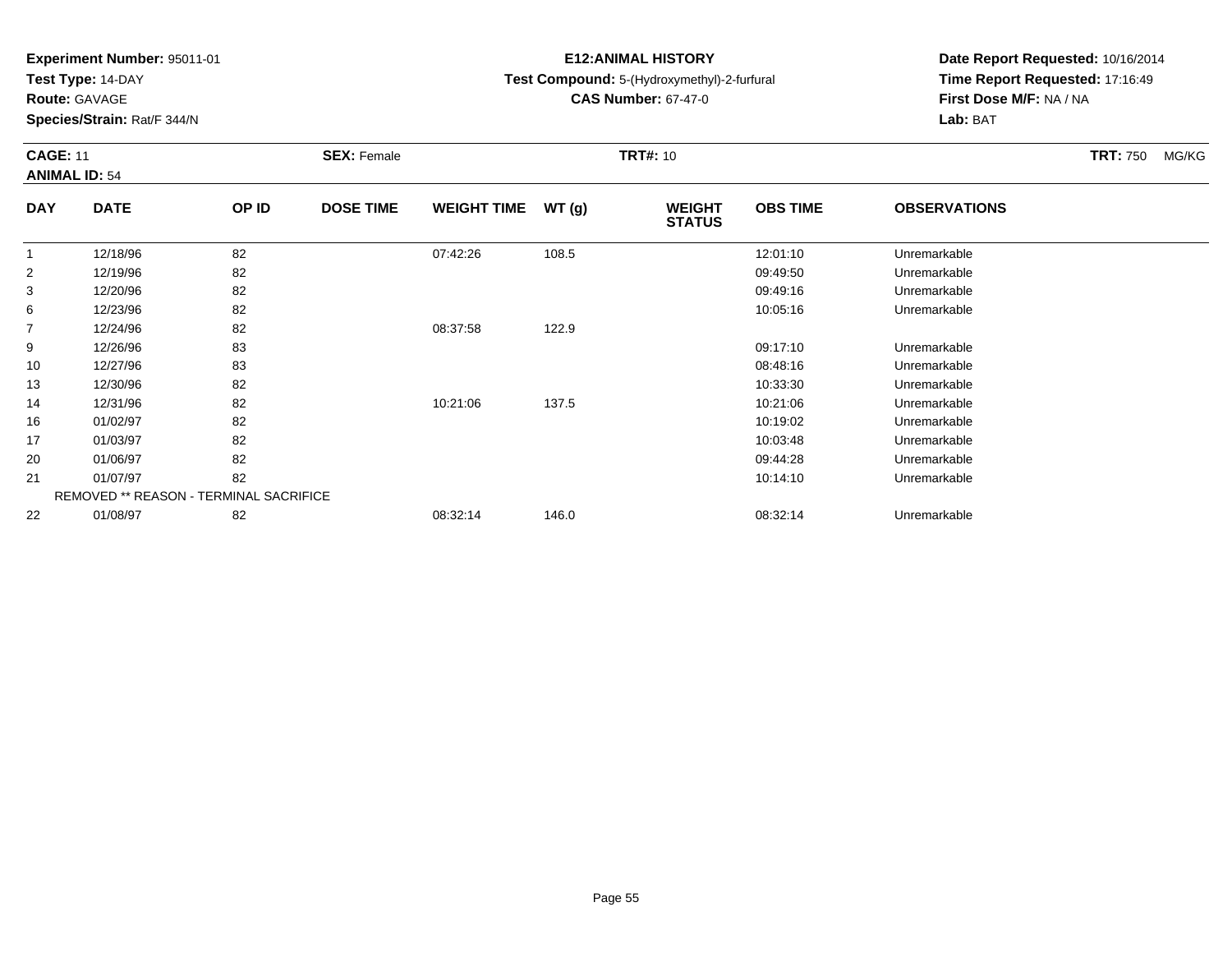**Test Type:** 14-DAY

**Route:** GAVAGE

16

17

20

21

22

**Species/Strain:** Rat/F 344/N

REMOVED \*\* REASON - TERMINAL SACRIFICE

# **E12:ANIMAL HISTORY**

# **Test Compound:** 5-(Hydroxymethyl)-2-furfural

**CAS Number:** 67-47-0

**Date Report Requested:** 10/16/2014**Time Report Requested:** 17:16:49**First Dose M/F:** NA / NA**Lab:** BAT

| <b>CAGE: 11</b><br><b>ANIMAL ID: 54</b> |             |       | <b>SEX: Female</b> |                    |       | <b>TRT#: 10</b>                | <b>TRT: 750</b> | MG/KG               |  |  |
|-----------------------------------------|-------------|-------|--------------------|--------------------|-------|--------------------------------|-----------------|---------------------|--|--|
| <b>DAY</b>                              | <b>DATE</b> | OP ID | <b>DOSE TIME</b>   | <b>WEIGHT TIME</b> | WT(g) | <b>WEIGHT</b><br><b>STATUS</b> | <b>OBS TIME</b> | <b>OBSERVATIONS</b> |  |  |
| 1                                       | 12/18/96    | 82    |                    | 07:42:26           | 108.5 |                                | 12:01:10        | Unremarkable        |  |  |
| 2                                       | 12/19/96    | 82    |                    |                    |       |                                | 09:49:50        | Unremarkable        |  |  |
| 3                                       | 12/20/96    | 82    |                    |                    |       |                                | 09:49:16        | Unremarkable        |  |  |
| 6                                       | 12/23/96    | 82    |                    |                    |       |                                | 10:05:16        | Unremarkable        |  |  |
| $\overline{7}$                          | 12/24/96    | 82    |                    | 08:37:58           | 122.9 |                                |                 |                     |  |  |
| 9                                       | 12/26/96    | 83    |                    |                    |       |                                | 09:17:10        | Unremarkable        |  |  |
| 10                                      | 12/27/96    | 83    |                    |                    |       |                                | 08:48:16        | Unremarkable        |  |  |
| 13                                      | 12/30/96    | 82    |                    |                    |       |                                | 10:33:30        | Unremarkable        |  |  |
| 14                                      | 12/31/96    | 82    |                    | 10:21:06           | 137.5 |                                | 10:21:06        | Unremarkable        |  |  |

01/02/97 <sup>82</sup> 10:19:02 Unremarkable

01/03/97 <sup>82</sup> 10:03:48 Unremarkable

01/06/97 <sup>82</sup> 09:44:28 Unremarkable

01/07/97 <sup>82</sup> 10:14:10 Unremarkable

01/08/97 <sup>82</sup> 08:32:14 146.0 08:32:14 Unremarkable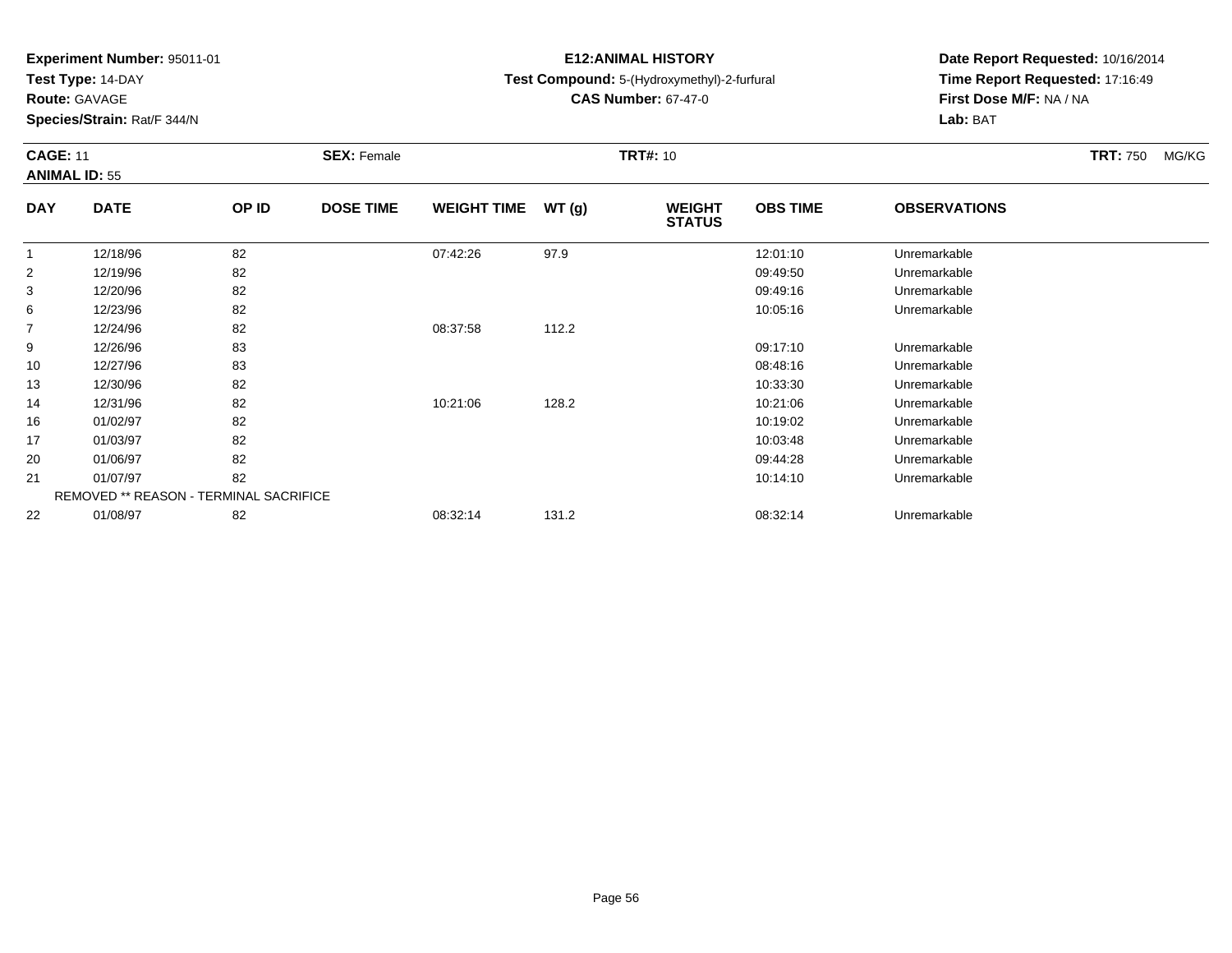**Test Type:** 14-DAY

**Route:** GAVAGE

**Species/Strain:** Rat/F 344/N

# **E12:ANIMAL HISTORY**

## **Test Compound:** 5-(Hydroxymethyl)-2-furfural

**CAS Number:** 67-47-0

**Date Report Requested:** 10/16/2014**Time Report Requested:** 17:16:49**First Dose M/F:** NA / NA**Lab:** BAT

### **CAGE:** 11 **SEX:** Female **TRT#:** <sup>10</sup> **TRT:** 750 MG/KG**ANIMAL ID:** 55**DAY DATE OP IDDOSE TIME WEIGHT TIME WT** (g) **STATUSOBS TIME OBSERVATIONS** 1 12/18/96 <sup>82</sup> 07:42:26 97.9 12:01:10 Unremarkable 2 12/19/96 <sup>82</sup> 09:49:50 Unremarkable  $\sim$ 12/20/96 <sup>82</sup> 09:49:16 Unremarkable

| J. | 12/20/90 | ٥۷                                            |          |       | <b>09.49.10</b> | Uniemarkable |  |
|----|----------|-----------------------------------------------|----------|-------|-----------------|--------------|--|
| 6  | 12/23/96 | 82                                            |          |       | 10:05:16        | Unremarkable |  |
| 7  | 12/24/96 | 82                                            | 08:37:58 | 112.2 |                 |              |  |
| 9  | 12/26/96 | 83                                            |          |       | 09:17:10        | Unremarkable |  |
| 10 | 12/27/96 | 83                                            |          |       | 08:48:16        | Unremarkable |  |
| 13 | 12/30/96 | 82                                            |          |       | 10:33:30        | Unremarkable |  |
| 14 | 12/31/96 | 82                                            | 10:21:06 | 128.2 | 10:21:06        | Unremarkable |  |
| 16 | 01/02/97 | 82                                            |          |       | 10:19:02        | Unremarkable |  |
| 17 | 01/03/97 | 82                                            |          |       | 10:03:48        | Unremarkable |  |
| 20 | 01/06/97 | 82                                            |          |       | 09:44:28        | Unremarkable |  |
| 21 | 01/07/97 | 82                                            |          |       | 10:14:10        | Unremarkable |  |
|    |          | <b>REMOVED ** REASON - TERMINAL SACRIFICE</b> |          |       |                 |              |  |
| 22 | 01/08/97 | 82                                            | 08:32:14 | 131.2 | 08:32:14        | Unremarkable |  |
|    |          |                                               |          |       |                 |              |  |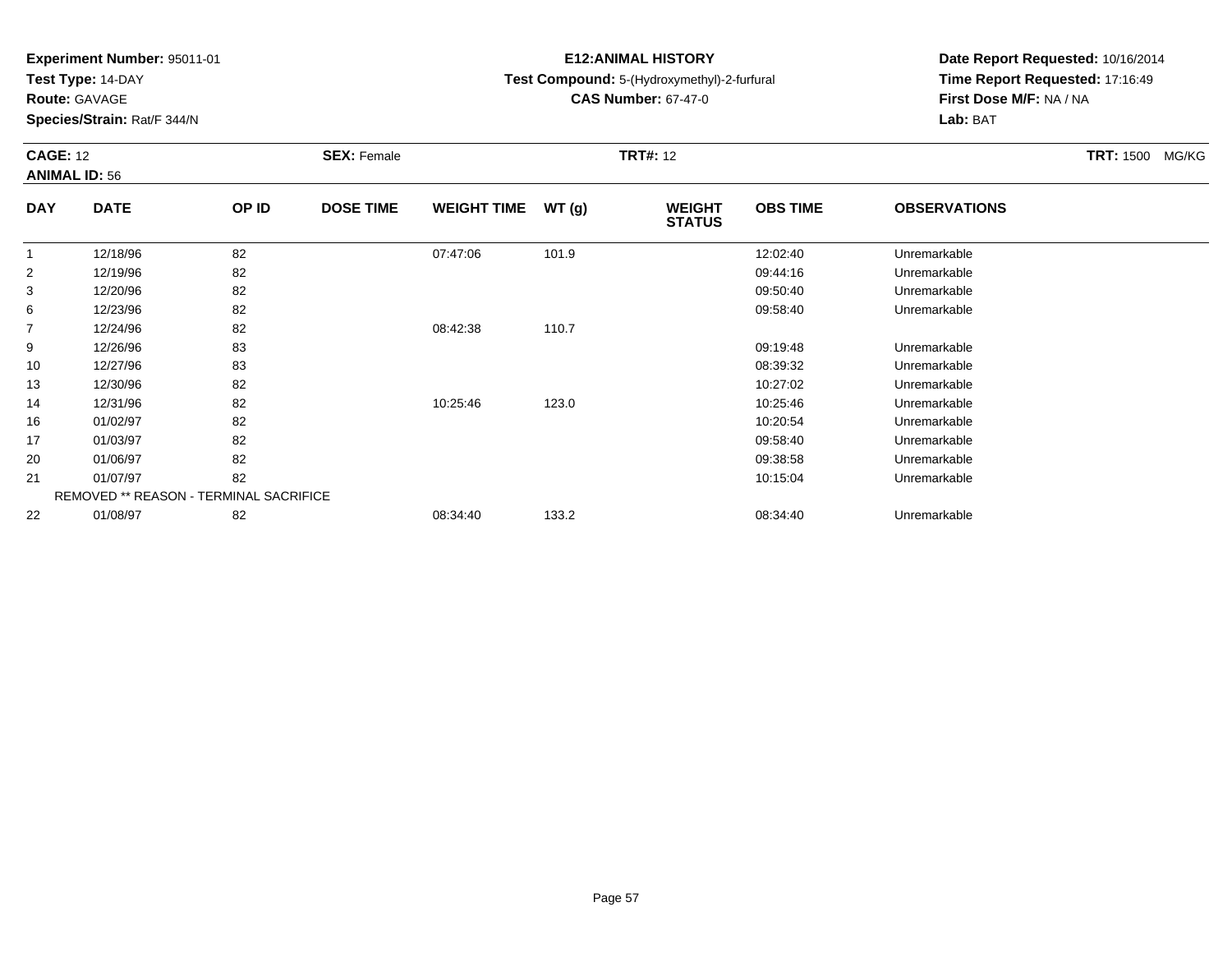**Test Type:** 14-DAY

**Route:** GAVAGE

16

17

20

21

22

**Species/Strain:** Rat/F 344/N

REMOVED \*\* REASON - TERMINAL SACRIFICE

# **E12:ANIMAL HISTORY**

## **Test Compound:** 5-(Hydroxymethyl)-2-furfural

**CAS Number:** 67-47-0

**Date Report Requested:** 10/16/2014**Time Report Requested:** 17:16:49**First Dose M/F:** NA / NA**Lab:** BAT

#### **CAGE:** 12 **SEX:** Female **TRT#:** <sup>12</sup> **TRT:** 1500 MG/KG**ANIMAL ID:** 56**DAY DATE OP ID DOSE TIME WEIGHT TIME WT (g) WEIGHT STATUSOBS TIME OBSERVATIONS** 1 12/18/96 <sup>82</sup> 07:47:06 101.9 12:02:40 Unremarkable 2 12/19/96 <sup>82</sup> 09:44:16 Unremarkable 3 12/20/96 <sup>82</sup> 09:50:40 Unremarkable 66 12/23/96 82 82 and the set of the set of the set of the set of the set of the set of the set of the set of the set of the set of the set of the set of the set of the set of the set of the set of the set of the set of the 7 12/24/96 <sup>82</sup> 08:42:38 110.7 9 12/26/96 <sup>83</sup> 09:19:48 Unremarkable 10 12/27/96 <sup>83</sup> 08:39:32 Unremarkable 13 12/30/96 <sup>82</sup> 10:27:02 Unremarkable 1412/31/96 <sup>82</sup> 10:25:46 123.0 10:25:46 Unremarkable

01/02/97 <sup>82</sup> 10:20:54 Unremarkable

01/03/97 <sup>82</sup> 09:58:40 Unremarkable

01/06/97 <sup>82</sup> 09:38:58 Unremarkable

01/07/97 <sup>82</sup> 10:15:04 Unremarkable

01/08/97 <sup>82</sup> 08:34:40 133.2 08:34:40 Unremarkable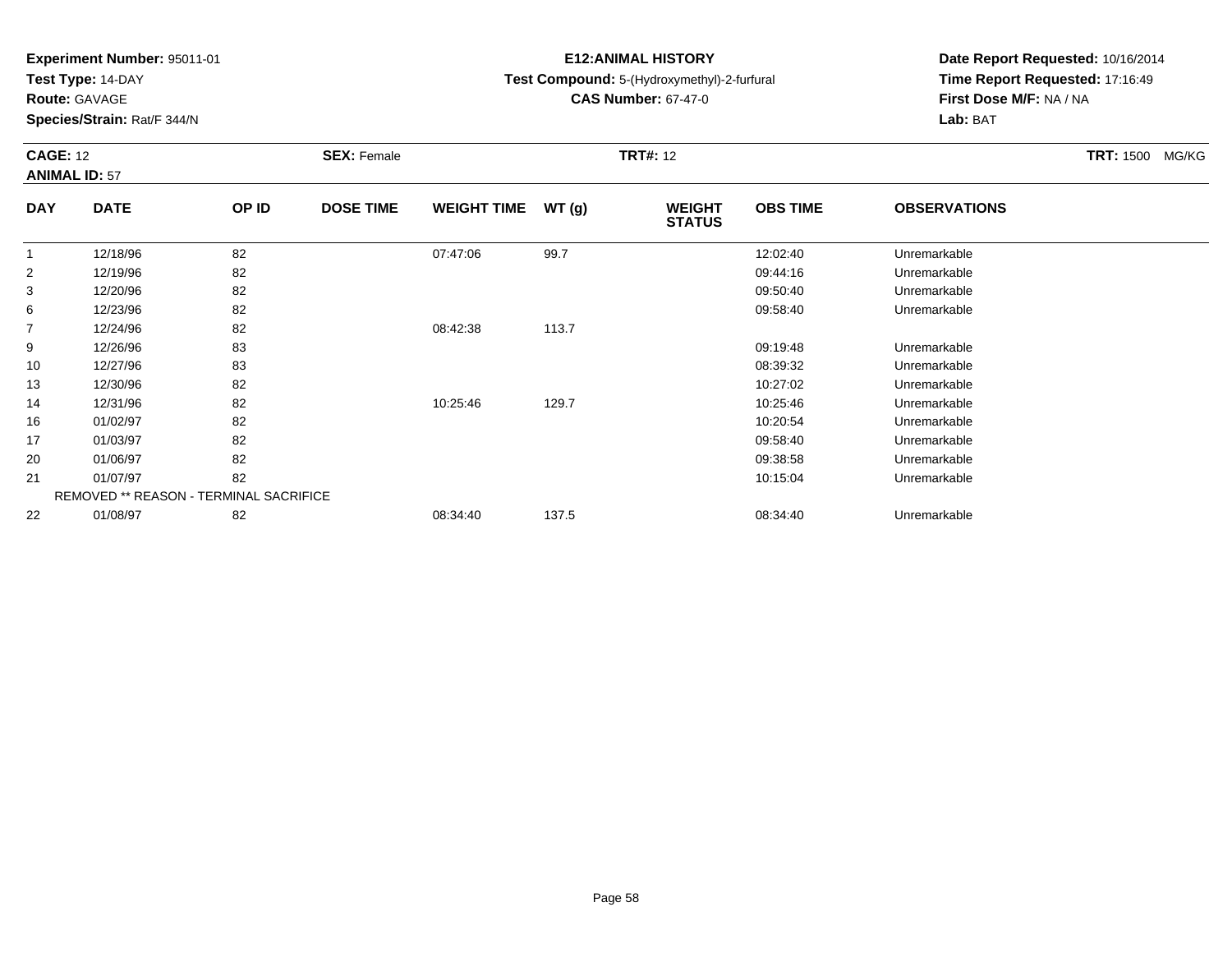**Test Type:** 14-DAY

**Route:** GAVAGE

22

**Species/Strain:** Rat/F 344/N

# **E12:ANIMAL HISTORY**

**Test Compound:** 5-(Hydroxymethyl)-2-furfural

**CAS Number:** 67-47-0

**Date Report Requested:** 10/16/2014**Time Report Requested:** 17:16:49**First Dose M/F:** NA / NA**Lab:** BAT

#### **CAGE:** 12 **SEX:** Female **TRT#:** <sup>12</sup> **TRT:** 1500 MG/KG**ANIMAL ID:** 57**DAY DATE OP IDDOSE TIME WEIGHT TIME WT** (g) **STATUSOBS TIME OBSERVATIONS** 1 12/18/96 <sup>82</sup> 07:47:06 99.7 12:02:40 Unremarkable 2 12/19/96 <sup>82</sup> 09:44:16 Unremarkable 3 12/20/96 <sup>82</sup> 09:50:40 Unremarkable 66 12/23/96 82 82 and the set of the set of the set of the set of the set of the set of the set of the set of the set of the set of the set of the set of the set of the set of the set of the set of the set of the set of the 7 12/24/96 <sup>82</sup> 08:42:38 113.7 9 12/26/96 <sup>83</sup> 09:19:48 Unremarkable 10 12/27/96 <sup>83</sup> 08:39:32 Unremarkable 13 12/30/96 <sup>82</sup> 10:27:02 Unremarkable 14 12/31/96 <sup>82</sup> 10:25:46 129.7 10:25:46 Unremarkable 16 01/02/97 <sup>82</sup> 10:20:54 Unremarkable 17 01/03/97 <sup>82</sup> 09:58:40 Unremarkable 20 01/06/97 <sup>82</sup> 09:38:58 Unremarkable 21 01/07/97 <sup>82</sup> 10:15:04 Unremarkable REMOVED \*\* REASON - TERMINAL SACRIFICE

01/08/97 <sup>82</sup> 08:34:40 137.5 08:34:40 Unremarkable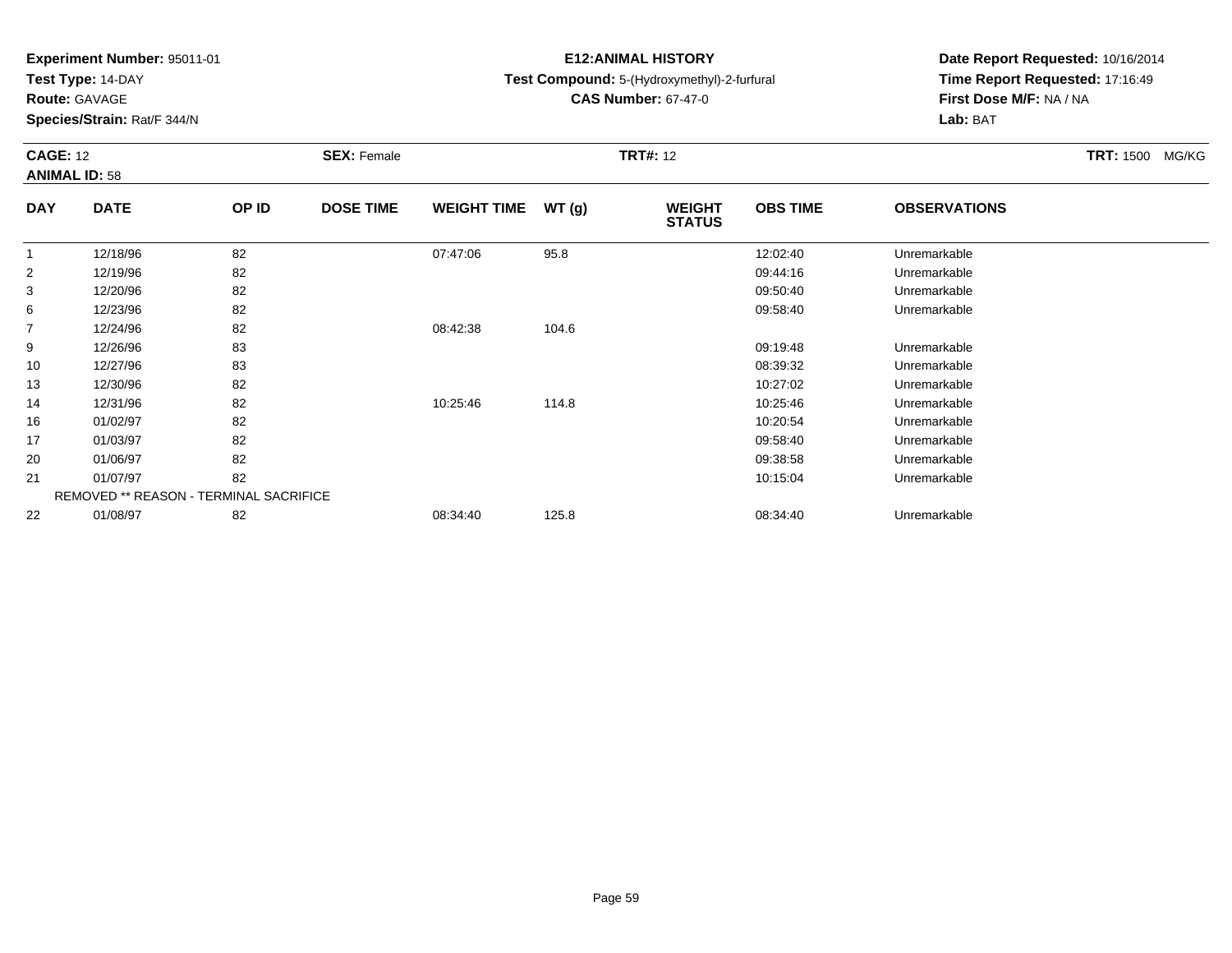**Test Type:** 14-DAY

**Route:** GAVAGE

22

**Species/Strain:** Rat/F 344/N

REMOVED \*\* REASON - TERMINAL SACRIFICE

# **E12:ANIMAL HISTORY**

## **Test Compound:** 5-(Hydroxymethyl)-2-furfural

**CAS Number:** 67-47-0

**Date Report Requested:** 10/16/2014**Time Report Requested:** 17:16:49**First Dose M/F:** NA / NA**Lab:** BAT

|                | <b>CAGE: 12</b><br><b>ANIMAL ID: 58</b> |       | <b>SEX: Female</b> |                    |       | <b>TRT#: 12</b>                | TRT: 1500 MG/KG |                     |  |
|----------------|-----------------------------------------|-------|--------------------|--------------------|-------|--------------------------------|-----------------|---------------------|--|
| <b>DAY</b>     | <b>DATE</b>                             | OP ID | <b>DOSE TIME</b>   | <b>WEIGHT TIME</b> | WT(g) | <b>WEIGHT</b><br><b>STATUS</b> | <b>OBS TIME</b> | <b>OBSERVATIONS</b> |  |
|                | 12/18/96                                | 82    |                    | 07:47:06           | 95.8  |                                | 12:02:40        | Unremarkable        |  |
| $\overline{2}$ | 12/19/96                                | 82    |                    |                    |       |                                | 09:44:16        | Unremarkable        |  |
| 3              | 12/20/96                                | 82    |                    |                    |       |                                | 09:50:40        | Unremarkable        |  |
| 6              | 12/23/96                                | 82    |                    |                    |       |                                | 09:58:40        | Unremarkable        |  |
| $\overline{7}$ | 12/24/96                                | 82    |                    | 08:42:38           | 104.6 |                                |                 |                     |  |
| 9              | 12/26/96                                | 83    |                    |                    |       |                                | 09:19:48        | Unremarkable        |  |
| 10             | 12/27/96                                | 83    |                    |                    |       |                                | 08:39:32        | Unremarkable        |  |
| 13             | 12/30/96                                | 82    |                    |                    |       |                                | 10:27:02        | Unremarkable        |  |
| 14             | 12/31/96                                | 82    |                    | 10:25:46           | 114.8 |                                | 10:25:46        | Unremarkable        |  |
| 16             | 01/02/97                                | 82    |                    |                    |       |                                | 10:20:54        | Unremarkable        |  |
| 17             | 01/03/97                                | 82    |                    |                    |       |                                | 09:58:40        | Unremarkable        |  |
| 20             | 01/06/97                                | 82    |                    |                    |       |                                | 09:38:58        | Unremarkable        |  |
| 21             | 01/07/97                                | 82    |                    |                    |       |                                | 10:15:04        | Unremarkable        |  |

01/08/97 <sup>82</sup> 08:34:40 125.8 08:34:40 Unremarkable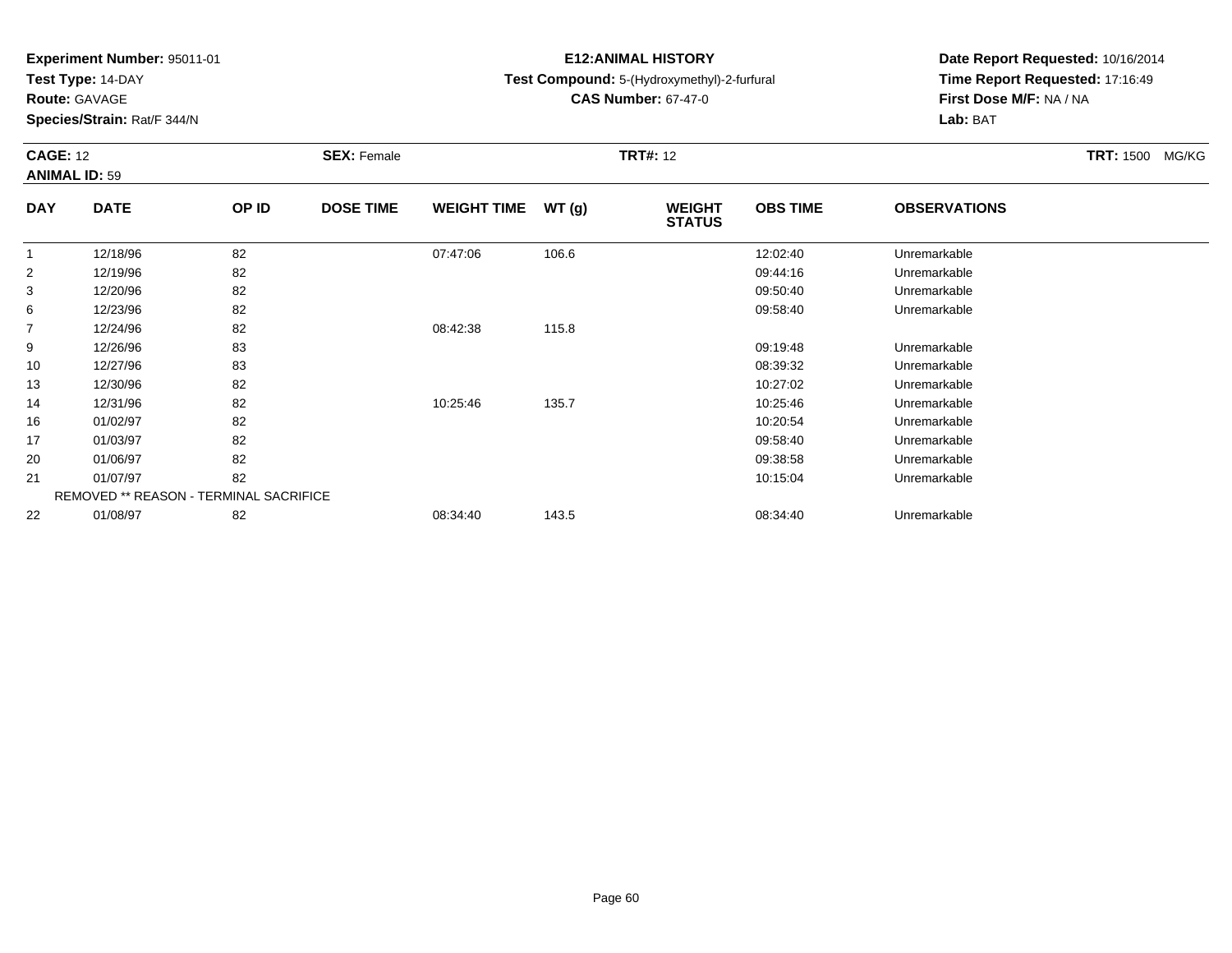**Test Type:** 14-DAY

**Route:** GAVAGE

20

21

22

**Species/Strain:** Rat/F 344/N

REMOVED \*\* REASON - TERMINAL SACRIFICE

# **E12:ANIMAL HISTORY**

## **Test Compound:** 5-(Hydroxymethyl)-2-furfural

**CAS Number:** 67-47-0

**Date Report Requested:** 10/16/2014**Time Report Requested:** 17:16:49**First Dose M/F:** NA / NA**Lab:** BAT

|            | <b>CAGE: 12</b><br><b>ANIMAL ID: 59</b> |       | <b>SEX: Female</b> |                    |       | <b>TRT#: 12</b>                | TRT: 1500 MG/KG |                     |  |
|------------|-----------------------------------------|-------|--------------------|--------------------|-------|--------------------------------|-----------------|---------------------|--|
| <b>DAY</b> | <b>DATE</b>                             | OP ID | <b>DOSE TIME</b>   | <b>WEIGHT TIME</b> | WT(g) | <b>WEIGHT</b><br><b>STATUS</b> | <b>OBS TIME</b> | <b>OBSERVATIONS</b> |  |
|            | 12/18/96                                | 82    |                    | 07:47:06           | 106.6 |                                | 12:02:40        | Unremarkable        |  |
| 2          | 12/19/96                                | 82    |                    |                    |       |                                | 09:44:16        | Unremarkable        |  |
| 3          | 12/20/96                                | 82    |                    |                    |       |                                | 09:50:40        | Unremarkable        |  |
| 6          | 12/23/96                                | 82    |                    |                    |       |                                | 09:58:40        | Unremarkable        |  |
| 7          | 12/24/96                                | 82    |                    | 08:42:38           | 115.8 |                                |                 |                     |  |
| 9          | 12/26/96                                | 83    |                    |                    |       |                                | 09:19:48        | Unremarkable        |  |
| 10         | 12/27/96                                | 83    |                    |                    |       |                                | 08:39:32        | Unremarkable        |  |
| 13         | 12/30/96                                | 82    |                    |                    |       |                                | 10:27:02        | Unremarkable        |  |
| 14         | 12/31/96                                | 82    |                    | 10:25:46           | 135.7 |                                | 10:25:46        | Unremarkable        |  |
| 16         | 01/02/97                                | 82    |                    |                    |       |                                | 10:20:54        | Unremarkable        |  |
| 17         | 01/03/97                                | 82    |                    |                    |       |                                | 09:58:40        | Unremarkable        |  |

01/06/97 <sup>82</sup> 09:38:58 Unremarkable

01/07/97 <sup>82</sup> 10:15:04 Unremarkable

01/08/97 <sup>82</sup> 08:34:40 143.5 08:34:40 Unremarkable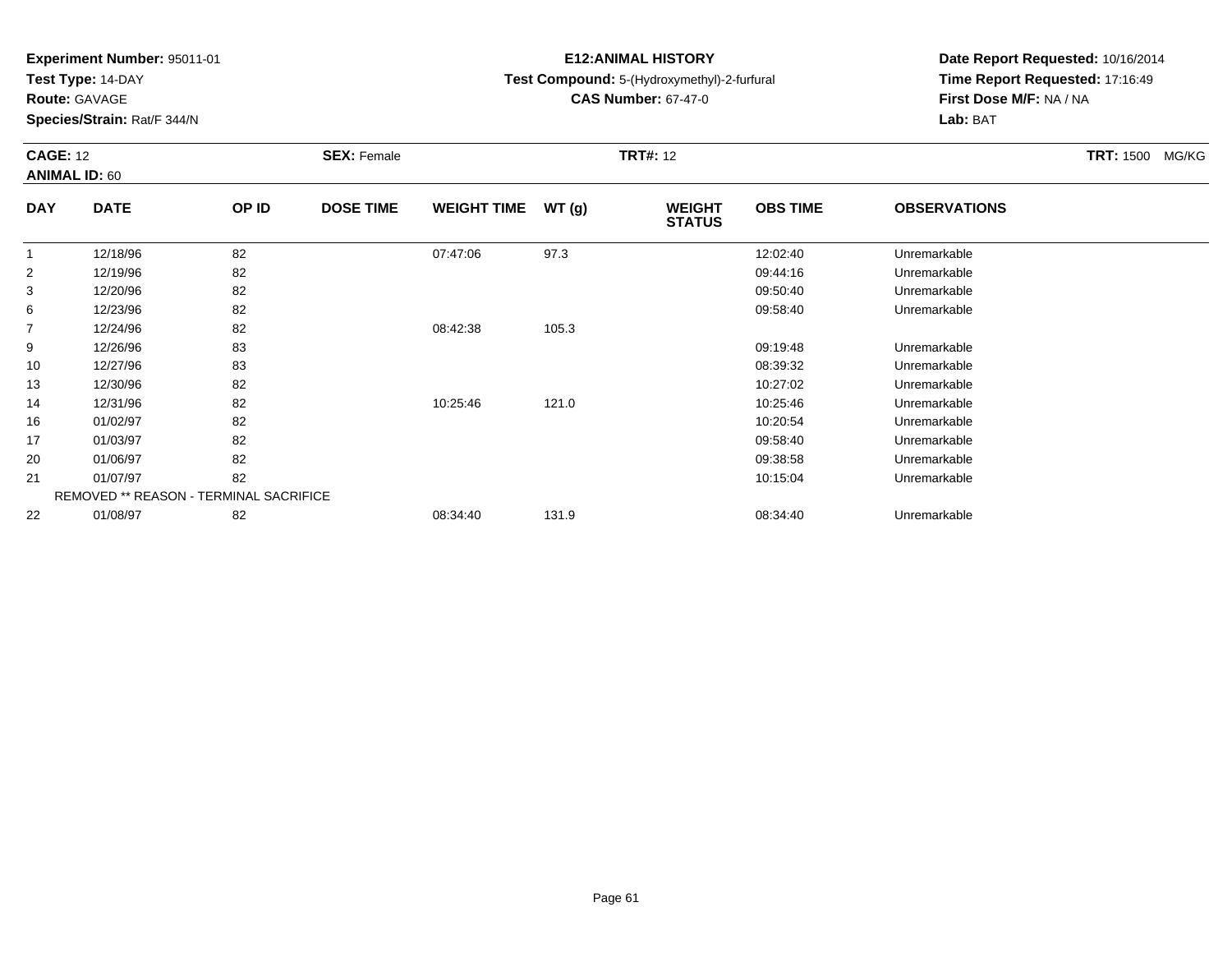**Test Type:** 14-DAY

**Route:** GAVAGE

22

**Species/Strain:** Rat/F 344/N

# **E12:ANIMAL HISTORY**

## **Test Compound:** 5-(Hydroxymethyl)-2-furfural

**CAS Number:** 67-47-0

**Date Report Requested:** 10/16/2014**Time Report Requested:** 17:16:49**First Dose M/F:** NA / NA**Lab:** BAT

| <b>CAGE: 12</b> | <b>ANIMAL ID: 60</b>                   |       | <b>SEX: Female</b> |                    |       | <b>TRT#: 12</b>                |                 | <b>TRT: 1500</b><br>MG/KG |  |
|-----------------|----------------------------------------|-------|--------------------|--------------------|-------|--------------------------------|-----------------|---------------------------|--|
| <b>DAY</b>      | <b>DATE</b>                            | OP ID | <b>DOSE TIME</b>   | <b>WEIGHT TIME</b> | WT(g) | <b>WEIGHT</b><br><b>STATUS</b> | <b>OBS TIME</b> | <b>OBSERVATIONS</b>       |  |
|                 | 12/18/96                               | 82    |                    | 07:47:06           | 97.3  |                                | 12:02:40        | Unremarkable              |  |
| $\overline{2}$  | 12/19/96                               | 82    |                    |                    |       |                                | 09:44:16        | Unremarkable              |  |
| 3               | 12/20/96                               | 82    |                    |                    |       |                                | 09:50:40        | Unremarkable              |  |
| 6               | 12/23/96                               | 82    |                    |                    |       |                                | 09:58:40        | Unremarkable              |  |
| $\overline{7}$  | 12/24/96                               | 82    |                    | 08:42:38           | 105.3 |                                |                 |                           |  |
| 9               | 12/26/96                               | 83    |                    |                    |       |                                | 09:19:48        | Unremarkable              |  |
| 10              | 12/27/96                               | 83    |                    |                    |       |                                | 08:39:32        | Unremarkable              |  |
| 13              | 12/30/96                               | 82    |                    |                    |       |                                | 10:27:02        | Unremarkable              |  |
| 14              | 12/31/96                               | 82    |                    | 10:25:46           | 121.0 |                                | 10:25:46        | Unremarkable              |  |
| 16              | 01/02/97                               | 82    |                    |                    |       |                                | 10:20:54        | Unremarkable              |  |
| 17              | 01/03/97                               | 82    |                    |                    |       |                                | 09:58:40        | Unremarkable              |  |
| 20              | 01/06/97                               | 82    |                    |                    |       |                                | 09:38:58        | Unremarkable              |  |
| 21              | 01/07/97                               | 82    |                    |                    |       |                                | 10:15:04        | Unremarkable              |  |
|                 | REMOVED ** REASON - TERMINAL SACRIFICE |       |                    |                    |       |                                |                 |                           |  |

01/08/97 <sup>82</sup> 08:34:40 131.9 08:34:40 Unremarkable